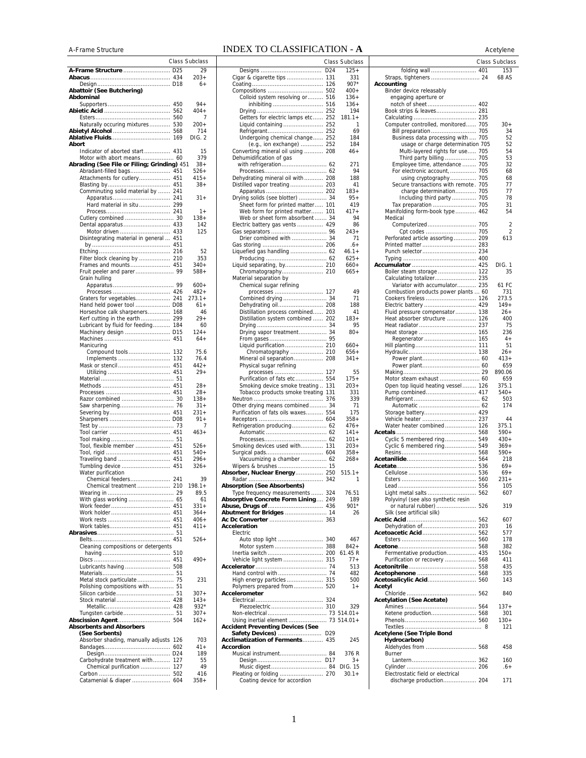## A-Frame StructureINDEX TO CLASSIFICATION - **A** Acetylene

|                                                                         |            | Class Subclass    |
|-------------------------------------------------------------------------|------------|-------------------|
| A-Frame Structure  D25                                                  |            | 29                |
|                                                                         |            | $203+$<br>$6+$    |
| Abattoir (See Butchering)                                               |            |                   |
| Abdominal                                                               | 450        | $94 +$            |
|                                                                         | 562        | 404+              |
|                                                                         | 560<br>530 | 7<br>$200+$       |
| Naturally occuring mixtures<br>Abietyl Alcohol                          | 568        | 714               |
|                                                                         | 169        | DIG. 2            |
| Abort<br>Indicator of aborted start 431                                 |            | 15                |
| Motor with abort means 60                                               |            | 379               |
| Abrading (See File or Filing; Grinding) 451<br>Abradant-filled bags 451 |            | $38+$<br>526+     |
| Attachments for cutlery                                                 | 451        | $415+$            |
|                                                                         |            | $38+$             |
| Comminuting solid material by  241                                      |            | $31 +$            |
| Hard material in situ 299                                               |            |                   |
| Cutlery combined  30                                                    |            | $1+$<br>$138 +$   |
|                                                                         |            | 142               |
| Motor driven  433                                                       |            | 125               |
| Disintegrating material in general  451                                 |            |                   |
|                                                                         |            | 52                |
| Filter block cleaning by  210                                           |            | 353<br>$340+$     |
| Frames and mounts 451                                                   |            | 588+              |
| Grain hulling                                                           |            |                   |
|                                                                         |            | $600+$<br>$482+$  |
| Graters for vegetables 241                                              |            | $273.1+$          |
| Hand held power tool  D08                                               |            | 61+               |
| Horseshoe calk sharpeners 168<br>Kerf cutting in the earth 299          |            | 46<br>$29+$       |
| Lubricant by fluid for feeding 184                                      |            | 60                |
| Machinery design  D15                                                   |            | $124+$<br>$64+$   |
| Manicuring                                                              |            |                   |
| Compound tools                                                          | 132        | 75.6              |
| Implements<br>Mask or stencil  451                                      | 132        | 76.4<br>$442+$    |
|                                                                         |            | $29+$             |
|                                                                         |            | $28+$             |
|                                                                         |            | $28 +$            |
|                                                                         |            | $138 +$           |
|                                                                         |            | $31 +$<br>231+    |
|                                                                         |            | $91 +$            |
|                                                                         |            | 7<br>463+         |
|                                                                         |            |                   |
| Tool, flexible member  451                                              |            | $526+$            |
| Traveling band  451                                                     |            | 540+<br>$296+$    |
| Tumbling device                                                         | 451        | 326+              |
| Water purification<br>Chemical feeders                                  | 241        | 39                |
|                                                                         |            | 198.1+            |
|                                                                         |            | 89.5              |
|                                                                         |            | 61<br>$331+$      |
|                                                                         |            | $364+$            |
|                                                                         |            | $406+$<br>$411 +$ |
|                                                                         |            |                   |
| Cleaning compositions or detergents                                     |            | $526+$            |
|                                                                         |            |                   |
|                                                                         |            | $490+$            |
|                                                                         |            |                   |
| Metal stock particulate 75                                              |            | 231               |
| Polishing compositions with 51                                          |            |                   |
| Stock material 428                                                      |            | $307 +$<br>$143+$ |
|                                                                         |            | 932*              |
| Tungsten carbide 51                                                     |            | 307+<br>$162+$    |
| <b>Absorbents and Absorbers</b>                                         |            |                   |
| (See Sorbents)                                                          |            |                   |
| Absorber shading, manually adjusts                                      | 126<br>602 | 703<br>41+        |
|                                                                         | D24        | 189               |
| Carbohydrate treatment with<br>Chemical purification                    | 127<br>127 | 55<br>49          |
|                                                                         | 502        | 416               |
| Catamenial & diaper                                                     | 604        | $358+$            |

|                                                                      |                 | Class Subclass   |
|----------------------------------------------------------------------|-----------------|------------------|
|                                                                      | D <sub>24</sub> | $125+$           |
| Cigar & cigarette tips                                               | 131<br>126      | 331<br>$907*$    |
|                                                                      |                 | $400+$           |
| Colloid system resolving or  516                                     |                 | 136+             |
| inhibiting  516                                                      |                 | $136+$<br>194    |
| Getters for electric lamps etc 252                                   |                 | $181.1 +$        |
| Liquid containing  252                                               |                 | 1                |
| Undergoing chemical change 252                                       |                 | 69<br>184        |
| (e.g., ion exchange)  252                                            |                 | 184              |
| Converting mineral oil using  208                                    |                 | $46+$            |
| Dehumidification of gas                                              |                 | 271              |
|                                                                      |                 | 94               |
| Dehydrating mineral oil with 208<br>Distilled vapor treating 203     |                 | 188              |
|                                                                      |                 | 41<br>$183+$     |
| Drying solids (see blotter)  34                                      |                 | 95+              |
| Sheet form for printed matter 101<br>Web form for printed matter 101 |                 | 419              |
| Web or sheet form absorbent 34                                       |                 | 417+<br>94       |
| Electric battery gas vents  429                                      |                 | 86               |
|                                                                      |                 | 243+             |
| Drier combined with  34                                              |                 | 71<br>$.6+$      |
| Liquefied gas handling  62                                           |                 | $46.1 +$         |
|                                                                      |                 | $625+$<br>$660+$ |
| Liquid separating, by 210<br>Chromatography 210                      |                 | $665+$           |
| Material separation by                                               |                 |                  |
| Chemical sugar refining                                              |                 | 49               |
|                                                                      |                 | 71               |
| Dehydrating oil 208                                                  |                 | 188              |
| Distillation process combined 203                                    |                 | 41               |
| Distillation system combined  202                                    |                 | 183+<br>95       |
| Drying vapor treatment 34                                            |                 | $80 +$           |
|                                                                      |                 |                  |
| Liquid purification 210<br>Chromatography  210                       |                 | $660+$<br>$656+$ |
| Mineral oil separation 208                                           |                 | 341+             |
| Physical sugar refining                                              |                 |                  |
| processes  127<br>Purification of fats etc 554                       |                 | 55<br>$175+$     |
| Smoking device smoke treating  131                                   |                 | $203+$           |
| Tobacco products smoke treating 131                                  |                 | 331              |
| Other drying means combined 34                                       |                 | 339<br>71        |
| Purification of fats oils waxes 554                                  |                 | 175              |
| Refrigeration producing 62                                           |                 | 358+<br>476+     |
|                                                                      |                 | 141+             |
|                                                                      |                 | 101+             |
| Smoking devices used with 131<br>Surgical pads 604                   |                 | $203+$<br>358+   |
| Vacuumizing a chamber  62                                            |                 | 268+             |
| Wipers & brushes  15                                                 |                 |                  |
| Absorber, Nuclear Energy 250                                         |                 | $515.1+$<br>1    |
| bsorption (See Absorbents)                                           |                 |                  |
| Type frequency measurements  324                                     |                 | 76.51            |
| <b>Absorptive Concrete Form Lining 249</b>                           |                 | 189<br>901*      |
| Abutment for Bridges  14                                             |                 | 26               |
| Acceleration                                                         |                 |                  |
| Electric                                                             |                 |                  |
| Auto stop light  340                                                 |                 | 467              |
| Motor system  388                                                    |                 | 842+<br>61.45 R  |
| Vehicle light system  315                                            |                 | 77+              |
|                                                                      |                 | 513              |
| High energy particles  315                                           |                 | 482<br>500       |
| Polymers prepared from 520                                           |                 | $1 +$            |
| Accelerometer                                                        |                 |                  |
|                                                                      |                 | 329              |
|                                                                      |                 |                  |
| Using inertial element  73 514.01+                                   |                 |                  |
| <b>Accident Preventing Devices (See</b><br>Safety Devices)  D29      |                 |                  |
| Acclimatization of Ferments 435                                      |                 | 245              |
| Accordion                                                            |                 | 376 R            |
| Musical instrument 84                                                |                 | 3+               |
|                                                                      |                 | DIG. 15          |
| Pleating or folding  270<br>Coating device for accordion             |                 | $30.1 +$         |
|                                                                      |                 |                  |

|                 | Class Subclass |                                      | <b>Class Subclass</b> |
|-----------------|----------------|--------------------------------------|-----------------------|
|                 |                |                                      |                       |
| D <sub>24</sub> | $125+$         |                                      | 153                   |
| 131             | 331            |                                      | 68 AS                 |
| 126             | $907*$         | Accounting                           |                       |
| 502             | 400+           | Binder device releasably             |                       |
| 516             | $136+$         | engaging aperture or                 |                       |
| 516             | $136+$         |                                      |                       |
|                 |                |                                      |                       |
| 252             | 194            | Book strips & leaves 281             |                       |
| 252             | 181.1+         |                                      |                       |
| 252             | 1              | Computer controlled, monitored 705   | 30+                   |
| 252             | 69             |                                      | 34                    |
| 252             | 184            | Business data processing with  705   | 52                    |
|                 |                |                                      |                       |
| 252             | 184            | usage or charge determination 705    | 52                    |
| 208             | 46+            | Multi-layered rights for use 705     | 54                    |
|                 |                | Third party billing  705             | 53                    |
| 62              | 271            | Employee time, attendance  705       | 32                    |
| 62              | 94             | For electronic account,  705         | 68                    |
| 208             | 188            | using cryptography 705               | 68                    |
| 203             | 41             |                                      | 77                    |
|                 |                | Secure transactions with remote. 705 |                       |
| 202             | $183+$         | charge determination 705             | 77                    |
| 34              | $95+$          | Including third party 705            | 78                    |
| 101             | 419            | Tax preparation  705                 | 31                    |
| 101             | 417+           | Manifolding form-book type 462       | 54                    |
| 34              | 94             | Medical                              |                       |
| 429             | 86             |                                      | 2                     |
|                 |                |                                      |                       |
| 96              | 243+           |                                      | 2                     |
| 34              | 71             | Perforated article assorting 209     | 613                   |
| 206             | $6+$           |                                      |                       |
| 62              | $46.1+$        | Punch selector 234                   |                       |
| 62              | $625+$         |                                      |                       |
|                 |                |                                      |                       |
| 210             | 660+           |                                      | DIG. 1                |
| 210             | $665+$         | Boiler steam storage 122             | 35                    |
|                 |                | Calculating totalizer 235            |                       |
|                 |                | Variator with accumulator 235        | 61 FC                 |
| 127             | 49             | Combustion products power plants  60 | 731                   |
| . 34            | 71             |                                      | 273.5                 |
|                 |                |                                      |                       |
| 208             | 188            | Electric battery  429                | $149+$                |
| 203             | 41             | Fluid pressure compensator 138       | 26+                   |
| 202             | $183+$         | Heat absorber structure  126         | 400                   |
| 34              | 95             |                                      | 75                    |
| 34              | $80+$          |                                      | 236                   |
| 95              |                |                                      | $4+$                  |
|                 |                |                                      |                       |
| 210             | $660+$         |                                      | 51                    |
| 210             | 656+           |                                      | $26+$                 |
| 208             | $341+$         |                                      | 413+                  |
|                 |                |                                      | 659                   |
| 127             | 55             |                                      | 890.06                |
| 554             | $175+$         |                                      | 659                   |
|                 |                | Motor steam exhaust  60              |                       |
| 131             | $203+$         | Open top liquid heating vessel 126   | 375.1                 |
| 131             | 331            |                                      | 540+                  |
| 376             | 339            |                                      | 503                   |
| 34              | 71             |                                      | 174                   |
| 554             | 175            |                                      |                       |
| 604             | $358+$         |                                      | 44                    |
|                 |                |                                      |                       |
| 62              | 476+           | Water heater combined 126            | 375.1                 |
| 62              | $141+$         |                                      | $590+$                |
| .62             | $101 +$        | Cyclic 5 membered ring 549           | $430+$                |
| 131             | $203+$         | Cyclic 6 membered ring 549           | 369+                  |
| 604             | $358+$         |                                      | $590+$                |
| .62             | $268+$         |                                      | 218                   |
|                 |                |                                      |                       |
| 15              |                |                                      | 69+                   |
| 250             | $515.1+$       |                                      | $69+$                 |
| 342             | 1              |                                      | $231+$                |
|                 |                |                                      | 105                   |
| 324             | 76.51          |                                      | 607                   |
| 249             | 189            | Polyvinyl (see also synthetic resin  |                       |
| 436             | 901*           | or natural rubber) 526               | 319                   |
|                 |                | Silk (see artificial silk)           |                       |
| 14<br>363       | 26             |                                      |                       |
|                 |                |                                      | 607                   |
|                 |                |                                      | 16                    |
|                 |                |                                      | 577                   |
| 340             | 467            |                                      | 178                   |
| 388             | 842+           |                                      | 382                   |
| 200             | 61.45 R        | Fermentative production 435          | 150+                  |
| 315             | $77+$          |                                      | 411                   |
|                 |                | Purification or recovery  568        |                       |
| 74              | 513            |                                      | 435                   |
| 74              | 482            |                                      | 335                   |
| 315             | 500            |                                      | 143                   |
| 520             | $1+$           | Acetyl                               |                       |
|                 |                |                                      | 840                   |
| 324             |                |                                      |                       |
|                 |                | <b>Acetylation (See Acetate)</b>     |                       |
| 310             | 329            |                                      | $137+$                |
|                 | $.73514.01+$   | Ketene production 568                | 301                   |
|                 | 73 514.01+     |                                      | $130+$                |
|                 |                |                                      | 121                   |
| D <sub>29</sub> |                | Acetylene (See Triple Bond           |                       |
|                 |                |                                      |                       |
| 435             | 245            | Hydrocarbon)                         |                       |
|                 |                | Aldehydes from  568                  | 458                   |
| 84              | 376 R          | Burner                               |                       |
| D <sub>17</sub> | 3+             |                                      | 160                   |
| 84              | DIG. 15        |                                      | $6+$                  |
|                 |                |                                      |                       |
| 270             | $30.1 +$       | Electrostatic field or electrical    |                       |
|                 |                | discharge production 204             | 171                   |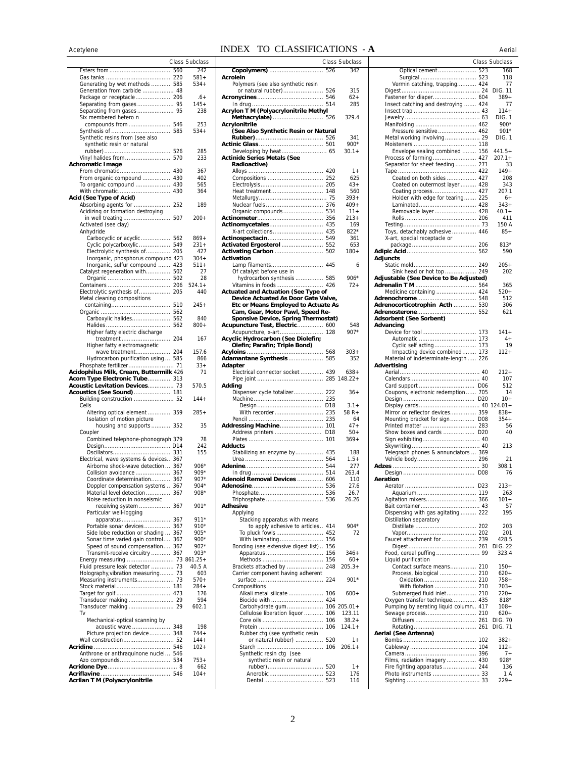### Acetylene **INDEX TO CLASSIFICATIONS** - **A** Aerial

|                                                     |     | Class Subclass   |
|-----------------------------------------------------|-----|------------------|
|                                                     | 560 | 242              |
|                                                     |     | 581+             |
| Generating by wet methods  585                      |     | 534+             |
| Generation from carbide  48                         |     |                  |
| Package or receptacle 206                           |     | $6+$             |
| Separating from gases 95                            |     | $145+$           |
|                                                     |     | 238              |
| Six membered hetero n                               |     |                  |
| compounds from                                      | 546 | 253              |
|                                                     | 585 | 534+             |
| Synthetic resins from (see also                     |     |                  |
| synthetic resin or natural                          |     |                  |
|                                                     | 526 | 285              |
| Vinyl halides from                                  | 570 | 233              |
| <b>Achromatic Image</b>                             |     |                  |
| From chromatic                                      | 430 | 367              |
| From organic compound                               | 430 | 402              |
| To organic compound                                 | 430 | 565              |
| With chromatic<br>Acid (See Type of Acid)           | 430 | 364              |
|                                                     |     |                  |
| Absorbing agents for                                | 252 | 189              |
| Acidizing or formation destroying                   |     |                  |
| in well treating                                    | 507 | $200+$           |
| Activated (see clay)                                |     |                  |
| Anhydride                                           |     |                  |
| Carbocyclic or acyclic                              | 562 | $869+$           |
| Cyclic polycarboxylic                               | 549 | $231+$           |
| Electrolytic synthesis of                           | 205 | 427              |
| Inorganic, phosphorus compound 423                  |     | $304+$           |
| Inorganic, sulfur compound  423                     |     | $511 +$          |
| Catalyst regeneration with                          | 502 | 27               |
|                                                     | 502 | 28               |
|                                                     | 206 | $524.1+$         |
| Electrolytic synthesis of                           | 205 | 440              |
| Metal cleaning compositions                         |     |                  |
|                                                     | 510 | 245+             |
|                                                     | 562 |                  |
| Carboxylic halides                                  | 562 | 840              |
|                                                     | 562 | 800+             |
| Higher fatty electric discharge                     |     |                  |
| treatment                                           | 204 | 167              |
| Higher fatty electromagnetic                        |     |                  |
| wave treatment 204                                  |     | 157.6            |
| Hydrocarbon purification using 585                  |     | 866              |
| Phosphate fertilizer 71                             |     | $33+$            |
| Acidophilus Milk, Cream, Buttermilk 426             |     | 71               |
| Acorn Type Electronic Tube 313                      |     |                  |
| Acoustic Levitation Devices 73                      |     | 570.5            |
| Acoustics (See Sound)  181                          |     |                  |
| Building construction  52                           |     | 144+             |
| Cells                                               |     |                  |
| Altering optical element                            | 359 | $285+$           |
| Isolation of motion picture                         |     |                  |
| housing and supports                                | 352 | 35               |
| Coupler                                             |     |                  |
| Combined telephone-phonograph 379                   |     | 78               |
|                                                     |     | 242              |
| Oscillators                                         | 331 | 155              |
| Electrical, wave systems & devices                  | 367 |                  |
| Airborne shock-wave detection  367                  |     | $906*$           |
| Collision avoidance  367                            |     | 909*             |
| Coordinate determination 367                        |     | 907*             |
| Doppler compensation systems  367                   |     | $904*$           |
| Material level detection  367                       |     | $908*$           |
| Noise reduction in nonseismic                       |     |                  |
| receiving system  367                               |     | 901*             |
| Particular well-logging                             |     |                  |
|                                                     |     | $911*$           |
| Portable sonar devices 367                          |     | 910*             |
| Side lobe reduction or shading  367                 |     | 905*             |
| Sonar time varied gain control 367                  |     | 900*             |
| Speed of sound compensation 367                     |     | 902*             |
| Transmit-receive circuitry  367                     |     | $903*$           |
| Energy measuring  73 861.25+                        |     |                  |
| Fluid pressure leak detector  73                    |     | 40.5 A           |
| Holography, vibration measuring 73                  |     | 603              |
| Measuring instruments 73                            |     | 570+             |
|                                                     |     | $284+$           |
|                                                     |     | 176              |
| Transducer making  29                               |     | 594              |
| Transducer making  29                               |     | 602.1            |
| Tv                                                  |     |                  |
| Mechanical-optical scanning by                      |     |                  |
|                                                     |     | 198              |
| acoustic wave  348<br>Picture projection device 348 |     |                  |
|                                                     |     | $744+$<br>$144+$ |
| Wall construction 52                                |     |                  |
|                                                     |     | $102 +$          |
| Anthrone or anthraquinone nuclei 546                |     |                  |
|                                                     |     | $753+$           |
|                                                     |     | 662              |
|                                                     |     | $104 +$          |
| Acrilan T M (Polyacrylonitrile                      |     |                  |

|        | Class Subclass      |                                            | Class Subclass |                                        | <b>Class Subclass</b> |
|--------|---------------------|--------------------------------------------|----------------|----------------------------------------|-----------------------|
| 560    | 242                 |                                            | 342            | Optical cement  523                    | 168                   |
| 220    | 581+                | Acrolein                                   |                |                                        | 118                   |
| . 585  | $534+$              | Polymers (see also synthetic resin         |                | Vermin catching, trapping 424          | 77                    |
| 48     |                     |                                            | 315            |                                        |                       |
| . 206  | $.6+$               |                                            | 62+            |                                        | 389+                  |
| 95     | $145+$              |                                            | 285            | Insect catching and destroying  424    | 77                    |
| 95     | 238                 | Acrylon T M (Polyacrylonitrile Methyl      |                |                                        | $114+$                |
|        |                     |                                            | 329.4          |                                        | DIG. 1                |
| . 546  | 253                 | Acrylonitrile                              |                |                                        | 900*                  |
| 585    | $534+$              | (See Also Synthetic Resin or Natural       |                | Pressure sensitive 462                 | 901*                  |
|        |                     |                                            | 341            |                                        | DIG. 1                |
|        |                     |                                            | 900*           |                                        |                       |
| . 526  | 285                 |                                            | 30.1+          | Envelope sealing combined  156         | $441.5+$              |
| 570    | 233                 | <b>Actinide Series Metals (See</b>         |                |                                        | $207.1+$              |
|        |                     | <b>Radioactive)</b>                        |                | Separator for sheet feeding 271        | 33                    |
| . 430  | 367                 |                                            | $1+$           |                                        | $149+$                |
| 430    | 402                 |                                            | 625            | Coated on both sides  427              | 208                   |
| 430    | 565                 |                                            | $43+$          | Coated on outermost layer  428         | 343                   |
| 430    | 364                 |                                            | 560            |                                        | 207.1                 |
|        |                     |                                            | $393+$         | Holder with edge for tearing 225       | $6+$                  |
| . 252  | 189                 |                                            | $409+$         |                                        | $343+$                |
|        |                     |                                            | $11+$          | Removable layer 428                    | $40.1 +$              |
| 507    | $200+$              |                                            | $213+$         |                                        | 411                   |
|        |                     |                                            | 169            |                                        | 150 A                 |
|        |                     |                                            | $822*$         | Toys, detachably adhesive  446         | $85+$                 |
| 562    | $869+$              |                                            | 361            | X-art, special receptacle or           |                       |
| 549    | $231 +$             |                                            | 653            |                                        | $813*$                |
| 205    | 427                 |                                            | $180+$         |                                        | 590                   |
| d 423  | 304+                | Activation                                 |                | Adjuncts                               |                       |
| . 423  | $511+$              |                                            | 6              |                                        | $205 +$               |
| 502    | 27                  | Of catalyst before use in                  |                | Sink head or hot top  249              | 202                   |
| 502    | 28                  | hydrocarbon synthesis  585                 | 906*           | Adjustable (See Device to Be Adjusted) |                       |
| 206    | $524.1+$            |                                            | $72+$          |                                        | 365                   |
| 205    | 440                 | <b>Actuated and Actuation (See Type of</b> |                | Medicine containing  424               | $520+$                |
|        |                     | Device Actuated As Door Gate Valve,        |                |                                        | 512                   |
| 510    | $245+$              | Etc or Means Employed to Actuate As        |                | Adrenocorticotrophin Acth  530         | 306                   |
| 562    |                     | Cam, Gear, Motor Pawl, Speed Re-           |                |                                        | 621                   |
| 562    | 840                 | Sponsive Device, Spring Thermostat)        |                | Adsorbent (See Sorbent)                |                       |
| 562    | $800 +$             | Acupuncture Test, Electric 600             | 548            | Advancing                              |                       |
|        |                     |                                            | $907*$         |                                        | $141 +$               |
| . 204  | 167                 | Acyclic Hydrocarbon (See Diolefin;         |                |                                        | $4+$                  |
|        |                     | Olefin; Parafin; Triple Bond)              |                |                                        | 19                    |
| . 204  | 157.6               |                                            | $303+$         | Impacting device combined 173          | $112+$                |
| . 585  | 866                 | Adamantane Synthesis  585                  | 352            | Material of indeterminate-length  226  |                       |
| . . 71 | $33+$               | Adapter                                    |                | Advertising                            |                       |
| k 426  | 71                  | Electrical connector socket  439           | $638+$         |                                        | $212+$                |
| . 313  |                     |                                            |                |                                        | 107                   |
| 73     | 570.5               | Adding                                     |                |                                        | 512                   |
| . 181  |                     | Dispenser cycle totalizer 222              | $36+$          | Coupons, electronic redemption 705     | 14                    |
| 52     | $144+$              |                                            |                |                                        | $10+$                 |
|        |                     |                                            | $3.1+$         |                                        |                       |
| . 359  | $285+$              |                                            | $58 R +$       | Mirror or reflector devices 359        | $838 +$               |
|        |                     |                                            | 64             | Mounting bracket for sign D08          | $354+$                |
| . 352  | 35                  |                                            | $47+$          |                                        | 56                    |
|        |                     | Address printers  D18                      | $50+$          | Show boxes and cards  D20              | 40                    |
| 379 ו  | 78                  |                                            | $369+$         |                                        |                       |
| . D14  | 242                 | <b>Adducts</b>                             |                |                                        | 213                   |
| . 331  | 155                 | Stabilizing an enzyme by 435               | 188            | Telegraph phones & annunciators  369   |                       |
| 367    |                     |                                            | $1.5+$         |                                        | 21                    |
| 367    | 906*                |                                            | 277            |                                        | 308.1                 |
| 367    | 909*                |                                            | 263.4          |                                        | 76                    |
| 367    | $907*$              | Adenoid Removal Devices  606               | 110            | Aeration                               |                       |
| 367    | 904*                |                                            | 27.6           |                                        | 213+                  |
| . 367  | 908*                |                                            | 26.7           |                                        | 263                   |
|        |                     |                                            | 26.26          |                                        | $101 +$               |
| . 367  | $901*$              | Adhesive                                   |                |                                        | 57                    |
|        |                     | Applying                                   |                | Dispensing with gas agitating  222     | 195                   |
| 367    | $911*$              | Stacking apparatus with means              |                | Distillation separatory                |                       |
| 367    | 910*                | to apply adhesive to articles 414          | 904*           |                                        | 203                   |
| 367    | 905*                |                                            | 72             |                                        | 201                   |
| 367    | $900*$              |                                            |                |                                        | 428.5                 |
| 367    | $902*$              | Bonding (see extensive digest list) 156    |                |                                        | DIG. 22               |
| 367    | $903*$              |                                            | $346+$         |                                        | 323.4                 |
|        | $\ldots$ 73 861.25+ |                                            | $60+$          | Liquid purification                    |                       |
| 73     | 40.5 A              | Brackets attached by  248                  | $205.3+$       | Contact surface means 210              | 150+                  |
| 73     | 603                 | Carrier component having adherent          |                |                                        | $620+$                |
| . . 73 | $570+$              |                                            | 901*           |                                        | 758+                  |
| . 181  | $284+$              | Compositions                               |                | With flotation  210                    | $703+$                |
| . 473  | 176                 | Alkali metal silicate  106                 | $600+$         | Submerged fluid inlet 210              | $220+$                |
| 29     | 594                 |                                            |                | Oxygen transfer technique 435          | $818*$                |
| 29     | 602.1               | Carbohydrate gum 106 205.01+               |                | Pumping by aerating liquid column 417  | $108+$                |
|        |                     | Cellulose liberation liquor  106           | 123.11         |                                        | $620+$                |
|        |                     |                                            | 38.2+          |                                        | DIG. 70               |
| 348    | 198                 |                                            | $124.1+$       |                                        | DIG. 71               |
| 348    | $744+$              | Rubber ctg (see synthetic resin            |                | Aerial (See Antenna)                   |                       |
| 52     | $144+$              | or natural rubber)  520                    | $1+$           |                                        | 382+                  |
| . 546  | $102 +$             |                                            | $206.1+$       |                                        | $112+$                |
| 546    |                     | Synthetic resin ctg (see                   |                |                                        | $7+$                  |
| . 534  | $753+$              |                                            |                |                                        | $928*$                |
|        | 662                 | synthetic resin or natural                 | $1+$           | Films, radiation imagery  430          | 136                   |
| . 8    |                     |                                            |                | Fire fighting apparatus  244           |                       |
| . 546  | $104+$              |                                            | 176            |                                        | 1 A                   |
|        |                     |                                            | 116            |                                        | $229+$                |

|                                                               |     | Class Subclass     |
|---------------------------------------------------------------|-----|--------------------|
| Optical cement  523                                           |     | 168                |
| Surgical  523                                                 |     | 118                |
| Vermin catching, trapping 424                                 |     | 77<br>DIG. 11      |
| Fastener for diaper 604                                       |     | 389+               |
| Insect catching and destroying  424                           |     | 77                 |
|                                                               |     | $114+$             |
|                                                               |     | DIG. 1<br>900*     |
| Pressure sensitive 462                                        |     | $901*$             |
| Metal working involving 29                                    |     | DIG. 1             |
|                                                               |     |                    |
| Envelope sealing combined  156                                |     | $441.5+$           |
| Process of forming 427<br>Separator for sheet feeding 271     |     | $207.1 +$<br>33    |
|                                                               |     | $149+$             |
| Coated on both sides  427                                     |     | 208                |
| Coated on outermost layer  428                                |     | 343                |
| Coating process 427                                           |     | 207.1              |
| Holder with edge for tearing 225                              |     | 6+<br>$343+$       |
| Removable layer 428                                           |     | $40.1 +$           |
|                                                               |     | 411                |
|                                                               |     | 150 A              |
| Toys, detachably adhesive  446                                |     | $85+$              |
| X-art, special receptacle or                                  |     | $813*$             |
|                                                               |     | 590                |
| <b>Adiuncts</b>                                               |     |                    |
|                                                               |     | $205 +$            |
| Sink head or hot top  249                                     |     | 202                |
| Adjustable (See Device to Be Adjusted)                        |     |                    |
| Medicine containing  424                                      |     | 365<br>520+        |
|                                                               |     | 512                |
| Adrenocorticotrophin Acth  530                                |     | 306                |
|                                                               |     | 621                |
| Adsorbent (See Sorbent)<br>Advancing                          |     |                    |
|                                                               |     | $141 +$            |
| Automatic                                                     | 173 | $4+$               |
|                                                               |     | 19                 |
| Impacting device combined 173                                 |     | 112+               |
| Material of indeterminate-length  226<br>Advertising          |     |                    |
|                                                               |     | $212 +$            |
|                                                               |     | 107                |
|                                                               |     | 512                |
| Coupons, electronic redemption 705                            |     | 14                 |
|                                                               |     | 10+<br>$124.01+$   |
| Mirror or reflector devices 359                               |     | $838 +$            |
| Mounting bracket for sign                                     | D08 | $354+$             |
|                                                               |     | 56                 |
| Show boxes and cards  D20                                     |     | 40                 |
|                                                               |     | 213                |
| Telegraph phones & annunciators  369                          |     |                    |
|                                                               |     | 21                 |
|                                                               |     | 308.1              |
| Aeration                                                      |     | 76                 |
|                                                               |     | $213+$             |
|                                                               |     | 263                |
| Agitation mixers 366                                          |     | $101 +$            |
|                                                               |     | 57<br>195          |
| Dispensing with gas agitating  222<br>Distillation separatory |     |                    |
|                                                               |     | 203                |
|                                                               |     | 201                |
| Faucet attachment for  239                                    |     | 428.5              |
|                                                               |     | DIG. 22<br>323.4   |
| Liquid purification                                           |     |                    |
| Contact surface means 210                                     |     | $150+$             |
| Process, biological  210                                      |     | $620+$             |
| Oxidation  210<br>With flotation  210                         |     | $758+$<br>$703+$   |
| Submerged fluid inlet 210                                     |     | $220+$             |
| Oxygen transfer technique 435                                 |     | $818*$             |
| Pumping by aerating liquid column 417                         |     | $108 +$            |
|                                                               |     | $620+$             |
|                                                               |     | DIG. 70<br>DIG. 71 |
| Aerial (See Antenna)                                          |     |                    |
|                                                               |     | $382+$             |
|                                                               |     | $112 +$            |
|                                                               |     | $7+$               |
| Films, radiation imagery  430<br>Fire fighting apparatus  244 |     | 928*<br>136        |
|                                                               |     | 1 A                |
|                                                               |     | $229+$             |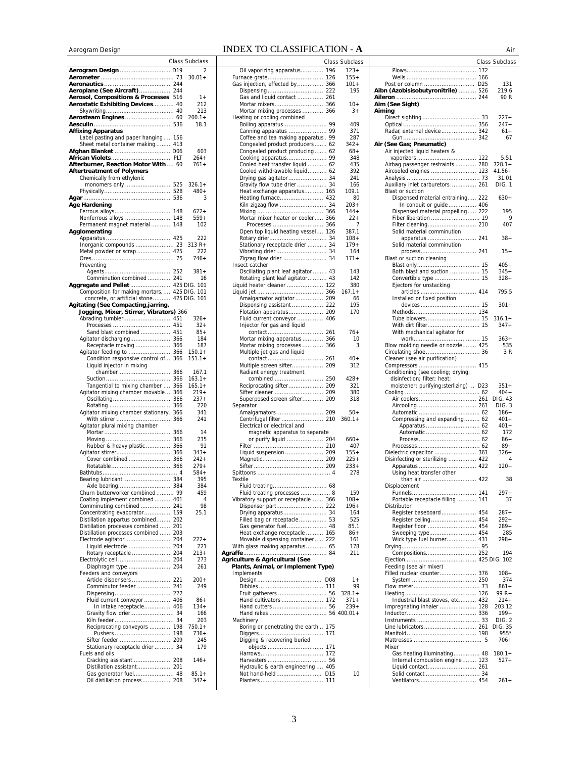# Aerogram DesignINDEX TO CLASSIFICATION - **A** Air

|                                                             |            | Class Subclass        |
|-------------------------------------------------------------|------------|-----------------------|
| Aerogram Design  D19                                        |            | $\overline{2}$        |
|                                                             | 73         | $30.01 +$             |
| Aeroplane (See Aircraft) 244                                |            |                       |
| Aerosol, Compositions & Processes 516                       |            | $1+$                  |
| Aerostatic Exhibiting Devices 40                            |            | 212                   |
|                                                             |            | 213                   |
|                                                             |            | 200.1+<br>18.1        |
| <b>Affixing Apparatus</b>                                   |            |                       |
| Label pasting and paper hanging                             | 156        |                       |
| Sheet metal container making 413                            |            |                       |
| Afghan Blanket  D06                                         |            | 603                   |
| Afterburner, Reaction Motor With  60                        |            | 264+<br>$761+$        |
| <b>Aftertreatment of Polymers</b>                           |            |                       |
| Chemically from ethylenic                                   |            |                       |
|                                                             |            | $326.1+$              |
|                                                             | 528        | $480+$                |
| Age Hardening                                               | 536        | 3                     |
| Ferrous alloys                                              | 148        | $622+$                |
| Nonferrous alloys                                           | 148        | 559+                  |
| Permanent magnet material                                   | 148        | 102                   |
| Agglomerating                                               |            |                       |
|                                                             |            | 222<br>313 R+         |
| Metal powder or scrap  425                                  |            | 222                   |
|                                                             | 75         | 746+                  |
| Preventing                                                  |            |                       |
| Comminution combined                                        | 241        | 381+                  |
| Aggregate and Pellet  425 DIG. 101                          |            | 16                    |
| Composition for making mortars,                             |            | 425 DIG. 101          |
| concrete, or artificial stone                               |            | 425 DIG. 101          |
| Agitating (See Compacting,jarring,                          |            |                       |
| Jogging, Mixer, Stirrer, Vibrators) 366<br>Abrading tumbler | 451        | $326+$                |
|                                                             |            | $32+$                 |
| Sand blast combined                                         | 451        | $85+$                 |
| Agitator discharging                                        | 366        | 184                   |
| Receptacle moving                                           | 366        | 187                   |
| Agitator feeding to<br>Condition responsive control of      | 366<br>366 | $150.1 +$<br>$151.1+$ |
| Liquid injector in mixing                                   |            |                       |
| chamber                                                     | 366        | 167.1                 |
|                                                             | 366        | $163.1+$              |
| Tangential to mixing chamber                                | 366        | $165.1+$<br>$219+$    |
| Agitator mixing chamber movable<br>Oscillating              | 366<br>366 | 237+                  |
|                                                             | 366        | 220                   |
| Agitator mixing chamber stationary.                         | 366        | 341                   |
| With stirrer                                                | 366        | 241                   |
| Agitator plural mixing chamber                              | 366        | 14                    |
|                                                             | 366        | 235                   |
| Rubber & heavy plastic                                      | 366        | 91                    |
| Agitator stirrer                                            | 366        | 343+                  |
| Cover combined                                              | 366        | $242+$<br>$279+$      |
| Rotatable                                                   | 366        | $584+$                |
| Bearing lubricant                                           | 384        | 395                   |
|                                                             |            | 384                   |
| Churn butterworker combined  99                             |            | 459                   |
| Coating implement combined  401                             |            | 4                     |
| Comminuting combined  241<br>Concentrating evaporator 159   |            | 98<br>25.1            |
| Distillation appartus combined 202                          |            |                       |
| Distillation processes combined  201                        |            |                       |
| Distillation processes combined                             | 203        |                       |
| Electrode agitator 204                                      |            | 222+                  |
| Liquid electrode  204<br>Rotary receptacle  204             |            | 221<br>$213+$         |
|                                                             |            | 273                   |
| Diaphragm type  204                                         |            | 261                   |
| Feeders and conveyors                                       |            |                       |
| Article dispensers 221                                      |            | $200+$                |
| Comminutor feeder  241                                      |            | 249                   |
| Fluid current conveyor  406                                 |            | 86+                   |
| In intake receptacle 406                                    |            | $134+$                |
| Gravity flow drier 34                                       |            | 166                   |
| Reciprocating conveyors  198                                |            | 203<br>$750.1 +$      |
|                                                             |            | $736+$                |
|                                                             |            | 245                   |
| Stationary receptacle drier  34                             |            | 179                   |
| Fuels and oils                                              |            |                       |
| Cracking assistant  208<br>Distillation assistant 201       |            | 146+                  |
|                                                             |            | $85.1+$               |
| Oil distillation process  208                               |            | 347+                  |
|                                                             |            |                       |

|                                                                       |                 | Class Subclass     |
|-----------------------------------------------------------------------|-----------------|--------------------|
| Oil vaporizing apparatus                                              | 196             | $123+$             |
| Furnace grate                                                         | 126             | 155+               |
| Gas injection, effected by 366                                        |                 | 101+               |
|                                                                       |                 | 195                |
| Gas and liquid contact  261                                           |                 |                    |
| Mortar mixers 366                                                     |                 | 10+                |
| Mortar mixing processes  366                                          |                 | 3+                 |
| Heating or cooling combined                                           |                 | 409                |
| Canning apparatus  99                                                 |                 | 371                |
| Coffee and tea making apparatus . 99                                  |                 | 287                |
| Congealed product producers 62                                        |                 | $342+$             |
| Congealed product producing 62                                        |                 | $68+$              |
|                                                                       |                 | 348                |
| Cooled heat transfer liquid  62                                       |                 | 435                |
| Cooled withdrawable liquid 62                                         |                 | 392                |
| Drying gas agitator  34                                               |                 | 241                |
| Gravity flow tube drier  34                                           |                 | 166                |
| Heat exchange apparatus 165                                           |                 | 109.1              |
| Heating furnace 432                                                   |                 | 80                 |
| Kiln zigzag flow  34                                                  |                 | $203+$             |
| Mortar mixer heater or cooler 366                                     |                 | $144+$             |
|                                                                       |                 | 22+<br>7           |
| Open top liquid heating vessel 126                                    |                 | 387.1              |
|                                                                       |                 | 108+               |
| Stationary receptacle drier  34                                       |                 | 179+               |
| Vibrating drier 34                                                    |                 | 164                |
| Zigzag flow drier  34                                                 |                 | 171+               |
| Insect catcher                                                        |                 |                    |
| Oscillating plant leaf agitator  43                                   |                 | 143                |
| Rotating plant leaf agitator 43                                       |                 | 142                |
| Liquid heater cleaner  122                                            |                 | 380                |
|                                                                       |                 | $167.1 +$          |
| Amalgamator agitator  209                                             |                 | 66                 |
| Dispensing assistant  222                                             |                 | 195                |
| Flotation apparatus 209<br>Fluid current conveyor  406                |                 | 170                |
|                                                                       |                 |                    |
| Injector for gas and liquid                                           |                 | 76+                |
| Mortar mixing apparatus                                               | 366             | 10                 |
| Mortar mixing processes  366                                          |                 | 3                  |
| Multiple jet gas and liquid                                           |                 |                    |
| contact                                                               | 261             | 40+                |
| Multiple screen sifter 209                                            |                 | 312                |
| Radiant energy treatment                                              |                 |                    |
| combined                                                              | 250             | 428+               |
| Reciprocating sifter 209                                              |                 | 321                |
| Sifter cleaner  209                                                   |                 | 380                |
| Superposed screen sifter 209                                          |                 | 318                |
| Separator                                                             |                 |                    |
|                                                                       |                 | $50+$<br>$360.1 +$ |
| Centrifugal filter  210<br>Electrical or electrical and               |                 |                    |
| magnetic apparatus to separate                                        |                 |                    |
| or purify liquid  204                                                 |                 | 660+               |
|                                                                       |                 | 407                |
|                                                                       |                 | $155+$             |
|                                                                       |                 | 225+               |
|                                                                       |                 | 233+               |
|                                                                       |                 | 278                |
| Textile                                                               |                 |                    |
|                                                                       |                 |                    |
| Fluid treating processes  8<br>Vibratory support or receptacle 366    |                 | 159<br>108+        |
|                                                                       |                 | $196+$             |
| Drying apparatus 34                                                   |                 | 164                |
| Filled bag or receptacle 53                                           |                 | 525                |
| Gas generator fuel 48                                                 |                 | 85.1               |
| Heat exchange receptacle  165<br>Movable dispensing container  222    |                 | $86+$              |
|                                                                       |                 | 161                |
| With glass making apparatus 65                                        |                 | 178                |
|                                                                       |                 | 211                |
| Agriculture & Agricultural (See<br>Plants, Animal, or Implement Type) |                 |                    |
| Implements                                                            |                 |                    |
|                                                                       | D <sub>08</sub> | $1+$               |
|                                                                       |                 | 99                 |
|                                                                       |                 | $328.1 +$          |
| Hand cultivators  172                                                 |                 | $371+$             |
|                                                                       |                 | $239+$             |
|                                                                       |                 |                    |
| Machinery                                                             |                 |                    |
| Boring or penetrating the earth  175                                  |                 |                    |
| Digging & recovering buried                                           |                 |                    |
| objects  171                                                          |                 |                    |
|                                                                       |                 |                    |
|                                                                       |                 |                    |
| Hydraulic & earth engineering  405                                    |                 |                    |
| Not hand-held D15                                                     |                 | 10                 |
|                                                                       |                 |                    |

|                 | Class Subclass |                                        | <b>Class Subclass</b> |
|-----------------|----------------|----------------------------------------|-----------------------|
|                 |                |                                        |                       |
| 196             | $123+$         |                                        |                       |
| 126             | $155+$         |                                        |                       |
| 366             | 101+           | Post or column  D25                    | 131                   |
| 222             | 195            | Aibn (Azobisisobutyronitrile)  526     | 219.6                 |
| 261             |                |                                        | 90 R                  |
| 366             | $10+$          | Aim (See Sight)                        |                       |
|                 |                |                                        |                       |
| 366             | $3+$           | Aiming                                 |                       |
|                 |                |                                        | $227+$                |
| 99              | 409            |                                        | $247+$                |
| 99              | 371            | Radar, external device 342             | $61+$                 |
| .99             | 287            |                                        | 67                    |
|                 |                |                                        |                       |
| 62              | $342+$         | Air (See Gas; Pneumatic)               |                       |
| .62             | $68+$          | Air injected liquid heaters &          |                       |
| 99              | 348            |                                        | 5.51                  |
| 62              | 435            | Airbag passenger restraints  280       | 728.1+                |
| .62             | 392            | Aircooled engines  123                 | $41.56+$              |
|                 |                |                                        |                       |
| 34              | 241            |                                        | 31.01                 |
| 34              | 166            | Auxiliary inlet carburetors 261        | DIG. 1                |
| 165             | 109.1          | <b>Blast or suction</b>                |                       |
| 432             | 80             | Dispensed material entraining 222      | $630+$                |
| 34              | $203+$         | In conduit or guide 406                |                       |
| 366             | $144 +$        |                                        | 195                   |
|                 |                | Dispensed material propelling 222      |                       |
| 366             | $22 +$         |                                        | 9                     |
| 366             | 7              |                                        | 407                   |
| 126             | 387.1          | Solid material comminution             |                       |
| 34              | 108+           |                                        | $38+$                 |
| .34             | 179+           | Solid material comminution             |                       |
|                 |                |                                        |                       |
| 34              | 164            |                                        | 15+                   |
| 34              | $171+$         | Blast or suction cleaning              |                       |
|                 |                |                                        | $405+$                |
| .43             | 143            | Both blast and suction  15             | 345+                  |
| 43              | 142            |                                        | $328+$                |
|                 |                |                                        |                       |
| 122             | 380            | Ejectors for unstacking                |                       |
| 366             | $167.1+$       | articles  414                          | 795.5                 |
| 209             | 66             | Installed or fixed position            |                       |
| 222             | 195            |                                        | $301 +$               |
| 209             | 170            |                                        |                       |
| 406             |                |                                        | $316.1+$              |
|                 |                |                                        |                       |
|                 |                |                                        | $347+$                |
| 261             | $76+$          | With mechanical agitator for           |                       |
| 366             | 10             |                                        | $363+$                |
| 366             | 3              | Blow molding needle or nozzle 425      | 535                   |
|                 |                |                                        | 3 R                   |
|                 |                |                                        |                       |
| 261             | 40+            | Cleaner (see air purification)         |                       |
| 209             | 312            |                                        |                       |
|                 |                | Conditioning (see cooling; drying;     |                       |
| 250             | $428 +$        | disinfection; filter; heat;            |                       |
| 209             | 321            | moistener; purifying; sterlizing)  D23 | $351+$                |
|                 |                |                                        |                       |
| 209             | 380            |                                        | $404+$                |
| 209             | 318            |                                        | DIG. 43               |
|                 |                |                                        | DIG. 3                |
| 209             | $50+$          |                                        | $186+$                |
| 210             | $360.1+$       | Compressing and expanding 62           | 401+                  |
|                 |                |                                        |                       |
|                 |                |                                        | 401+                  |
| te              |                |                                        | 172                   |
| 204             | 660+           |                                        | $86+$                 |
| 210             | 407            |                                        | $89+$                 |
| 209             | $155+$         |                                        | 326+                  |
| 209             | 225+           | Disinfecting or sterilizing  422       | 4                     |
|                 |                |                                        |                       |
| 209             | $233+$         |                                        | $120+$                |
| . 4             | 278            | Using heat transfer other              |                       |
|                 |                | than air  422                          | 38                    |
| 68              |                | Displacement                           |                       |
| 8               | 159            |                                        | $297+$                |
| 366             | $108 +$        | Portable receptacle filling  141       | 37                    |
|                 |                |                                        |                       |
| 222             | 196+           | Distributor                            |                       |
| 34              | 164            | Register baseboard 454                 | $287 +$               |
| 53              | 525            | Register ceiling 454                   | $292+$                |
| 48              | 85.1           | Register floor  454                    | $289+$                |
| 165             | $86+$          | Sweeping type 454                      | 285                   |
| 222             | 161            | Wick type fuel burner 431              | 298+                  |
|                 |                |                                        |                       |
| 65              | 178            |                                        |                       |
| 84              | 211            |                                        | 194                   |
|                 |                |                                        |                       |
| 'pe)            |                | Feeding (see air mixer)                |                       |
|                 |                | Filled nuclear counter 376             | $108 +$               |
|                 |                |                                        | 374                   |
| D <sub>08</sub> | 1+             |                                        |                       |
| 111             | 99             |                                        | $861+$                |
| .56             | $328.1+$       |                                        | 99 R+                 |
| 172             | $371+$         | Industrial blast stoves, etc 432       | 214+                  |
| 56              | $239+$         | Impregnating inhaler  128              | 203.12                |
|                 |                |                                        | $199+$                |
|                 | 56 400.01+     |                                        |                       |
|                 |                |                                        | DIG. 2                |
| 175             |                |                                        | DIG. 35               |
| 171             |                |                                        | 955*                  |
|                 |                |                                        | 706+                  |
| 171             |                | Mixer                                  |                       |
|                 |                |                                        |                       |
| 172             |                | Gas heating illuminating 48            | $180.1 +$             |
| 56              |                | Internal combustion engine 123         | $527+$                |
| 405             |                |                                        |                       |
| D <sub>15</sub> | 10             |                                        |                       |
| 111             |                |                                        | $261+$                |
|                 |                |                                        |                       |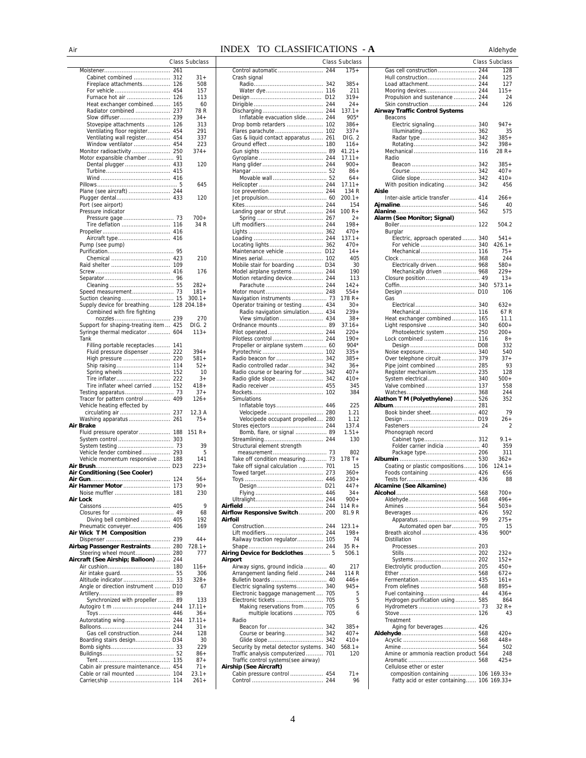### Air **INDEX TO CLASSIFICATIONS** - **A** Aldehyde

| Cabinet combined                        | 312 | $31 +$             |
|-----------------------------------------|-----|--------------------|
| Fireplace attachments                   | 126 | 508                |
|                                         |     | 157                |
| Furnace hot air                         | 126 | 113                |
| Heat exchanger combined 165             |     | 60                 |
| Radiator combined  237                  |     | 78 R               |
|                                         |     | $34+$              |
| Stovepipe attachments  126              |     | 313                |
|                                         |     | 291                |
| Ventilating floor register 454          |     |                    |
| Ventilating wall register 454           |     | 337                |
| Window ventilator  454                  |     | 223                |
| Monitor radioactivity  250              |     | $374+$             |
| Motor expansible chamber  91            |     |                    |
| Dental plugger  433                     |     | 120                |
|                                         |     |                    |
|                                         |     |                    |
|                                         |     | 645                |
| Plane (see aircraft)  244               |     |                    |
|                                         |     | 120                |
|                                         |     |                    |
| Port (see airport)                      |     |                    |
| Pressure indicator                      |     |                    |
|                                         |     | $700+$             |
| Tire deflation  116                     |     | 34 R               |
|                                         |     |                    |
| Aircraft type 416                       |     |                    |
|                                         |     |                    |
| Pump (see pump)                         |     |                    |
|                                         |     |                    |
|                                         |     | 210                |
|                                         |     |                    |
|                                         |     | 176                |
|                                         |     |                    |
|                                         |     | $282+$             |
|                                         |     |                    |
|                                         |     | $181 +$            |
| Suction cleaning 15                     |     | $300.1 +$          |
| Supply device for breathing 128 204.18+ |     |                    |
| Combined with fire fighting             |     |                    |
|                                         |     | 270                |
| Support for shaping-treating item  425  |     | DIG. 2             |
| Syringe thermal medicator  604          |     | $113+$             |
| Tank                                    |     |                    |
|                                         |     |                    |
| Filling portable receptacles 141        |     |                    |
| Fluid pressure dispenser  222           |     | $394+$             |
|                                         |     | 581+               |
| Ship raising 114                        |     | $52+$              |
|                                         |     | 10                 |
| Tire inflater 222                       |     | $3+$               |
|                                         |     |                    |
|                                         |     |                    |
| Tire inflater wheel carried  152        |     | $418 +$            |
|                                         |     | $37+$              |
| Tracer for pattern control  409         |     | 126+               |
| Vehicle heating effected by             |     |                    |
|                                         |     | 12.3 A             |
| circulating air  237                    |     | 75+                |
| Washing apparatus 261                   |     |                    |
| Air Brake                               |     |                    |
| Fluid pressure operator  188            |     | $151 R +$          |
|                                         |     |                    |
| System testing                          | 73  | 39                 |
| Vehicle fender combined 293             |     | 5                  |
| Vehicle momentum responsive  188        |     | 141                |
|                                         |     | $223+$             |
| Air Conditioning (See Cooler)           |     |                    |
|                                         |     | 56+                |
|                                         | 173 | $90+$              |
| Air Hammer Motor                        |     |                    |
|                                         |     | 230                |
| Air Lock                                |     |                    |
|                                         |     | 9                  |
|                                         | 49  | 68                 |
| Diving bell combined  405               |     | 192                |
| Pneumatic conveyer 406                  |     | 169                |
| Air Wick TM Composition                 |     |                    |
|                                         |     | $44 +$             |
|                                         |     |                    |
| Airbag Passenger Restraints 280         |     | 728.1+             |
| Steering wheel mount 280                |     | 777                |
| Aircraft (See Airship; Balloon)  244    |     |                    |
|                                         |     | $116+$             |
|                                         |     | 306                |
|                                         |     | $328+$             |
| Angle or direction instrument  D10      |     | 67                 |
|                                         |     |                    |
| Synchronized with propeller  89         |     | 133                |
|                                         |     | 17.11+             |
|                                         |     |                    |
|                                         |     | $36+$              |
| Autorotating wing 244                   |     | $17.11 +$          |
|                                         |     | $31 +$             |
| Gas cell construction 244               |     | 128                |
| Boarding stairs design D34              |     | 30                 |
|                                         |     | 229                |
|                                         |     | 86+                |
|                                         |     |                    |
|                                         |     | $87+$              |
| Cabin air pressure maintenance 454      |     | $71 +$             |
| Cable or rail mounted  104              |     | $23.1+$<br>$261 +$ |

|                  | Class Subclass    |                                                                     |     | <b>Class Subclass</b> |
|------------------|-------------------|---------------------------------------------------------------------|-----|-----------------------|
| 261              |                   | Control automatic                                                   | 244 | $175+$                |
| 312<br>126       | 31+<br>508        | Crash signal                                                        |     | $385+$                |
| .454             | 157               |                                                                     |     | 211                   |
| 126              | 113               |                                                                     |     | 319+                  |
| 165              | 60                |                                                                     |     | $24 +$                |
| . 237<br>239     | 78 R<br>$34+$     | Inflatable evacuation slide 244                                     |     | $137.1+$<br>$905*$    |
| 126              | 313               |                                                                     |     | $386+$                |
| .454             | 291               | Flares parachute 102                                                |     | 337+                  |
| .454             | 337               | Gas & liquid contact apparatus  261                                 |     | DIG. 2                |
| .454<br>.250     | 223<br>$374+$     |                                                                     |     | 116+<br>$41.21 +$     |
| 91               |                   |                                                                     |     | 17.11+                |
| 433              | 120               |                                                                     |     | $900+$                |
| .415<br>.416     |                   |                                                                     |     | $86+$<br>$64+$        |
| . 5              | 645               |                                                                     |     | 17.11+                |
| . 244            |                   |                                                                     |     | 134 R                 |
| 433              | 120               |                                                                     |     | $200.1 +$             |
|                  |                   |                                                                     |     | 154<br>100 R+         |
| . 73             | 700+              |                                                                     |     | 2+                    |
| 116              | 34 R              |                                                                     |     | $198 +$               |
| .416             |                   |                                                                     |     | 470+                  |
| 416              |                   |                                                                     |     | 137.1+<br>470+        |
| 95               |                   | Maintenance vehicle  D12                                            |     | $14 +$                |
| 423              | 210               |                                                                     |     | 405                   |
| 109              |                   | Mobile stair for boarding  D34                                      |     | 30                    |
| .416<br>96       | 176               | Model airplane systems 244<br>Motion retarding device 244           |     | 190<br>113            |
| 55               | $282+$            |                                                                     |     | 142+                  |
| 73               | 181+              |                                                                     |     | $554+$                |
| 15               | $300.1 +$         | Navigation instruments  73                                          |     | $178R +$              |
|                  | $.128204.18+$     | Operator training or testing 434<br>Radio navigation simulation 434 |     | $30+$<br>$239+$       |
| .239             | 270               | View simulation 434                                                 |     | $38+$                 |
| 425              | DIG. 2            | Ordnance mounts 89                                                  |     | $37.16+$              |
| .604             | 113+              |                                                                     |     | 220+                  |
| 141              |                   | Pilotless control  244<br>Propeller or airplane system  60          |     | $190+$<br>$904*$      |
| . 222            | $394+$            |                                                                     |     | 335+                  |
| 220              | $581+$            | Radio beacon for  342                                               |     | 385+                  |
| 114<br>.152      | $52+$             | Radio controlled radar 342                                          |     | 36+                   |
| $\therefore$ 222 | 10<br>$3+$        | Radio course or bearing for  342<br>Radio glide slope  342          |     | 407+<br>$410+$        |
| . 152            | 418+              |                                                                     |     | 345                   |
| 73               | $37+$             |                                                                     |     | 384                   |
| 409              | 126+              | Simulations                                                         |     | 225                   |
| .237             | 12.3A             |                                                                     |     | 1.21                  |
| . 261            | 75+               | Velocipede occupant propelled 280                                   |     | 1.12                  |
|                  |                   |                                                                     |     | 137.4                 |
| 188<br>303       | 151 R+            | Bomb, flare, or signal  89                                          |     | $1.51+$<br>130        |
| 73               | 39                | Structural element strength                                         |     |                       |
| .293             | 5                 |                                                                     |     | 802                   |
| 188<br>D23       | 141<br>$223+$     | Take off condition measuring 73<br>Take off signal calculation  701 |     | 178 T+<br>15          |
|                  |                   |                                                                     |     | 360+                  |
| 124              | $56+$             |                                                                     |     | $230+$                |
| 173              | 90+               |                                                                     |     | 447+                  |
| 181              | 230               |                                                                     |     | $34+$<br>$900+$       |
| 405              | 9                 |                                                                     |     | 114 R+                |
| 49               | 68                | Airflow Responsive Switch 200                                       |     | 81.9R                 |
| 405<br>.406      | 192<br>169        | Airfoil                                                             |     | $123.1+$              |
|                  |                   |                                                                     |     | $198 +$               |
| 239              | $44 +$            | Railway traction regulator 105                                      |     | 74                    |
| 280              | 728.1+            |                                                                     |     | 35 R+                 |
| 280<br>.244      | 777               | Airing Device for Bedclothes  5<br>Airport                          |     | 506.1                 |
| 180              | 116+              | Airway signs, ground indicia  40                                    |     | 217                   |
| 55               | 306               | Arrangement landing field  244                                      |     | 114 R                 |
| 33<br>D10        | $328+$<br>67      | Electric signaling systems 340                                      |     | $446+$<br>$945+$      |
| 89               |                   | Electronic baggage management  705                                  |     | 5                     |
| 89               | 133               |                                                                     |     | 5                     |
| .244             | $17.11 +$         | Making reservations from  705                                       |     | 6                     |
| .446<br>244      | $36+$<br>17.11+   | multiple locations  705<br>Radio                                    |     | 6                     |
| 244              | 31+               |                                                                     |     | 385+                  |
| 244              | 128               |                                                                     |     | 407+                  |
| D34<br>33        | 30<br>229         | Security by metal detector systems. 340                             |     | 410+<br>$568.1+$      |
| $\ldots$ 52      | 86+               | Traffic analysis computerized  701                                  |     | 120                   |
| 135              | 87+               | Traffic control systems(see airway)                                 |     |                       |
| 454<br>104       | 71+               | Airship (See Aircraft)                                              |     | $71+$                 |
| 114              | $23.1+$<br>$261+$ | Cabin pressure control  454                                         |     | 96                    |

| . H                                                                               |     | Alderiyae        |
|-----------------------------------------------------------------------------------|-----|------------------|
|                                                                                   |     | Class Subclass   |
|                                                                                   |     | 128              |
| Hull construction 244                                                             |     | 125              |
| Load attachment 244                                                               |     | 127              |
| Propulsion and sustenance  244                                                    |     | $115+$<br>24     |
| Skin construction  244                                                            |     | 126              |
| <b>Airway Traffic Control Systems</b>                                             |     |                  |
| Beacons                                                                           |     |                  |
| Electric signaling 340                                                            |     | $947 +$          |
| Illuminating 362                                                                  |     | 35<br>$385+$     |
|                                                                                   |     | $398+$           |
|                                                                                   |     | 28 R+            |
| Radio                                                                             |     |                  |
|                                                                                   |     | $385+$           |
| Glide slope 342                                                                   |     | 407+<br>$410+$   |
| With position indicating 342                                                      |     | 456              |
| Aisle                                                                             |     |                  |
| Inter-aisle article transfer  414                                                 |     | $266+$           |
|                                                                                   |     | 40               |
| Alarm (See Monitor; Signal)                                                       |     | 575              |
|                                                                                   |     | 504.2            |
| Burglar                                                                           |     |                  |
| Electric, approach operated 340                                                   |     | $541+$           |
| For vehicle  340                                                                  |     | 426.1+           |
| Mechanical 116                                                                    |     | $75+$<br>244     |
| Electrically driven 968                                                           |     | $580+$           |
| Mechanically driven  968                                                          |     | $229+$           |
|                                                                                   |     | $13+$            |
|                                                                                   |     | $573.1+$         |
| Gas                                                                               |     | 106              |
|                                                                                   |     | 632+             |
|                                                                                   |     | 67 R             |
| Heat exchanger combined 165                                                       |     | 11.1             |
| Light responsive  340                                                             |     | $600+$           |
| Photoelectric system  250                                                         |     | 200+<br>$8+$     |
|                                                                                   |     | 332              |
| Noise exposure 340                                                                |     | 540              |
| Over telephone circuit  379<br>Pipe joint combined  285                           |     | $37 +$           |
|                                                                                   |     | 93               |
| Register mechanism 235                                                            |     | 128              |
| System electrical 340<br>Valve combined  137                                      |     | 500+<br>558      |
|                                                                                   |     | 244              |
| Alathon T M (Polyethylene)  526                                                   |     | 352              |
|                                                                                   |     |                  |
| Book binder sheet 402                                                             |     | 79<br>$26+$      |
|                                                                                   |     | 2                |
| Phonograph record                                                                 |     |                  |
| Cabinet type 312                                                                  |     | $9.1 +$          |
| Folder carrier indicia  40                                                        |     | 359              |
| Package type 206                                                                  |     | 311<br>$362+$    |
| Coating or plastic compositions 106                                               |     | $124.1 +$        |
| Foods containing  426                                                             |     | 656              |
| Tests for                                                                         | 436 | 88               |
| Alcamine (See Alkamine)                                                           |     | 700+             |
|                                                                                   |     | $496+$           |
|                                                                                   |     | $503+$           |
|                                                                                   |     | 592              |
|                                                                                   |     | $275+$           |
| Automated open bar 705                                                            |     | 15<br>$900*$     |
| Distillation                                                                      |     |                  |
|                                                                                   |     |                  |
|                                                                                   |     | $232+$           |
|                                                                                   |     | $152+$<br>$450+$ |
| Electrolytic production 205                                                       |     | $672+$           |
|                                                                                   |     | $161+$           |
|                                                                                   |     | $895+$           |
|                                                                                   |     | 436+             |
| Hydrogen purification using 585                                                   |     | 864<br>$32 R +$  |
|                                                                                   |     | 43               |
| Treatment                                                                         |     |                  |
| Aging for beverages 426                                                           |     |                  |
|                                                                                   |     | $420+$<br>$448+$ |
|                                                                                   |     | 502              |
| Amine or ammonia reaction product 564                                             |     | 248              |
|                                                                                   |     | $425+$           |
| Cellulose ether or ester                                                          |     |                  |
| composition containing  106 169.33+<br>Fatty acid or ester containing 106 169.33+ |     |                  |
|                                                                                   |     |                  |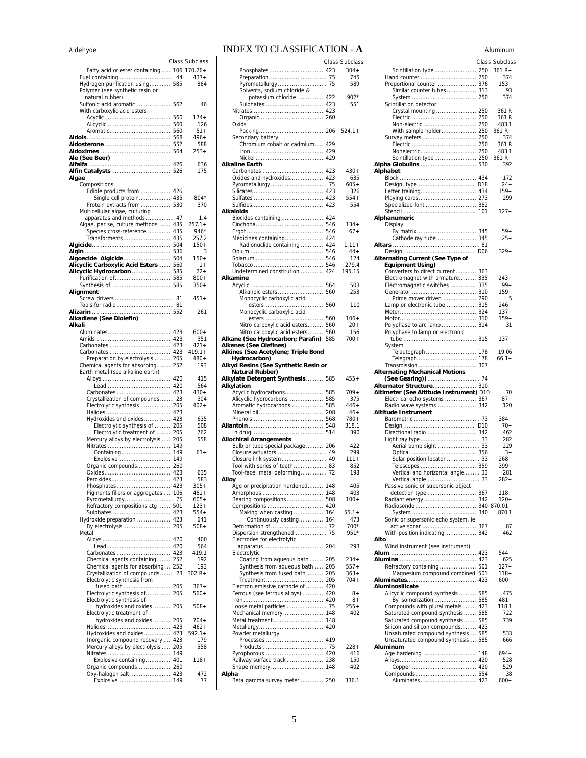## AldehydeINDEX TO CLASSIFICATION - **A** Aluminum

| nuuriyuu                            |     |                |
|-------------------------------------|-----|----------------|
|                                     |     | Class Subclass |
|                                     |     |                |
| Fatty acid or ester containing  106 |     | $170.26+$      |
|                                     |     | $437+$         |
| Hydrogen purification using 585     |     | 864            |
| Polymer (see synthetic resin or     |     |                |
| natural rubber)                     |     |                |
| Sulfonic acid aromatic              | 562 | 46             |
| With carboxylic acid esters         |     |                |
|                                     | 560 | $174+$         |
|                                     | 560 | 126            |
|                                     | 560 | 51+            |
|                                     | 568 | $496+$         |
|                                     | 552 | 588            |
|                                     | 564 | $253+$         |
| Ale (See Beer)                      |     |                |
|                                     | 426 | 636            |
|                                     | 526 | 175            |
|                                     |     |                |
| Algae                               |     |                |
| Compositions                        |     |                |
| Edible products from                | 426 |                |
| Single cell protein                 | 435 | $804*$         |
| Protein extracts from               | 530 | 370            |
| Multicellular algae, culturing      |     |                |
| apparatus and methods  47           |     | 1.4            |
| Algae, per se, culture methods  435 |     | $257.1+$       |
| Species cross-reference             | 435 | 946*           |
| Transforments                       | 435 | 257.2          |
|                                     | 504 | 150+           |
|                                     | 536 | 3              |
| Algoecide Algicide                  | 504 | $150+$         |
| Alicyclic Carboxylic Acid Esters    | 560 | $1+$           |
|                                     |     | $22+$          |
| Alicyclic Hydrocarbon               | 585 | $800 +$        |
|                                     |     |                |
|                                     | 585 | $350+$         |
| Alignment                           |     |                |
|                                     |     | $451 +$        |
|                                     |     |                |
|                                     |     | 261            |
| Alkadiene (See Diolefin)            |     |                |
| Alkali                              |     |                |
|                                     | 423 | $600+$         |
|                                     | 423 | 351            |
|                                     | 423 | $421 +$        |
|                                     | 423 | $419.1 +$      |
| Preparation by electrolysis         | 205 | $480+$         |
|                                     |     | 193            |
| Chemical agents for absorbing       | 252 |                |
| Earth metal (see alkaline earth)    |     |                |
|                                     | 420 | 415            |
|                                     | 420 | 564            |
| Carbonates                          | 423 | $430+$         |
| Crystallization of compounds        | 23  | 304            |
| Electrolytic synthesis              | 205 | $402+$         |
|                                     | 423 |                |
| Hydroxides and oxides               | 423 | 635            |
| Electrolytic synthesis of           | 205 | 508            |
| Electrolytic treatment of           | 205 | 762            |
| Mercury alloys by electrolysis      | 205 | 558            |
|                                     | 149 |                |
| Containing                          | 149 | 61+            |
|                                     |     |                |
| Explosive                           | 149 |                |
| Organic compounds 260               |     |                |
|                                     | 423 | 635            |
|                                     |     | 583            |
| Phosphates                          | 423 | $305+$         |
| Pigments fillers or aggregates      | 106 | $461+$         |
| Pyrometallurgy 75                   |     | $605+$         |
| Refractory compositions ctg         | 501 | $123+$         |
| Sulphates                           | 423 | $554+$         |
| Hydroxide preparation               | 423 | 641            |
|                                     | 205 | $508+$         |
| Metal                               |     |                |
|                                     | 420 | 400            |
|                                     | 420 | 564            |
| Carbonates                          | 423 | 419.1          |
| Chemical agents containing          | 252 | 192            |
|                                     |     |                |
| Chemical agents for absorbing  252  |     | 193            |
| Crystallization of compounds 23     |     | $302 R +$      |
| Electrolytic synthesis from         |     |                |
| fused bath                          | 205 | $367+$         |
| Electrolytic synthesis of           | 205 | $560+$         |
| Electrolytic synthesis of           |     |                |
| hydroxides and oxides               | 205 | $508+$         |
| Electrolytic treatment of           |     |                |
| hydroxides and oxides               | 205 | $704+$         |
|                                     | 423 | $462+$         |
| Hydroxides and oxides               | 423 | $592.1+$       |
| Inorganic compound recovery         | 423 | 179            |
|                                     |     |                |
| Mercury alloys by electrolysis      | 205 | 558            |
|                                     | 149 |                |
| Explosive containing                | 401 | 118+           |
| Organic compounds                   | 260 |                |
| Oxy-halogen salt                    | 423 | 472            |
| Explosive                           | 149 | 77             |

|                                                               |     | Class Subclass    |
|---------------------------------------------------------------|-----|-------------------|
|                                                               |     | $304+$            |
|                                                               |     | 745               |
| Solvents, sodium chloride &                                   |     | 589               |
| potassium chloride  422                                       |     | $902*$            |
|                                                               |     | 551               |
|                                                               |     |                   |
|                                                               |     |                   |
| Oxids                                                         |     | 524.1+            |
| Secondary battery                                             |     |                   |
| Chromium cobalt or cadmium 429                                |     |                   |
|                                                               |     |                   |
|                                                               |     |                   |
| <b>Alkaline Earth</b>                                         |     | $430+$            |
| Oxides and hycIroxides 423                                    |     | 635               |
|                                                               |     | $605+$            |
|                                                               |     | 326               |
|                                                               |     | $554+$<br>554     |
| <b>Alkaloids</b>                                              |     |                   |
| Biocides containing 424                                       |     |                   |
|                                                               |     | $134 +$           |
|                                                               | 546 | $67+$             |
| Medicines containing                                          | 424 |                   |
| Radionuclide containing  424                                  |     | $1.11 +$<br>$44+$ |
|                                                               | 546 | 124               |
|                                                               |     | 279.4             |
| Undetermined constitution  424                                |     | 195.15            |
| Alkamine                                                      |     |                   |
| Alkanoic esters                                               | 560 | 503<br>253        |
| Monocyclic carboxylic acid                                    |     |                   |
|                                                               |     | 110               |
| Monocyclic carboxylic acid                                    |     |                   |
| Nitro carboxylic acid esters 560                              |     | $106+$<br>20+     |
| Nitro carboxylic acid esters 560                              |     | 156               |
| Alkane (See Hydrocarbon; Parafin)                             | 585 | 700+              |
| <b>Alkenes (See Olefines)</b>                                 |     |                   |
| Alkines (See Acetylene; Triple Bond                           |     |                   |
| Hydrocarbon)<br>Alkyd Resins (See Synthetic Resin or          |     |                   |
| Natural Rubber)                                               |     |                   |
| Alkylate Detergent Synthesis  585                             |     | 455+              |
| Alkylation                                                    |     |                   |
| Acyclic hydrocarbons 585<br>Alicyclic hydrocarbons  585       |     | $709+$<br>375     |
| Aromatic hydrocarbons  585                                    |     | $446+$            |
|                                                               |     | $46+$             |
|                                                               |     | 780+              |
|                                                               |     | 318.1             |
| <b>Allochiral Arrangements</b>                                |     | 390               |
| Bulb or tube special package  206                             |     | 422               |
| Closure actuators 49                                          |     | 299               |
| Closure link system 49                                        |     | $111 +$           |
| Tool with series of teeth 83<br>Tool-face, metal deforming 72 |     | 852<br>198        |
| Alloy                                                         |     |                   |
| Age or precipitation hardened 148                             |     | 405               |
|                                                               |     | 403               |
| Bearing compositions 508                                      |     | $100 +$           |
|                                                               |     | $55.1+$           |
| Making when casting 164<br>Continuously casting 164           |     | 473               |
|                                                               |     | 700*              |
| Dispersion strengthened  75                                   |     | 951*              |
| Electrodes for electrolytic                                   |     | 293               |
| Electrolytic                                                  |     |                   |
| Coating from aqueous bath  205                                |     | 234+              |
| Synthesis from aqueous bath  205                              |     | $557+$            |
| Synthesis from fused bath 205                                 |     | $363+$            |
| Electron emissive cathode of  420                             |     | 704+              |
| Ferrous (see ferrous alloys)  420                             |     | 8+                |
|                                                               |     | $8+$              |
| Loose metal particles  75                                     |     | $255+$            |
| Mechanical memory 148<br>Metal treatment 148                  |     | 402               |
|                                                               |     |                   |
| Powder metallurgy                                             |     |                   |
|                                                               |     |                   |
|                                                               |     | $228+$            |
| Railway surface track  238                                    |     | 416<br>150        |
|                                                               |     | 402               |
| Alpha                                                         |     |                   |
| Beta gamma survey meter  250                                  |     | 336.1             |

|      | Class Subclass |                                         | Class Subclass |
|------|----------------|-----------------------------------------|----------------|
| 423  | $304+$         |                                         | $361 R +$      |
|      |                | Scintillation type  250                 |                |
| 75   | 745            |                                         | 374            |
| 75   | 589            | Proportional counter  376               | $153+$         |
|      |                | Similar counter tubes 313               | 93             |
| 422  | 902*           |                                         | 374            |
| 423  | 551            | Scintillation detector                  |                |
| 423  |                | Crystal mounting  250                   | 361 R          |
| 260  |                |                                         | 361 R          |
|      |                |                                         | 483.1          |
| 206  | $524.1+$       | With sample holder 250                  | $361 R +$      |
|      |                |                                         | 374            |
| 429  |                |                                         | 361 R          |
| 429  |                |                                         | 483.1          |
| 429  |                |                                         |                |
|      |                |                                         | 361 R+         |
|      |                |                                         | 392            |
| 423  | $430+$         | Alphabet                                |                |
| 423  | 635            |                                         | 172            |
| . 75 | $605+$         | Design, type D18                        | $24 +$         |
| 423  | 326            |                                         | $159+$         |
| 423  | $554+$         |                                         | 299            |
| 423  | 554            | Specialized font  382                   |                |
|      |                |                                         | $127+$         |
| 424  |                | Alphanumeric                            |                |
| 546  | $134+$         | Display                                 |                |
|      |                |                                         |                |
| 546  | $67+$          |                                         | $59+$          |
| 424  |                |                                         | $25+$          |
| 424  | $1.11 +$       |                                         |                |
| 546  | $44+$          |                                         | $329+$         |
| 546  | 124            | Alternating Current (See Type of        |                |
| 546  | 279.4          | <b>Equipment Using)</b>                 |                |
| 424  | 195.15         | Converters to direct current 363        |                |
|      |                | Electromagnet with armature 335         | 243+           |
| 564  | 503            | Electromagnetic switches  335           | $99+$          |
| 560  | 253            |                                         | $159+$         |
|      |                | Prime mover driven  290                 |                |
|      |                |                                         | 5              |
| 560  | 110            | Lamp or electronic tube 315             | $246+$         |
|      |                |                                         | $137+$         |
| 560  | $106+$         |                                         | $159+$         |
| 560  | $20+$          | Polyphase to arc lamp 314               | 31             |
| 560  | 156            | Polyphase to lamp or electronic         |                |
| 585  | $700+$         |                                         | $137+$         |
|      |                | System                                  |                |
|      |                | Telautograph 178                        | 19.06          |
|      |                |                                         | $66.1+$        |
| r    |                |                                         |                |
|      |                |                                         |                |
|      |                | <b>Alternating Mechanical Motions</b>   |                |
| 585  | 455+           | (See Gearing)) ………………………… 74            |                |
|      |                | Alternator Structure 310                |                |
| 585  | $709+$         | Altimeter (See Altitude Instrument) D10 | 70             |
| 585  | 375            | Electrical echo systems  367            | $87 +$         |
| 585  | $446+$         | Radio wave systems 342                  | 120            |
| 208  | $46+$          | <b>Altitude Instrument</b>              |                |
| 568  | 780+           |                                         | 384+           |
| 548  | 318.1          |                                         | $70+$          |
| 514  | 390            | Directional radio  342                  | 462            |
|      |                |                                         | 282            |
| 206  |                |                                         | 229            |
|      | 422            |                                         |                |
| 49   | 299            |                                         | $3+$           |
| . 49 | $111 +$        | Solar position locator  33              | 268+           |
| 83   | 852            |                                         | $399+$         |
| 72   | 198            | Vertical and horizontal angle 33        | 281            |
|      |                | Vertical angle  33                      | 282+           |
| 148  | 405            | Passive sonic or supersonic object      |                |
| 148  | 403            |                                         | $118+$         |
| 508  | $100+$         | Radiant energy 342                      | 120+           |
| 420  |                |                                         |                |
| 164  | $55.1+$        |                                         | 870.1          |
| 164  | 473            | Sonic or supersonic echo system, ie     |                |
| 72   | 700*           | active sonar  367                       | 87             |
| 75   | 951*           |                                         |                |
|      |                | With position indicating 342<br>Alto    | 462            |
|      |                |                                         |                |
| 204  | 293            | Wind instrument (see instrument)        |                |
|      |                |                                         | $544+$         |
| 205  | 234+           |                                         | 625            |
| 205  | $557+$         | Refractory containing  501              | $127+$         |
| 205  | $363+$         | Magnesium compound combined 501         | $118+$         |
| 205  | $704+$         |                                         | 600+           |
| 420  |                | Aluminosilicate                         |                |
| 420  | 8+             | Alicyclic compound synthesis  585       | 475            |
| 420  | 8+             |                                         | 481+           |
| 75   | 255+           | Compounds with plural metals  423       | 118.1          |
|      |                |                                         |                |
| 148  | 402            | Saturated compound synthesis  585       | 722            |
| 148  |                | Saturated compound synthesis  585       | 739            |
| 420  |                | Silicon and silicon compounds 423       | $\ddot{}$      |
|      |                | Unsaturated compound synthesis 585      | 533            |
| 419  |                | Unsaturated compound synthesis 585      | 666            |
| . 75 | $228+$         | Aluminum                                |                |
| 420  | 416            |                                         | $694+$         |
| 238  | 150            |                                         | 528            |
| 148  | 402            |                                         | 529            |
|      |                |                                         |                |
|      | 336.1          |                                         | 38<br>600+     |
| 250  |                |                                         |                |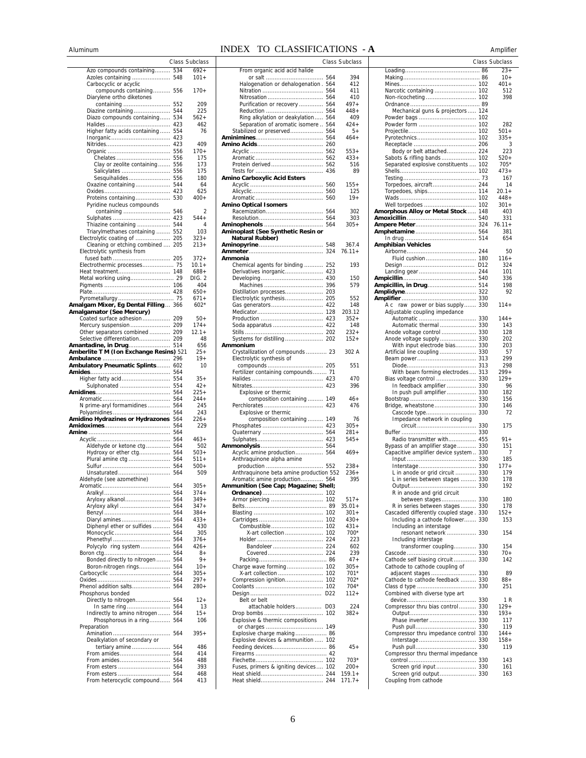# Aluminum INDEX TO CLASSIFICATIONS - **A** Amplifier

|                                         |     | Class Subclass |
|-----------------------------------------|-----|----------------|
|                                         |     |                |
| Azo compounds containing                | 534 | 692+           |
| Azoles containing                       | 548 | $101 +$        |
| Carbocyclic or acyclic                  |     |                |
| compounds containing                    | 556 | 170+           |
| Diarylene ortho diketones               |     |                |
| containing                              | 552 | 209            |
| Diazine containing                      | 544 | 225            |
| Diazo compounds containing              | 534 | 562+           |
|                                         | 423 | 462            |
|                                         |     |                |
| Higher fatty acids containing           | 554 | 76             |
|                                         | 423 |                |
|                                         | 423 | 409            |
|                                         | 556 | $170+$         |
| Chelates                                | 556 | 175            |
| Clay or zeolite containing              | 556 | 173            |
| Salicylates                             | 556 | 175            |
| Sesquihalides                           | 556 | 180            |
| Oxazine containing                      | 544 | 64             |
|                                         | 423 | 625            |
| Proteins containing                     | 530 | 400+           |
|                                         |     |                |
| Pyridine nucleus compounds              |     |                |
| containing                              | 546 | 2              |
| Sulphates                               | 423 | 544+           |
| Thiazine containing                     | 544 | 4              |
| Triarylmethanes containing              | 552 | 103            |
| Electrolytic coating of                 | 205 | 323+           |
| Cleaning or etching combined  205       |     | $213+$         |
| Electrolytic synthesis from             |     |                |
|                                         |     | 372+           |
| Electrothermic processes 75             |     | $10.1 +$       |
|                                         |     |                |
| Heat treatment                          | 148 | $688+$         |
| Metal working using 29                  |     | DIG. 2         |
|                                         |     | 404            |
|                                         |     | $650+$         |
| Pyrometallurgy                          | 75  | 671+           |
| Amalgam Mixer, Eg Dental Filling        | 366 | $602*$         |
| Amalgamator (See Mercury)               |     |                |
| Coated surface adhesion                 | 209 | $50+$          |
|                                         |     | $174+$         |
| Other separators combined               | 209 | $12.1 +$       |
| Selective differentiation 209           |     | 48             |
|                                         |     |                |
| Amantadine, in Drug 514                 |     | 656            |
| Amberlite T M (Ion Exchange Resins) 521 |     | $25+$          |
|                                         | 296 | $19+$          |
| Ambulatory Pneumatic Splints            | 602 | 10             |
|                                         | 564 |                |
| Higher fatty acid                       | 554 | $35+$          |
| Sulphonated                             | 554 | $42 +$         |
|                                         | 564 | $225+$         |
|                                         | 564 | 244+           |
| N prime-aryl formamidines               | 564 | 245            |
|                                         |     |                |
|                                         | 564 | 243            |
| Amidino Hydrazines or Hydrazones        | 564 | 226+           |
|                                         | 564 | 229            |
|                                         | 564 |                |
|                                         | 564 | $463+$         |
| Aldehyde or ketone ctg                  | 564 | 502            |
| Hydroxy or ether ctg                    | 564 | 503+           |
| Plural amine ctg                        | 564 | 511+           |
|                                         | 564 | 500+           |
| Unsaturated                             | 564 | 509            |
| Aldehyde (see azomethine)               |     |                |
|                                         | 564 | 305+           |
|                                         | 564 | $374+$         |
|                                         | 564 | $349+$         |
| Aryloxy alkanol                         |     |                |
| Aryloxy alkyl                           | 564 | 347+           |
|                                         | 564 | $384+$         |
| Diaryl amines                           | 564 | $433+$         |
| Diphenyl ether or sulfides  564         |     | 430            |
| Monocyclic                              | 564 | 305            |
| Phenethyl  564                          |     | $376+$         |
| Polycylo ring system  564               |     | 426+           |
|                                         | 564 | $8+$           |
| Bonded directly to nitrogen 564         |     | $9+$           |
| Boron-nitrogen rings                    | 564 | 10+            |
|                                         | 564 | $305+$         |
|                                         | 564 | $297+$         |
| Phenol addition salts                   | 564 | $280+$         |
| Phosphorus bonded                       |     |                |
|                                         |     | $12 +$         |
| Directly to nitrogen                    | 564 |                |
| In same ring                            | 564 | 13             |
| Indirectly to amino nitrogen            | 564 | $15+$          |
| Phosphorous in a ring                   | 564 | 106            |
| Preparation                             |     |                |
| Amination                               | 564 | $395+$         |
| Dealkylation of secondary or            |     |                |
| tertiary amine                          | 564 | 486            |
| From amides                             | 564 | 414            |
| From amides                             | 564 | 488            |
|                                         |     | 393            |
| From esters                             | 564 | 468            |
| From heterocyclic compound 564          |     | 413            |
|                                         |     |                |

|                 | Class Subclass |                                         | Class Subclass       |                                                                              | Class Subclass   |
|-----------------|----------------|-----------------------------------------|----------------------|------------------------------------------------------------------------------|------------------|
| 534             | $692+$         | From organic acid acid halide           |                      |                                                                              | $23+$            |
| 548             | $101 +$        | Halogenation or dehalogenation . 564    | 394<br>412           |                                                                              | $10+$<br>$401 +$ |
| 556             | $170+$         |                                         | 411                  |                                                                              | 512              |
|                 |                |                                         | 410                  |                                                                              | 398              |
| 552             | 209            | Purification or recovery  564           | $497+$               |                                                                              |                  |
| 544             | 225            |                                         | $448+$               | Mechanical guns & projectors  124                                            |                  |
| 534             | $562+$         | Ring alkylation or deakylation 564      | 409                  |                                                                              |                  |
| 423             | 462            | Separation of aromatic isomere  564     | 424+                 |                                                                              | 282              |
| 554             | 76             |                                         | 5+                   |                                                                              | 501+             |
| 423             | 409            |                                         | $464+$               |                                                                              | $335+$           |
| 423<br>556      | $170+$         |                                         | $553+$               | Body or belt attached 224                                                    | 3<br>223         |
| 556             | 175            |                                         | $433+$               |                                                                              | 520+             |
| 556             | 173            |                                         | 516                  | Separated explosive constituents  102                                        | 705*             |
| 556             | 175            |                                         | 89                   |                                                                              | 473+             |
| 556             | 180            | Amino Carboxylic Acid Esters            |                      |                                                                              | 167              |
| 544             | 64             |                                         | $155+$               | Torpedoes, aircraft 244                                                      | 14               |
| 423             | 625            |                                         | 125                  |                                                                              | $20.1 +$         |
| 530             | $400+$         |                                         | $19+$                |                                                                              | $448+$           |
|                 |                | <b>Amino Optical Isomers</b>            |                      |                                                                              | $301 +$          |
| 546             | 2              |                                         | 302                  | <b>Amorphous Alloy or Metal Stock  148</b>                                   | 403              |
| 423<br>544      | $544+$<br>4    |                                         | 303<br>$305+$        |                                                                              | 331<br>$76.11 +$ |
| 552             | 103            | Aminoplast (See Synthetic Resin or      |                      |                                                                              | 381              |
| 205             | $323+$         | Natural Rubber)                         |                      |                                                                              | 654              |
| 205             | $213+$         |                                         | 367.4                | Amphibian Vehicles                                                           |                  |
|                 |                |                                         | $76.11+$             |                                                                              | 50               |
| . 205           | $372+$         | Ammonia                                 |                      |                                                                              | $116+$           |
| 75              | $10.1 +$       | Chemical agents for binding  252        | 193                  |                                                                              | 324              |
| . 148           | $688+$         | Derivatives inorganic 423               |                      |                                                                              | 101              |
| . . 29          | DIG. 2         |                                         | 150                  |                                                                              | 336              |
| . 106           | 404            |                                         | 579                  |                                                                              | 198              |
| . 428           | 650+<br>$671+$ |                                         |                      |                                                                              | 92               |
| 75<br>366       | $602*$         |                                         | 552<br>148           | A c raw power or bias supply 330                                             | $114+$           |
|                 |                |                                         | 203.12               | Adjustable coupling impedance                                                |                  |
| 209             | $50+$          |                                         | $352+$               |                                                                              | $144+$           |
| 209             | $174+$         |                                         | 148                  | Automatic thermal  330                                                       | 143              |
| 209             | $12.1+$        |                                         | $232+$               |                                                                              | 128              |
| 209             | 48             |                                         | $152+$               |                                                                              | 202              |
| 514             | 656            | Ammonium                                |                      | With input electrode bias 330                                                | 203              |
| ı <b>s)</b> 521 | $25+$          | Crystallization of compounds  23        | 302 A                |                                                                              | 57               |
| . 296           | $19+$          | Electrolytic synthesis of               |                      |                                                                              | 299              |
| 602             | 10             |                                         | 551                  |                                                                              | 298              |
| 564<br>554      | $35+$          | Fertilizer containing compounds 71      | 470                  | With beam forming electrodes 313                                             | 299+<br>$129+$   |
| 554             | $42+$          |                                         | 396                  | In feedback amplifier  330                                                   | 96               |
| 564             | 225+           | Explosive or thermic                    |                      | In push pull amplifier 330                                                   | 182              |
| 564             | $244+$         | composition containing 149              | $46+$                |                                                                              | 156              |
| 564             | 245            |                                         | 476                  |                                                                              | 146              |
| 564             | 243            | Explosive or thermic                    |                      |                                                                              | 72               |
| 564             | $226+$         | composition containing 149              | 76                   | Impedance network in coupling                                                |                  |
| 564             | 229            |                                         | $305+$               |                                                                              | 175              |
| 564             |                |                                         | $281 +$              |                                                                              |                  |
| 564<br>564      | $463+$<br>502  |                                         | $545+$               | Radio transmitter with 455<br>Bypass of an amplifier stage 330               | $91 +$<br>151    |
| 564             | 503+           | Acyclic amine production 564            | $469+$               | Capacitive amplifier device system 330                                       | 7                |
| 564             | $511+$         | Anthraquinone alpha amine               |                      |                                                                              | 185              |
| 564             | $500+$         |                                         | $238+$               |                                                                              | $177+$           |
| 564             | 509            | Anthraquinone beta amine production 552 | $236+$               | L in anode or grid circuit  330                                              | 179              |
|                 |                | Aromatic amine production 564           | 395                  | L in series between stages  330                                              | 178              |
| 564             | $305+$         | Ammunition (See Cap; Magazine; Shell;   |                      |                                                                              | 192              |
| 564             | $374+$         |                                         |                      | R in anode and grid circuit                                                  |                  |
| 564             | $349+$         |                                         | $517+$               | between stages 330                                                           | 180              |
| 564             | $347+$         |                                         | $35.01 +$            | R in series between stages  330                                              | 178              |
| 564<br>564      | 384+<br>$433+$ |                                         | $301 +$<br>$430+$    | Cascaded differently coupled stage . 330<br>Including a cathode follower 330 | $152+$<br>153    |
| 564             | 430            |                                         | $431+$               | Including an interstage                                                      |                  |
| 564             | 305            | X-art collection  102                   | 700*                 | resonant network  330                                                        | 154              |
| 564             | $376+$         |                                         | 223                  | Including interstage                                                         |                  |
| 564             | $426+$         |                                         | 602                  | transformer coupling 330                                                     | 154              |
| 564             | $8+$           |                                         | 239                  |                                                                              | $70+$            |
| 564             | $9+$           |                                         | $47+$                | Cathode self biasing circuit 330                                             | 142              |
| 564             | $10+$          |                                         | $305+$               | Cathode to cathode coupling of                                               |                  |
| 564             | 305+           |                                         | $701*$               |                                                                              | 89               |
| 564             | $297+$         |                                         | 702*                 | Cathode to cathode feedback  330                                             | $88+$            |
| 564             | $280+$         |                                         | $704*$               |                                                                              | 251              |
| 564             | $12+$          | Belt or belt                            | $112+$               | Combined with diverse type art                                               | 1 R              |
| 564             | 13             | attachable holders D03                  | 224                  | Compressor thru bias control 330                                             | $129+$           |
| 564             | $15+$          |                                         | $382+$               |                                                                              | $193+$           |
| 564             | 106            | Explosive & thermic compositions        |                      |                                                                              | 117              |
|                 |                |                                         |                      |                                                                              | 119              |
| 564             | 395+           | Explosive charge making 86              |                      | Compressor thru impedance control 330                                        | 144+             |
|                 |                | Explosive devices & ammunition  102     |                      |                                                                              | $158 +$          |
| 564             | 486            |                                         | $45+$                |                                                                              | 119              |
| 564             | 414            |                                         |                      | Compressor thru thermal impedance                                            |                  |
| 564             | 488            |                                         | 703*                 |                                                                              | 143              |
| 564             | 393            | Fuses, primers & igniting devices 102   | $200+$               |                                                                              | 161<br>163       |
| 564<br>564      | 468<br>413     |                                         | $159.1+$<br>$171.7+$ | Screen grid output 330<br>Coupling from cathode                              |                  |
|                 |                |                                         |                      |                                                                              |                  |

|                                                                            |     | . . <b>.</b>   |
|----------------------------------------------------------------------------|-----|----------------|
|                                                                            |     | Class Subclass |
|                                                                            |     | $23+$          |
|                                                                            |     | $10+$          |
|                                                                            | 102 | 401+           |
|                                                                            |     | 512            |
|                                                                            |     | 398            |
|                                                                            |     |                |
| Mechanical guns & projectors  124                                          | 102 |                |
| Powder form                                                                | 102 | 282            |
|                                                                            | 102 | $501+$         |
|                                                                            | 102 | $335+$         |
|                                                                            |     | 3              |
| Body or belt attached 224                                                  |     | 223            |
| Sabots & rifling bands                                                     | 102 | 520+           |
| Separated explosive constituents                                           | 102 | 705*           |
|                                                                            |     | $473+$         |
|                                                                            |     | 167            |
| Torpedoes, aircraft 244                                                    |     | 14             |
| Torpedoes, ships                                                           | 114 | $20.1 +$       |
|                                                                            | 102 | $448+$         |
| Well torpedoes                                                             | 102 | 301+           |
| Amorphous Alloy or Metal Stock                                             | 148 | 403            |
|                                                                            |     | 331<br>76.11+  |
|                                                                            |     | 381            |
|                                                                            |     | 654            |
| Amphibian Vehicles                                                         |     |                |
|                                                                            | 244 | 50             |
| Fluid cushion                                                              | 180 | $116+$         |
|                                                                            | D12 | 324            |
|                                                                            | 244 | 101            |
|                                                                            | 540 | 336            |
| Ampicillin, in Drug 514                                                    |     | 198            |
|                                                                            | 322 | 92             |
|                                                                            | 330 |                |
| raw power or bias supply<br>Aс                                             | 330 | $114+$         |
| Adjustable coupling impedance                                              |     |                |
| Automatic                                                                  | 330 | $144+$<br>143  |
| Automatic thermal  330<br>Anode voltage control  330                       |     | 128            |
| Anode voltage supply 330                                                   |     | 202            |
| With input electrode bias 330                                              |     | 203            |
| Artificial line coupling                                                   | 330 | 57             |
| Beam power                                                                 | 313 | 299            |
|                                                                            | 313 | 298            |
| With beam forming electrodes                                               | 313 | $299+$         |
| Bias voltage control  330                                                  |     | $129+$         |
| In feedback amplifier  330                                                 |     | 96             |
| In push pull amplifier 330                                                 |     | 182            |
|                                                                            | 330 | 156            |
|                                                                            |     | 146            |
| Impedance network in coupling                                              |     | 72             |
|                                                                            | 330 | 175            |
|                                                                            | 330 |                |
| Radio transmitter with 455                                                 |     | $91 +$         |
| Bypass of an amplifier stage 330                                           |     | 151            |
| Capacitive amplifier device system  330                                    |     | 7              |
|                                                                            |     | 185            |
|                                                                            |     | $177+$         |
| L in anode or grid circuit  330                                            |     | 179            |
| L in series between stages                                                 | 330 | 178            |
|                                                                            |     | 192            |
| R in anode and grid circuit                                                |     |                |
| between stages 330                                                         |     | 180<br>178     |
| R in series between stages 330<br>Cascaded differently coupled stage . 330 |     | $152+$         |
| Including a cathode follower 330                                           |     | 153            |
| Including an interstage                                                    |     |                |
| resonant network  330                                                      |     | 154            |
| Including interstage                                                       |     |                |
| transformer coupling 330                                                   |     | 154            |
|                                                                            |     | $70+$          |
| Cathode self biasing circuit 330                                           |     | 142            |
| Cathode to cathode coupling of                                             |     |                |
|                                                                            |     | 89             |
| Cathode to cathode feedback  330                                           |     | 88+            |
| Combined with diverse type art                                             |     | 251            |
|                                                                            |     | 1R             |
| Compressor thru bias control 330                                           |     | $129+$         |
|                                                                            |     | $193+$         |
|                                                                            |     | 117            |
|                                                                            |     | 119            |
| Compressor thru impedance control 330                                      |     | $144+$         |
|                                                                            |     | $158 +$        |
|                                                                            |     | 119            |
| Compressor thru thermal impedance                                          |     |                |
|                                                                            |     | 143            |
| Screen grid input  330                                                     |     | 161<br>163     |
| Screen grid output 330<br>Coupling from cathode                            |     |                |
|                                                                            |     |                |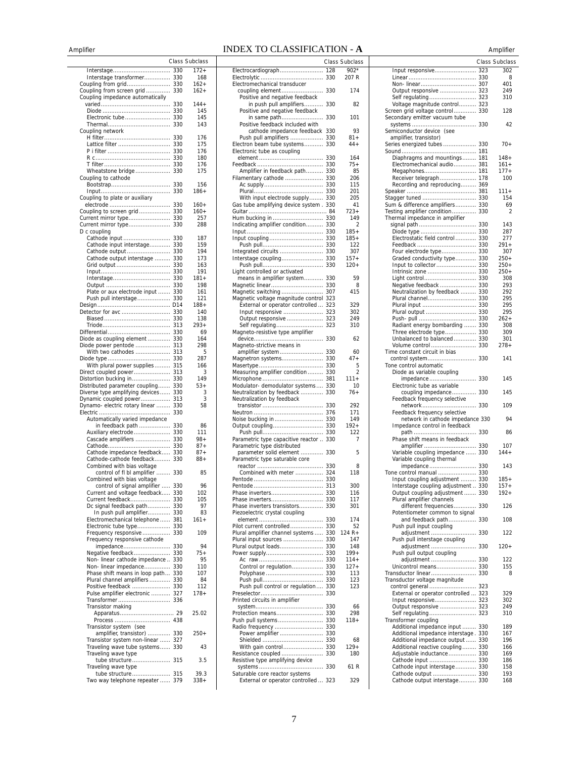# AmplifierINDEX TO CLASSIFICATION - **A** Amplifier

|                                                                           |                 | Class Subclass |
|---------------------------------------------------------------------------|-----------------|----------------|
| Interstage                                                                | 330             | 172+           |
| Interstage transformer                                                    | 330<br>330      | 168<br>162+    |
| Coupling from grid<br>Coupling from screen grid                           | 330             | 162+           |
| Coupling impedance automatically                                          |                 |                |
|                                                                           | 330             | $144+$<br>145  |
| Electronic tube                                                           | 330<br>330      | 145            |
|                                                                           | 330             | 143            |
| Coupling network                                                          |                 |                |
|                                                                           | 330             | 176            |
| Lattice filter                                                            | 330<br>330      | 175<br>176     |
|                                                                           | 330             | 180            |
|                                                                           | 330             | 176            |
| Wheatstone bridge                                                         | 330             | 175            |
| Coupling to cathode<br>Bootstrap                                          | 330             | 156            |
|                                                                           | 330             | $186+$         |
| Coupling to plate or auxiliary                                            |                 |                |
|                                                                           |                 | $160+$         |
| Coupling to screen grid 330<br>Current mirror type                        | 330             | 160+<br>257    |
| Current mirror type                                                       | 330             | 288            |
| D c coupling                                                              |                 |                |
| Cathode input                                                             | 330             | 187            |
| Cathode input interstage 330                                              |                 | 159<br>194     |
| Cathode output interstage                                                 | 330             | 173            |
|                                                                           |                 | 163            |
|                                                                           | 330             | 191            |
| Interstage                                                                | 330             | $181 +$<br>198 |
| Plate or aux electrode input                                              | 330             | 161            |
| Push pull interstage                                                      | 330             | 121            |
|                                                                           | D <sub>14</sub> | 188+           |
| Detector for avc                                                          | 330<br>330      | 140<br>138     |
|                                                                           |                 | $293+$         |
|                                                                           |                 | 69             |
| Diode as coupling element                                                 | 330             | 164            |
| Diode power pentode  313                                                  |                 | 298            |
| With two cathodes  313                                                    | 330             | 5<br>287       |
| With plural power supplies 315                                            |                 | 166            |
| Direct coupled power 313                                                  |                 | 3              |
| Distortion bucking in                                                     | 330             | 149            |
| Distributed parameter coupling 330<br>Diverse type amplifying devices 330 |                 | $53+$<br>3     |
| Dynamic coupled power                                                     | 313             | 3              |
| Dynamo- electric rotary linear                                            | 330             | 58             |
|                                                                           | 330             |                |
| Automatically varied impedance<br>in feedback path                        | 330             | 86             |
| Auxiliary electrode  330                                                  |                 | 111            |
| Cascade amplifiers  330                                                   |                 | 98+            |
| Cathode impedance feedback                                                | 330             | $87 +$<br>87+  |
| Cathode-cathode feedback                                                  | 330             | $88+$          |
| Combined with bias voltage                                                |                 |                |
| control of fl bl amplifier                                                | 330             | 85             |
| Combined with bias voltage                                                |                 | 96             |
| control of signal amplifier  330<br>Current and voltage feedback 330      |                 | 102            |
| Current feedback 330                                                      |                 | 105            |
| Dc signal feedback path 330                                               |                 | 97             |
| In push pull amplifier 330<br>Electromechanical telephone  381            |                 | 83<br>161+     |
| Electronic tube type 330                                                  |                 |                |
| Frequency responsive  330                                                 |                 | 109            |
| Frequency responsive cathode                                              |                 | 94             |
| Negative feedback 330                                                     |                 | $75+$          |
| Non- linear cathode impedance  330                                        |                 | 95             |
| Non-linear impedance 330                                                  |                 | 110            |
| Phase shift means in loop path 330                                        |                 | 107<br>84      |
| Plural channel amplifiers  330<br>Positive feedback  330                  |                 | 112            |
| Pulse amplifier electronic  327                                           |                 | $178+$         |
| Transformer                                                               | 336             |                |
| Transistor making                                                         |                 | 25.02          |
|                                                                           |                 |                |
| Transistor system (see                                                    |                 |                |
| amplifier, transistor)  330                                               |                 | $250+$         |
| Transistor system non-linear  327<br>Traveling wave tube systems 330      |                 | 43             |
| Traveling wave type                                                       |                 |                |
| tube structure 315                                                        |                 | 3.5            |
| Traveling wave type                                                       |                 | 39.3           |
| Two way telephone repeater  379                                           |                 | $338+$         |
|                                                                           |                 |                |

|                                                                   |     | Class Subclass |
|-------------------------------------------------------------------|-----|----------------|
| Electrocardiograph                                                | 128 | $902*$         |
|                                                                   | 330 | 207 R          |
| Electromechanical transducer                                      |     |                |
| coupling element<br>Positive and negative feedback                | 330 | 174            |
| in push pull amplifiers                                           | 330 | 82             |
| Positive and negative feedback                                    |     |                |
| in same path                                                      | 330 | 101            |
| Positive feedback included with                                   |     |                |
| cathode impedance feedback                                        | 330 | 93             |
| Push pull amplifiers                                              | 330 | 81+            |
| Electron beam tube systems                                        | 330 | $44 +$         |
| Electronic tube as coupling                                       |     |                |
|                                                                   | 330 | 164            |
|                                                                   |     | 75+            |
| Amplifier in feedback path 330                                    |     | 85             |
| Filamentary cathode  330                                          |     | 206            |
|                                                                   |     | 115<br>201     |
| With input electrode supply 330                                   |     | 205            |
| Gas tube amplifying device system. 330                            |     | 41             |
|                                                                   |     | 723+           |
|                                                                   |     | 149            |
| Indicating amplifier condition 330                                |     | 2              |
|                                                                   |     | 185+           |
|                                                                   |     | 185+           |
|                                                                   |     | 122            |
|                                                                   |     | 307            |
| Interstage coupling 330                                           |     | $157+$         |
|                                                                   |     | 120+           |
| Light controlled or activated                                     | 330 |                |
| means in amplifier system                                         |     | 59<br>8        |
|                                                                   |     | 415            |
| Magnetic switching  307<br>Magnetic voltage magnitude control 323 |     |                |
| External or operator controlled  323                              |     | 329            |
| Input responsive  323                                             |     | 302            |
| Output responsive  323                                            |     | 249            |
| Self regulating 323                                               |     | 310            |
| Magneto-resistive type amplifier                                  |     |                |
|                                                                   | 330 | 62             |
| Magneto-strictive means in                                        |     |                |
| amplifier system 330                                              |     | 60             |
| Magnetron systems 330                                             |     | 47+            |
|                                                                   |     | 5              |
| Measuring amplifier condition 330                                 |     | 2<br>111+      |
| Modulator- demodulator systems 330                                |     | 10             |
| Neutralization by feedback  330                                   |     | 76+            |
| Neutralization by feedback                                        |     |                |
|                                                                   |     | 292            |
|                                                                   |     | 171            |
|                                                                   |     | 149            |
|                                                                   |     | $192+$         |
|                                                                   |     | 122            |
| Parametric type capacitive reactor                                | 330 | 7              |
| Parametric type distributed                                       |     |                |
| parameter solid element  330                                      |     | 5              |
| Parametric type saturable core                                    |     | 8              |
| Combined with meter  324                                          |     | 118            |
|                                                                   | 330 |                |
|                                                                   | 313 | 300            |
|                                                                   |     | 116            |
| Phase inverters                                                   | 330 | 117            |
| Phase inverters transistors 330                                   |     | 301            |
| Piezoelectric crystal coupling                                    |     |                |
|                                                                   |     | 174            |
| Pilot current controlled 330                                      |     | 52             |
| Plural amplifier channel systems  330                             |     | 124 R+<br>147  |
| Plural input sources  330<br>Plural output loads 330              |     | 148            |
|                                                                   |     | $199+$         |
|                                                                   |     | $114 +$        |
| Control or regulation 330                                         |     | $127+$         |
|                                                                   |     | 113            |
|                                                                   |     | 123            |
| Push pull control or regulation 330                               |     | 123            |
|                                                                   |     |                |
| Printed circuits in amplifier                                     |     |                |
|                                                                   |     | 66             |
| Push pull systems 330                                             |     | 298<br>$118 +$ |
|                                                                   |     |                |
| Power amplifier  330                                              |     |                |
|                                                                   |     | 68             |
| With gain control 330                                             |     | $129+$         |
|                                                                   |     | 180            |
| Resistive type amplifying device                                  |     |                |
|                                                                   |     | 61 R           |
| Saturable core reactor systems                                    |     |                |
| External or operator controlled  323                              |     | 329            |

| . LUI V    | л              |                                      | Allipillei     |
|------------|----------------|--------------------------------------|----------------|
|            | Class Subclass |                                      | Class Subclass |
|            |                |                                      |                |
| 128        | $902*$         | Input responsive 323                 | 302            |
| 330        | 207 R          |                                      | 8              |
|            |                | Non-linear 307                       | 401            |
| 330        | 174            | Output responsive  323               | 249            |
|            |                |                                      | 310            |
| 330        | 82             | Voltage magnitude control 323        |                |
|            |                | Screen grid voltage control 330      | 128            |
| 330        | 101            | Secondary emitter vacuum tube        |                |
|            |                |                                      | 42             |
| 330        | 93             | Semiconductor device (see            |                |
| 330        | 81+            | amplifier, transistor)               |                |
| 330        | 44+            | Series energized tubes  330          | 70+            |
|            |                |                                      |                |
| 330        | 164            | Diaphragms and mountings 181         | $148+$         |
| 330        | $75+$          | Electromechanical audio 381          | $161 +$        |
| 330        | 85             |                                      | $177+$         |
| 330        | 206            | Receiver telegraph 178               | 100            |
| 330        | 115            | Recording and reproducing 369        |                |
| 330        | 201            |                                      | 111+           |
| 330        | 205            |                                      | 154            |
| 330        | 41             | Sum & difference amplifiers 330      | 69             |
| . 84       | 723+           | Testing amplifier condition 330      | 2              |
| 330        | 149            |                                      |                |
|            |                | Thermal impedance in amplifier       |                |
| 330        | 2              | signal path 330                      | 143            |
| 330<br>330 | $185+$         |                                      | 287            |
|            | $185 +$        | Electrostatic field control  330     | 277            |
| 330        | 122            |                                      | $291+$         |
| 330        | 307            | Four electrode type 330              | 307            |
| 330        | 157+           | Graded conductivity type 330         | $250+$         |
| 330        | 120+           |                                      | 250+           |
|            |                |                                      | $250+$         |
| 330        | 59             |                                      | 308            |
| 330        | 8              | Negative feedback  330               | 293            |
| 307        | 415            | Neutralization by feedback  330      | 292            |
| 323        |                |                                      | 295            |
| 323        | 329            |                                      | 295            |
| 323        | 302            |                                      | 295            |
| 323        | 249            |                                      | $262+$         |
| 323        | 310            | Radiant energy bombarding  330       | 308            |
|            |                | Three electrode type 330             | 309            |
| 330        | 62             | Unbalanced to balanced 330           | 301            |
|            |                |                                      | 278+           |
| 330        | 60             | Time constant circuit in bias        |                |
| 330        | $47+$          | control system 330                   | 141            |
| 330        | 5              | Tone control automatic               |                |
| 330        | 2              | Diode as variable coupling           |                |
| 381        | $111 +$        | impedance 330                        | 145            |
| 330        | 10             | Electronic tube as variable          |                |
| 330        | 76+            | coupling impedance 330               | 145            |
|            |                | Feedback frequency selective         |                |
| 330        | 292            |                                      | 109            |
| 376        | 171            | Feedback frequency selective         |                |
| 330        | 149            | network in cathode impedance 330     | 94             |
| 330        | $192 +$        |                                      |                |
|            |                | Impedance control in feedback        |                |
| 330<br>330 | 122<br>7       | Phase shift means in feedback        | 86             |
|            |                |                                      | 107            |
|            |                | amplifier  330                       |                |
| 330        | 5              | Variable coupling impedance  330     | 144+           |
|            |                | Variable coupling thermal            |                |
| 330        | 8              | impedance 330                        | 143            |
| 324        | 118            | Tone control manual  330             |                |
| 330        |                | Input coupling adjustment            | $185+$         |
| 313        | 300            | Interstage coupling adjustment  330  | $157+$         |
| 330        | 116            | Output coupling adjustment  330      | 192+           |
| 330        | 117            | Plural amplifier channels            |                |
| 330        | 301            | different frequencies 330            | 126            |
|            |                | Potentiometer common to signal       |                |
| 330        | 174            | and feedback path 330                | 108            |
| 330        | 52             | Push pull input coupling             |                |
| 330        | $124 R +$      | adjustment  330                      | 122            |
| 330        | 147            | Push pull interstage coupling        |                |
| 330        | 148            | adjustment  330                      | $120+$         |
| 330        | $199+$         | Push pull output coupling            |                |
| 330        | 114+           | adjustment  330                      | 122            |
| 330        | 127+           | Unicontrol means 330                 | 155            |
| 330        | 113            |                                      | 8              |
| 330        | 123            | Transductor voltage magnitude        |                |
| 330        | 123            |                                      |                |
| 330        |                | External or operator controlled  323 | 329            |
|            |                | Input responsive 323                 | 302            |
| 330        | 66             | Output responsive  323               | 249            |
| 330        | 298            |                                      | 310            |
| 330        | 118+           | Transformer coupling                 |                |
| 330        |                | Additional impedance input  330      | 189            |
| 330        |                | Additional impedance interstage. 330 | 167            |
| 330        | 68             | Additional impedance output  330     | 196            |
| 330        | 129+           | Additional reactive coupling 330     | 166            |
| 330        | 180            | Adjustable inductance 330            | 169            |
|            |                |                                      | 186            |
| 330        | 61 R           | Cathode input interstage 330         | 158            |
|            |                |                                      | 193            |
| 323        | 329            | Cathode output interstage 330        | 168            |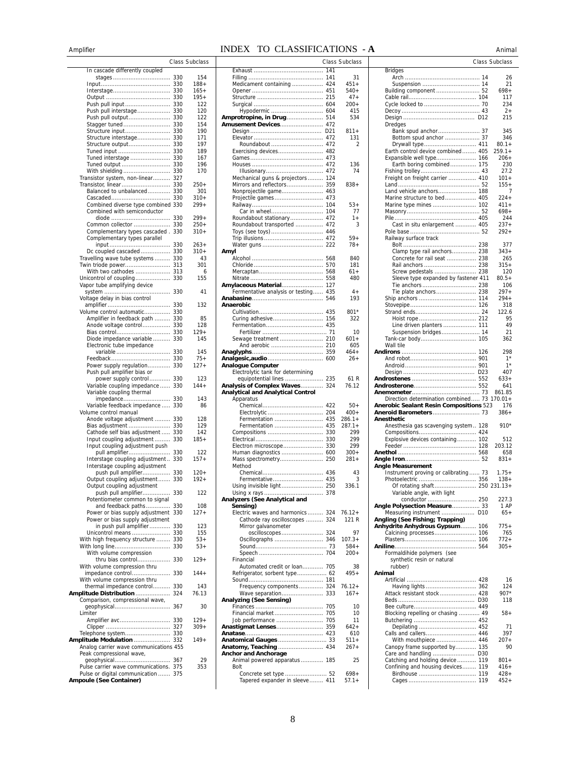|                                                       |            | Class Subclas |
|-------------------------------------------------------|------------|---------------|
| In cascade differently coupled                        | 330        | 154           |
| stages                                                | 330        | $188 +$       |
| Interstage                                            | 330        | $165+$        |
|                                                       | 330        | $195+$        |
| Push pull input                                       | 330        | 122           |
| Push pull interstage                                  | 330        | 120           |
| Push pull output                                      | 330        | 122           |
| Stagger tuned                                         | 330        | 154           |
| Structure input                                       | 330        | 190           |
| Structure interstage                                  | 330        | 171           |
| Structure output                                      | 330        | 197           |
| Tuned input<br>Tuned interstage                       | 330<br>330 | 189<br>167    |
| Tuned output                                          | 330        | 196           |
| With shielding                                        | 330        | 170           |
| Transistor system, non-linear 327                     |            |               |
| Transistor, linear                                    | 330        | $250+$        |
| Balanced to unbalanced                                | 330        | 301           |
|                                                       | 330        | 310+          |
| Combined diverse type combined 330                    |            | $299+$        |
| Combined with semiconductor                           |            |               |
|                                                       | 330        | $299+$        |
| Common collector                                      | 330        | $250+$        |
| Complementary types cascaded.                         | 330        | 310+          |
| Complementary types parallel                          | 330        | $263+$        |
| Dc coupled cascaded                                   | 330        | $310+$        |
| Travelling wave tube systems                          | 330        | 43            |
| Twin triode power                                     | 313        | 301           |
| With two cathodes                                     | 313        | 6             |
| Unicontrol of coupling                                | 330        | 155           |
| Vapor tube amplifying device                          |            |               |
|                                                       | 330        | 41            |
| Voltage delay in bias control                         | 330        |               |
| Volume control automatic                              | 330        | 132           |
| Amplifier in feedback path                            | 330        | 85            |
| Anode voltage control                                 | 330        | 128           |
| Bias control                                          | 330        | 129+          |
| Diode impedance variable                              | 330        | 145           |
| Electronic tube impedance                             |            |               |
| variable                                              | 330        | 145           |
| Feedback                                              | 330        | $75+$         |
| Power supply regulation                               | 330        | 127+          |
| Push pull amplifier bias or<br>power supply control   | 330        | 123           |
| Variable coupling impedance                           | 330        | 144+          |
| Variable coupling thermal                             |            |               |
| impedance                                             | 330        | 143           |
| Variable feedback impedance                           | 330        | 86            |
| Volume control manual                                 |            |               |
| Anode voltage adjustment                              | 330        | 128<br>129    |
| Bias adjustment<br>Cathode self bias adjustment       | 330<br>330 | 142           |
| Input coupling adjustment                             | 330        | 185+          |
| Input coupling adjustment push                        |            |               |
| pull amplifier                                        | 330        | 122           |
| Interstage coupling adjustment                        | 330        | 157+          |
| Interstage coupling adjustment                        |            |               |
| push pull amplifier                                   | 330        | $120 +$       |
| Output coupling adjustment                            | 330        | $192 +$       |
| Output coupling adjustment                            |            |               |
| push pull amplifier<br>Potentiometer common to signal | 330        | 122           |
| and feedback paths                                    | 330        | 108           |
| Power or bias supply adjustment                       | 330        | $127+$        |
| Power or bias supply adjustment                       |            |               |
| in push pull amplifier                                | 330        | 123           |
| Unicontrol means  330                                 |            | 155           |
| With high frequency structure  330                    |            | $53+$         |
| With volume compression                               |            | $53+$         |
| thru bias control 330                                 |            | $129+$        |
| With volume compression thru                          |            |               |
| impedance control 330                                 |            | 144+          |
| With volume compression thru                          |            |               |
| thermal impedance control                             | 330        | 143           |
| Amplitude Distribution  324                           |            | 76.13         |
| Comparison, compressional wave,<br>geophysical        | 367        | 30            |
| Limiter                                               |            |               |
|                                                       |            | $129+$        |
|                                                       |            | $309+$        |
| Telephone system 330                                  |            |               |
| Amplitude Modulation  332                             |            | $149+$        |
| Analog carrier wave communications 455                |            |               |
| Peak compressional wave,                              |            | 29            |
| Pulse carrier wave communications. 375                |            | 353           |
| Pulse or digital communication  375                   |            |               |
| Ampoule (See Container)                               |            |               |

|            | Class Subclass |                                                                    | Class Subclass    |                                                              | Class Subclass |
|------------|----------------|--------------------------------------------------------------------|-------------------|--------------------------------------------------------------|----------------|
|            |                |                                                                    |                   | <b>Bridges</b>                                               |                |
| 330        | 154            |                                                                    | 31                |                                                              | 26             |
| 330        | $188 +$        | Medicament containing  424                                         | $451+$            |                                                              | 21             |
| 330        | $165+$         |                                                                    | $540+$            |                                                              | $698+$<br>117  |
| 330<br>330 | $195+$<br>122  |                                                                    | $47+$<br>$200+$   |                                                              | 234            |
| 330        | 120            |                                                                    | 415               |                                                              | $2+$           |
| 330        | 122            | Amprotropine, in Drug 514                                          | 534               |                                                              | 215            |
| 330        | 154            | <b>Amusement Devices 472</b>                                       |                   | Dredges                                                      |                |
| 330        | 190            |                                                                    | $811 +$           |                                                              | 345            |
| 330        | 171            |                                                                    | 131               | Bottom spud anchor  37                                       | 346            |
| 330        | 197            |                                                                    | 2                 |                                                              | $80.1 +$       |
| 330        | 189            |                                                                    |                   | Earth control device combined 405                            | $259.1+$       |
| 330        | 167            |                                                                    |                   |                                                              | $206+$         |
| 330        | 196            |                                                                    | 136               | Earth boring combined 175                                    | 230            |
| 330        | 170            |                                                                    | 74                |                                                              | 27.2           |
| 327        |                | Mechanical guns & projectors 124                                   |                   | Freight on freight carrier  410                              | $101 +$        |
| 330        | $250+$         |                                                                    | $838 +$           |                                                              | $155+$         |
| 330        | 301            |                                                                    |                   | Land vehicle anchors 188                                     | 7              |
| 330        | $310+$         |                                                                    |                   |                                                              | $224+$         |
| 1330       | $299+$         |                                                                    | $53+$             |                                                              | 411+           |
|            |                |                                                                    | 77                |                                                              | $698+$         |
| 330        | $299+$         | Roundabout stationary 472                                          | $1+$              |                                                              | 244            |
| 330        | $250+$         | Roundabout transported  472                                        | 3                 | Cast in situ enlargement  405                                | $237 +$        |
| 330        | $310+$         |                                                                    |                   |                                                              | $292+$         |
|            |                |                                                                    | $59+$             | Railway surface track                                        |                |
| 330        | $263+$         |                                                                    | 78+               |                                                              | 377            |
| 330        | $310+$         | Amyl                                                               |                   | Clamp type rail anchors 238                                  | $343+$         |
| 330        | 43             |                                                                    | 840               | Concrete for rail seat  238                                  | 265            |
| 313        | 301            |                                                                    | 181               | Rail anchors  238                                            | 315+           |
| 313        | 6              |                                                                    | 61+               | Screw pedestals  238                                         | 120            |
| 330        | 155            |                                                                    | 480               | Sleeve type expanded by fastener 411                         | $80.5+$        |
|            |                | <b>Amylaceous Material 127</b>                                     |                   |                                                              | 106            |
| 330        | 41             | Fermentative analysis or testing 435                               | $4+$              | Tie plate anchors 238                                        | $297 +$        |
|            |                |                                                                    | 193               |                                                              | $294+$         |
| 330        | 132            | Anaerobic                                                          |                   |                                                              | 318            |
| 330        |                |                                                                    | 801*              |                                                              | 122.6          |
| 330        | 85             |                                                                    | 322               |                                                              | 95             |
| 330        | 128            |                                                                    |                   | Line driven planters  111                                    | 49             |
| 330        | $129+$         |                                                                    | 10                | Suspension bridges 14                                        | 21             |
| 330        | 145            |                                                                    | $601+$            |                                                              | 362            |
|            |                |                                                                    | 605               | Wall tile                                                    |                |
| 330        | 145            |                                                                    | $464+$            |                                                              | 298            |
| 330        | $75+$          |                                                                    | $26+$             |                                                              | $1^*$          |
| 330        | $127+$         | <b>Analogue Computer</b>                                           |                   |                                                              | $1^*$          |
|            |                | Electrolytic tank for determining                                  |                   |                                                              | 407            |
| 330        | 123            | equipotential lines  235                                           | 61 R              |                                                              | $633+$         |
| 330        | 144+           | Analysis of Complex Waves 324                                      | 76.12             |                                                              | 641            |
|            |                | <b>Analytical and Analytical Control</b>                           |                   |                                                              | 861.85         |
| 330        | 143            | Apparatus                                                          |                   | Direction determination combined 73 170.01+                  |                |
| 330        | 86             |                                                                    | $50+$             | <b>Anerobic Sealant Resin Compositions 523</b>               | 176            |
|            |                |                                                                    | $400+$            |                                                              | $386+$         |
| 330        | 128            |                                                                    | $286.1+$          | Anesthetic                                                   |                |
| 330        | 129            |                                                                    | $287.1+$          | Anesthesia gas scavenging system 128                         | 910*           |
| 330        | 142            |                                                                    | 299               |                                                              |                |
| 330        | $185+$         |                                                                    | 299               | Explosive devices containing 102                             | 512            |
|            |                |                                                                    | 299               |                                                              | 203.12         |
| 330        | 122            |                                                                    | $300+$            |                                                              | 658            |
| 330        | $157+$         |                                                                    | $281+$            |                                                              | $831 +$        |
|            |                | Method                                                             |                   | <b>Angle Measurement</b>                                     |                |
| 330        | $120+$         |                                                                    | 43                | Instrument proving or calibrating 73                         | $1.75+$        |
| 330        | $192+$         |                                                                    | 3                 |                                                              | $138 +$        |
|            |                |                                                                    |                   |                                                              |                |
|            |                | Using invisible light 250                                          | 336.1             | Of rotating shaft 250 231.13+                                |                |
| 330        | 122            |                                                                    |                   | Variable angle, with light                                   | 227.3          |
| 330        | 108            | Analyzers (See Analytical and                                      |                   | Angle Polysection Measure 33                                 | 1 AP           |
|            |                | Sensing)                                                           |                   |                                                              |                |
| 330        | $127 +$        | Electric waves and harmonics 324<br>Cathode ray oscilloscopes  324 | $76.12+$<br>121 R | Measuring instrument  D10<br>Angling (See Fishing; Trapping) | $65+$          |
|            |                |                                                                    |                   |                                                              |                |
| 330<br>330 | 123<br>155     | Mirror galvanometer                                                | 97                | Anhydrite Anhydrous Gypsum  106                              | $775+$<br>765  |
|            |                |                                                                    |                   |                                                              | $772+$         |
| 330        | $53+$          |                                                                    | $107.3+$          |                                                              |                |
| 330        | $53+$          |                                                                    | $584+$            |                                                              | $305+$         |
|            |                |                                                                    | $200+$            | Formaldihide polymers (see                                   |                |
| 330        | $129 +$        | Financial                                                          |                   | synthetic resin or natural                                   |                |
|            |                | Automated credit or loan 705                                       | 38                | rubber)                                                      |                |
| . 330      | $144+$         |                                                                    | $495+$            | Animal                                                       |                |
|            |                |                                                                    |                   |                                                              | 16             |
| 330        | 143            | Frequency components 324                                           | $76.12+$          | Having lights  362                                           | 124            |
| 324        | 76.13          |                                                                    | $167+$            | Attack resistant stock 428                                   | 907*           |
|            |                | Analyzing (See Sensing)                                            |                   |                                                              | 118            |
| . 367      | 30             |                                                                    | 10                |                                                              |                |
|            |                | Financial market 705                                               | 10                | Blocking repelling or chasing  49                            | $58+$          |
| 330        | $129+$         | Job performance  705                                               | 11                |                                                              |                |
| . 327      | $309+$         |                                                                    | $642+$            |                                                              | 71             |
| . 330      |                |                                                                    | 610               |                                                              | 397            |
| . 332      | $149+$         |                                                                    | $511+$            | With mouthpiece  446                                         | $207 +$        |
| s 455      |                |                                                                    | $267+$            | Canopy frame supported by 135                                | 90             |
|            |                | <b>Anchor and Anchorage</b>                                        |                   |                                                              |                |
| 367        | 29             | Animal powered apparatus  185                                      | 25                | Catching and holding device 119                              | $801 +$        |
| 375        | 353            | Bolt                                                               |                   | Confining and housing devices 119                            | $416+$         |
| 375        |                |                                                                    | $698+$            |                                                              | $428 +$        |
|            |                | Tapered expander in sleeve 411                                     | $57.1+$           |                                                              | 452+           |

| Amplifier                                                        |  |                       | INDEX TO CLASSIFICATIONS - A                                              | Animal |                    |                                                                         |  |                   |  |
|------------------------------------------------------------------|--|-----------------------|---------------------------------------------------------------------------|--------|--------------------|-------------------------------------------------------------------------|--|-------------------|--|
|                                                                  |  | <b>Class Subclass</b> | <b>Class Subclass</b>                                                     |        |                    | Class Subclass                                                          |  |                   |  |
| In cascade differently coupled                                   |  |                       |                                                                           |        |                    | <b>Bridges</b>                                                          |  |                   |  |
|                                                                  |  | 154<br>$188+$         | Medicament containing  424                                                |        | 31<br>$451+$       |                                                                         |  | 26<br>21          |  |
|                                                                  |  | $165+$                |                                                                           |        | $540+$             |                                                                         |  | $698+$            |  |
|                                                                  |  | $195+$                |                                                                           |        | $47+$              |                                                                         |  | 117               |  |
|                                                                  |  | 122<br>120            |                                                                           |        | $200+$<br>415      |                                                                         |  | 234<br>$2+$       |  |
|                                                                  |  | 122                   | Amprotropine, in Drug 514                                                 |        | 534                |                                                                         |  | 215               |  |
|                                                                  |  | 154                   | <b>Amusement Devices 472</b>                                              |        |                    | Dredges                                                                 |  |                   |  |
|                                                                  |  | 190<br>171            |                                                                           |        | 811+<br>131        | Bottom spud anchor  37                                                  |  | 345<br>346        |  |
|                                                                  |  | 197                   |                                                                           |        | $\overline{2}$     |                                                                         |  | $80.1 +$          |  |
|                                                                  |  | 189                   | Exercising devices 482                                                    |        |                    | Earth control device combined 405                                       |  | $259.1+$          |  |
|                                                                  |  | 167                   |                                                                           |        |                    |                                                                         |  | $206+$            |  |
|                                                                  |  | 196<br>170            |                                                                           |        | 136<br>74          | Earth boring combined 175                                               |  | 230<br>27.2       |  |
| Transistor system, non-linear 327                                |  |                       | Mechanical guns & projectors 124                                          |        |                    | Freight on freight carrier  410                                         |  | $101 +$           |  |
| Transistor, linear  330<br>Balanced to unbalanced 330            |  | $250+$<br>301         |                                                                           |        | $838 +$            |                                                                         |  | $155+$<br>7       |  |
|                                                                  |  | $310+$                |                                                                           |        |                    | Marine structure to bed 405                                             |  | $224 +$           |  |
| Combined diverse type combined 330                               |  | $299+$                |                                                                           |        | $53+$              |                                                                         |  | $411+$            |  |
| Combined with semiconductor                                      |  | $299+$                |                                                                           |        | 77<br>$1+$         |                                                                         |  | $698+$<br>244     |  |
|                                                                  |  | $250+$                | Roundabout stationary 472<br>Roundabout transported  472                  |        | 3                  | Cast in situ enlargement  405                                           |  | $237+$            |  |
| Complementary types cascaded . 330                               |  | $310+$                |                                                                           |        |                    |                                                                         |  | $292 +$           |  |
| Complementary types parallel                                     |  |                       |                                                                           |        | $59+$              | Railway surface track                                                   |  |                   |  |
|                                                                  |  | $263+$<br>$310+$      | Amyl                                                                      |        | $78+$              | Clamp type rail anchors 238                                             |  | 377<br>$343+$     |  |
| Travelling wave tube systems 330                                 |  | 43                    |                                                                           |        | 840                | Concrete for rail seat  238                                             |  | 265               |  |
|                                                                  |  | 301                   |                                                                           |        | 181                |                                                                         |  | $315+$            |  |
| With two cathodes  313                                           |  | 6<br>155              |                                                                           |        | $61+$<br>480       | Sleeve type expanded by fastener 411                                    |  | 120<br>$80.5+$    |  |
| Vapor tube amplifying device                                     |  |                       |                                                                           |        |                    |                                                                         |  | 106               |  |
|                                                                  |  | 41                    | Fermentative analysis or testing 435                                      |        | $4+$               |                                                                         |  | $297+$            |  |
| Voltage delay in bias control                                    |  | 132                   | Anaerobic                                                                 |        | 193                |                                                                         |  | $294+$<br>318     |  |
| Volume control automatic 330                                     |  |                       |                                                                           |        | 801*               |                                                                         |  | 122.6             |  |
| Amplifier in feedback path  330                                  |  | 85                    |                                                                           |        | 322                |                                                                         |  | 95                |  |
| Anode voltage control 330                                        |  | 128<br>$129+$         |                                                                           |        | 10                 | Line driven planters  111                                               |  | 49<br>21          |  |
| Diode impedance variable  330                                    |  | 145                   |                                                                           |        | $601+$             |                                                                         |  | 362               |  |
| Electronic tube impedance                                        |  |                       |                                                                           |        | 605                | Wall tile                                                               |  |                   |  |
|                                                                  |  | 145<br>$75+$          |                                                                           |        | $464+$<br>$26+$    |                                                                         |  | 298<br>$1*$       |  |
| Power supply regulation 330                                      |  | $127+$                | <b>Analogue Computer</b>                                                  |        |                    |                                                                         |  | $1*$              |  |
| Push pull amplifier bias or                                      |  |                       | Electrolytic tank for determining                                         |        |                    |                                                                         |  | 407               |  |
| power supply control 330                                         |  | 123                   | equipotential lines  235                                                  |        | 61 R               |                                                                         |  | $633+$            |  |
| Variable coupling impedance  330<br>Variable coupling thermal    |  | $144+$                | Analysis of Complex Waves 324<br><b>Analytical and Analytical Control</b> |        | 76.12              |                                                                         |  | 641<br>861.85     |  |
|                                                                  |  | 143                   | Apparatus                                                                 |        |                    | Direction determination combined 73 170.01+                             |  |                   |  |
| Variable feedback impedance  330                                 |  | 86                    |                                                                           |        | $50+$              | <b>Anerobic Sealant Resin Compositions 523</b>                          |  | 176               |  |
| Volume control manual<br>Anode voltage adjustment  330           |  | 128                   | Fermentation  435                                                         |        | $400+$<br>$286.1+$ | Anesthetic                                                              |  | $386+$            |  |
|                                                                  |  | 129                   |                                                                           |        | $287.1+$           | Anesthesia gas scavenging system 128                                    |  | 910*              |  |
| Cathode self bias adjustment  330                                |  | 142                   |                                                                           |        | 299                |                                                                         |  |                   |  |
| Input coupling adjustment  330<br>Input coupling adjustment push |  | $185+$                |                                                                           |        | 299<br>299         | Explosive devices containing 102                                        |  | 512<br>203.12     |  |
|                                                                  |  | 122                   |                                                                           |        | $300+$             |                                                                         |  | 658               |  |
| Interstage coupling adjustment 330                               |  | $157+$                | Mass spectrometry 250                                                     |        | $281+$             |                                                                         |  | $831 +$           |  |
| Interstage coupling adjustment<br>push pull amplifier 330        |  | $120+$                | Method                                                                    |        | 43                 | <b>Angle Measurement</b><br>Instrument proving or calibrating  73 1.75+ |  |                   |  |
| Output coupling adjustment 330                                   |  | $192+$                | Fermentative 435                                                          |        | 3                  |                                                                         |  | $138+$            |  |
| Output coupling adjustment                                       |  |                       |                                                                           |        | 336.1              | Of rotating shaft 250 231.13+                                           |  |                   |  |
| push pull amplifier 330<br>Potentiometer common to signal        |  | 122                   | Analyzers (See Analytical and                                             |        |                    | Variable angle, with light                                              |  | 227.3             |  |
| and feedback paths 330                                           |  | 108                   | Sensing)                                                                  |        |                    | Angle Polysection Measure 33                                            |  | 1 AP              |  |
| Power or bias supply adjustment 330                              |  | $127+$                | Electric waves and harmonics 324                                          |        | $76.12+$           | Measuring instrument  D10                                               |  | $65+$             |  |
| Power or bias supply adjustment<br>in push pull amplifier 330    |  | 123                   | Cathode ray oscilloscopes  324<br>Mirror galvanometer                     |        | 121 R              | Angling (See Fishing; Trapping)<br>Anhydrite Anhydrous Gypsum 106       |  | $775+$            |  |
|                                                                  |  | 155                   |                                                                           |        | 97                 |                                                                         |  | 765               |  |
| With high frequency structure  330                               |  | $53+$                 |                                                                           |        | $107.3+$           |                                                                         |  | $772+$            |  |
| With volume compression                                          |  | $53+$                 |                                                                           |        | $584+$<br>$200+$   | Formaldihide polymers (see                                              |  | $305+$            |  |
| thru bias control 330                                            |  | $129+$                | Financial                                                                 |        |                    | synthetic resin or natural                                              |  |                   |  |
| With volume compression thru                                     |  |                       | Automated credit or loan 705                                              |        | 38                 | rubber)                                                                 |  |                   |  |
|                                                                  |  | $144+$                | Refrigerator, sorbent type 62                                             |        | $495+$             | Animal                                                                  |  |                   |  |
| With volume compression thru<br>thermal impedance control 330    |  | 143                   | Frequency components 324                                                  |        | $76.12+$           |                                                                         |  | 16<br>124         |  |
| Amplitude Distribution  324                                      |  | 76.13                 |                                                                           |        | $167+$             | Attack resistant stock 428                                              |  | $907*$            |  |
| Comparison, compressional wave,                                  |  |                       | <b>Analyzing (See Sensing)</b>                                            |        |                    |                                                                         |  | 118               |  |
| Limiter                                                          |  | 30                    |                                                                           |        | 10<br>10           | Blocking repelling or chasing  49                                       |  | $58+$             |  |
|                                                                  |  | $129+$                |                                                                           |        | 11                 |                                                                         |  |                   |  |
|                                                                  |  | $309+$                |                                                                           |        | $642+$             |                                                                         |  | 71                |  |
| Telephone system 330                                             |  | $149+$                |                                                                           |        | 610<br>$511 +$     |                                                                         |  | 397<br>$207 +$    |  |
| Analog carrier wave communications 455                           |  |                       | Anatomy, Teaching  434                                                    |        | $267+$             | Canopy frame supported by 135                                           |  | 90                |  |
| Peak compressional wave,                                         |  |                       | <b>Anchor and Anchorage</b>                                               |        |                    |                                                                         |  |                   |  |
| Pulse carrier wave communications. 375                           |  | 29<br>353             | Animal powered apparatus 185<br>Bolt                                      |        | 25                 | Catching and holding device  119<br>Confining and housing devices 119   |  | $801 +$<br>$416+$ |  |
| Pulse or digital communication  375                              |  |                       | Concrete set type  52                                                     |        | $698+$             |                                                                         |  | $428+$            |  |
| Ampoule (See Container)                                          |  |                       | Tapered expander in sleeve 411                                            |        | $57.1+$            |                                                                         |  | $452+$            |  |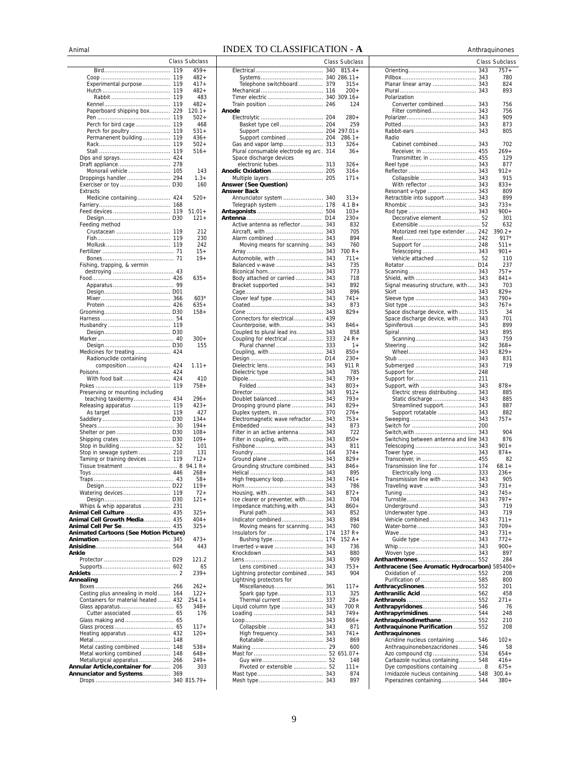## AnimalINDEX TO CLASSIFICATION - **A** Anthraquinones

|                                                                   |            | Class Subclass   |
|-------------------------------------------------------------------|------------|------------------|
|                                                                   | 119        | 459+             |
|                                                                   | 119        | 482+             |
| Experimental purpose                                              | 119        | $417+$           |
|                                                                   | 119<br>119 | 482+<br>483      |
|                                                                   | 119        | $482+$           |
| Paperboard shipping box                                           | 229        | $120.1 +$        |
|                                                                   | 119        | $502+$           |
| Perch for bird cage                                               | 119        | 468              |
| Perch for poultry                                                 | 119        | 531+             |
| Permanenent building                                              | 119        | $436+$           |
|                                                                   | 119        | $502+$           |
|                                                                   | 119<br>424 | $516+$           |
| Draft appliance                                                   | 278        |                  |
| Monorail vehicle                                                  | 105        | 143              |
| Droppings handler                                                 | 294        | $1.3+$           |
| Exerciser or toy                                                  | D30        | 160              |
| Extracts                                                          |            |                  |
| Medicine containing                                               | 424<br>168 | $520+$           |
| Feed devices                                                      | 119        | $51.01 +$        |
|                                                                   | D30        | $121 +$          |
| Feeding method                                                    |            |                  |
| Crustacean                                                        | 119        | 212              |
|                                                                   | 119        | 230              |
|                                                                   | 119<br>71  | 242              |
|                                                                   | 71         | $15+$<br>$19+$   |
| Fishing, trapping, & vermin                                       |            |                  |
|                                                                   |            |                  |
|                                                                   |            | $635+$           |
|                                                                   |            |                  |
|                                                                   |            |                  |
|                                                                   | 366<br>426 | $603*$<br>$635+$ |
|                                                                   |            | $158+$           |
|                                                                   |            |                  |
|                                                                   |            |                  |
|                                                                   |            |                  |
|                                                                   |            | $300+$           |
| Medicines for treating                                            | 424        | 155              |
| Radionuclide containing                                           |            |                  |
| composition                                                       | 424        | $1.11 +$         |
| With food bait                                                    | 424<br>424 | 410              |
|                                                                   | 119        | 758+             |
| Preserving or mounting including                                  |            |                  |
| teaching taxidermy                                                | 434        | $296+$           |
| Releasing apparatus                                               | 119        | $423+$           |
|                                                                   | 119<br>D30 | 427<br>$134 +$   |
|                                                                   | 30         | $194+$           |
|                                                                   |            | $108 +$          |
|                                                                   |            | $109+$           |
|                                                                   |            | 101              |
| Stop in sewage system  210                                        |            | 131<br>$712+$    |
| Taming or training devices                                        | 119        | $94.1 R +$       |
|                                                                   |            | 268+             |
|                                                                   |            | $58+$            |
|                                                                   |            | 119+             |
|                                                                   |            | $72+$            |
| Whips & whip apparatus  231                                       |            | $121 +$          |
| Animal Cell Culture  435                                          |            | $325+$           |
| Animal Cell Growth Media 435                                      |            | $404+$           |
| Animal Cell Per Se 435                                            |            | $325+$           |
| <b>Animated Cartoons (See Motion Picture)</b>                     |            |                  |
|                                                                   | 564        | $473+$<br>443    |
| Ankle                                                             |            |                  |
|                                                                   |            | 121.2            |
|                                                                   |            | 65               |
|                                                                   |            | $239+$           |
| Annealing                                                         | 266        | $262+$           |
| Casting plus annealing in mold  164                               |            | $122 +$          |
| Containers for material heated  432                               |            | $254.1+$         |
|                                                                   |            | $348+$           |
| Cutter associated  65                                             |            | 176              |
| Glass making and  65                                              |            | $117+$           |
| Heating apparatus  432                                            |            | $120+$           |
|                                                                   |            |                  |
| Metal casting combined  148                                       |            | $538+$           |
| Metal working combined 148                                        |            | 648+             |
| Metallurgical apparatus  266                                      |            | $249+$           |
| Annular Article, container for 206<br>Annunciator and Systems 369 |            | 303              |
|                                                                   |            |                  |
|                                                                   |            |                  |

|                                                                   |            | Class Subclass        |
|-------------------------------------------------------------------|------------|-----------------------|
|                                                                   | 340        | $815.4+$              |
| Telephone switchboard                                             | 379        | 340 286.11+<br>$315+$ |
|                                                                   | 116        | $200+$                |
| Timer electric                                                    |            | 340 309.16+           |
| Train position                                                    | 246        | 124                   |
| Anode                                                             | 204        | $280+$                |
|                                                                   |            | 259                   |
|                                                                   |            | $297.01 +$            |
| Support combined  204                                             |            | $286.1+$<br>$326+$    |
| Gas and vapor lamp 313<br>Plural consumable electrode eq arc. 314 |            | $36+$                 |
| Space discharge devices                                           |            |                       |
| electronic tubes 313                                              |            | $326+$                |
|                                                                   |            | $316+$<br>$171 +$     |
| <b>Answer (See Question)</b>                                      |            |                       |
| <b>Answer Back</b>                                                |            |                       |
| Annunciator system  340<br>Telegraph system                       | 178        | $313+$<br>$4.1 B+$    |
|                                                                   |            | $103+$                |
|                                                                   | D14        | $230 +$               |
| Active antenna as reflector                                       | 343        | 832<br>705            |
| Alarm combined                                                    | 343        | 894                   |
| Moving means for scanning 343                                     |            | 760                   |
|                                                                   |            | 700 R+                |
| Automobile, with<br>Balanced v-wave                               | 343<br>343 | $711 +$<br>735        |
|                                                                   |            | 773                   |
| Body attached or carried                                          | 343        | 718                   |
| Bracket supported  343                                            |            | 892                   |
| Clover leaf type                                                  | 343        | 896<br>$741+$         |
|                                                                   | 343        | 873                   |
|                                                                   |            | $829+$                |
| Connectors for electrical 439<br>Counterpoise, with 343           |            | 846+                  |
| Coupled to plural lead ins 343                                    |            | 858                   |
| Coupling for electrical                                           | 333        | 24 R+                 |
| Plural channel                                                    | 333        | $1+$<br>$850+$        |
|                                                                   | D14        | $230+$                |
| Dielectric lens                                                   | 343        | 911 R                 |
| Dielectric type                                                   | 343        | 785                   |
|                                                                   | 343<br>343 | $793+$<br>$803+$      |
|                                                                   |            | 912+                  |
| Doublet balanced                                                  | 343        | $793+$                |
| Drooping ground plane  343                                        |            | $829 +$<br>$276+$     |
| Electromagnetic wave refractor                                    | 343        | $753+$                |
|                                                                   | 343        | 873                   |
| Filter in an active antenna  343<br>Filter in coupling, with      | 343        | 722<br>$850+$         |
|                                                                   |            | 811                   |
|                                                                   |            | $374+$                |
| Ground plane<br>Grounding structure combined                      | 343<br>343 | $829 +$<br>$846+$     |
|                                                                   |            | 895                   |
| High frequency loop                                               | 343        | $741+$                |
|                                                                   | 343        | 786<br>$872+$         |
| Ice clearer or preventer, with                                    | 343        | 704                   |
| Impedance matching, with  343                                     |            | $860+$                |
|                                                                   |            | 852<br>894            |
| Indicator combined 343<br>Moving means for scanning 343           |            | 760                   |
|                                                                   |            | 137 R+                |
|                                                                   |            | $152A+$               |
| Inverted v-wave  343                                              |            | 736<br>880            |
|                                                                   |            | 909                   |
| Lens combined 343                                                 |            | $753+$                |
| Lightning protector combined 343<br>Lightning protectors for      |            | 904                   |
|                                                                   |            | $117+$                |
|                                                                   |            | 325                   |
| Thermal current  337<br>Liquid column type  343                   |            | 28+<br>700 R          |
|                                                                   |            | $749+$                |
|                                                                   |            | $866+$                |
|                                                                   |            | 871                   |
| High frequency 343                                                |            | 741+<br>869           |
|                                                                   |            | 600                   |
|                                                                   |            |                       |
| Pivoted or extensible  52                                         |            | 148<br>$111 +$        |
|                                                                   |            | 874                   |
|                                                                   |            | 897                   |

| 11 V 11 | 1 A            |                                               | <b>ATTURAYUROR</b> |
|---------|----------------|-----------------------------------------------|--------------------|
|         | Class Subclass |                                               | Class Subclass     |
|         |                |                                               |                    |
| 340     | $815.4+$       |                                               | $757+$             |
|         | 340 286.11+    |                                               | 780                |
| 379     | $315+$         | Planar linear array  343                      | 824                |
| 116     | $200 +$        |                                               | 893                |
|         | 340 309.16+    | Polarization                                  |                    |
| 246     | 124            | Converter combined 343                        | 756                |
|         |                | Filter combined 343                           | 756                |
| 204     | $280+$         |                                               | 909                |
| 204     | 259            |                                               | 873                |
|         |                |                                               |                    |
|         | 204 297.01+    |                                               | 805                |
| 204     | $286.1+$       | Radio                                         |                    |
| 313     | $326+$         | Cabinet combined 343                          | 702                |
| 314     | $36+$          |                                               | $269+$             |
|         |                | Transmitter, in  455                          | 129                |
| 313     | $326+$         |                                               | 877                |
| 205     | $316+$         |                                               | $912 +$            |
| 205     | 171+           |                                               | 915                |
|         |                | With reflector  343                           | $833+$             |
|         |                | Resonant v-type  343                          | 809                |
| 340     | $313+$         | Retractible into support  343                 | 899                |
| 178     | $4.1 B +$      |                                               | $733+$             |
| 504     | $103+$         |                                               | $900+$             |
| D14     | $230+$         | Decorative element 52                         | 301                |
| 343     | 832            |                                               | 632                |
| 343     | 705            | Motorized reel type extender  242             | $390.2 +$          |
| 343     | 894            |                                               | $917*$             |
| 343     | 760            |                                               | $511+$             |
| 343     | $700 R +$      |                                               | $901 +$            |
| 343     | $711+$         | Vehicle attached  52                          | 110                |
|         |                |                                               |                    |
| 343     | 735            |                                               | 237                |
| 343     | 773            |                                               | $757+$             |
| 343     | 718            |                                               | 841+               |
| 343     | 892            | Signal measuring structure, with 343          | 703                |
| 343     | 896            |                                               | $829+$             |
| 343     | $741 +$        |                                               | $790+$             |
| 343     | 873            |                                               | $767+$             |
| 343     | $829+$         | Space discharge device, with  315             | 34                 |
| 439     |                | Space discharge device, with 343              | 701                |
| 343     | $846+$         |                                               | 899                |
| 343     | 858            |                                               | 895                |
| 333     | 24 R+          |                                               | 759                |
| 333     | $1+$           |                                               | $368+$             |
| 343     | $850+$         |                                               | $829+$             |
| D14     | $230+$         |                                               | 831                |
| 343     | 911 R          |                                               | 719                |
| 343     | 785            |                                               |                    |
| 343     | $793+$         |                                               |                    |
| 343     | $803+$         |                                               | $878 +$            |
|         |                |                                               |                    |
| 343     | $912+$         | Electric stress distributing 343              | 885                |
| 343     | $793+$         |                                               | 885                |
| 343     | $829+$         | Streamlined support 343                       | 887                |
| 370     | $276+$         | Support rotatable  343                        | 882                |
| 343     | $753+$         |                                               | 757+               |
| 343     | 873            |                                               |                    |
| 343     | 722            |                                               | 904                |
| 343     | $850+$         | Switching between antenna and line 343        | 876                |
| 343     | 811            |                                               | $901 +$            |
| 164     | $374+$         |                                               | $874+$             |
| 343     | $829+$         |                                               | 82                 |
| 343     | $846+$         | Transmission line for  174                    | $68.1 +$           |
| 343     | 895            | Electrically long  333                        | $236+$             |
| 343     | $741+$         | Transmission line with 343                    | 905                |
| 343     | 786            | Traveling wave  343                           | $731+$             |
| 343     | $872+$         |                                               | $745+$             |
| 343     | 704            |                                               | $797+$             |
| 343     | $860+$         |                                               | 719                |
| 343     | 852            | Underwater type 343                           | 719                |
| 343     | 894            | Vehicle combined 343                          | $711+$             |
| 343     | 760            |                                               | $709+$             |
| 174     | $137 R +$      |                                               | $731+$             |
| 174     | $152A+$        | Guide type  343                               | 772+               |
| 343     | 736            |                                               | $900+$             |
| 343     | 880            |                                               | 897                |
| 343     | 909            |                                               | 284                |
| 343     | $753+$         | Anthracene (See Aromatic Hydrocarbon) 585400+ |                    |
| 343     | 904            |                                               | 208                |
|         |                |                                               |                    |
|         | $117+$         |                                               | 800                |
| 361     |                |                                               | 201<br>458         |
| 313     | 325            |                                               |                    |
| 337     | 28+            |                                               | $271+$             |
| 343     | 700 R          |                                               | 76                 |
| 343     | $749+$         | Anthrapyrimidines 544                         | 248                |
| 343     | 866+           | Anthraquinodimethane 552                      | 210                |
| 343     | 871            | Anthraquinone Purification  552               | 208                |
| 343     | $741+$         | Anthraquinones                                |                    |
| 343     | 869            | Acridine nucleus containing  546              | $102 +$            |
| .29     | 600            | Anthraquinonebenzacridones 546                | 58                 |
|         | $.52651.07+$   | Azo compound ctg  534                         | $654+$             |
| 52      | 148            | Carbazole nucleus containing 548              | $416+$             |
| .52     | $111 +$        | Dye compositions containing  8                | $675+$             |
| 343     | 874            | Imidazole nucleus containing 548              | $300.4 +$          |
| 343     | 897            | Piperazines containing 544                    | 380+               |
|         |                |                                               |                    |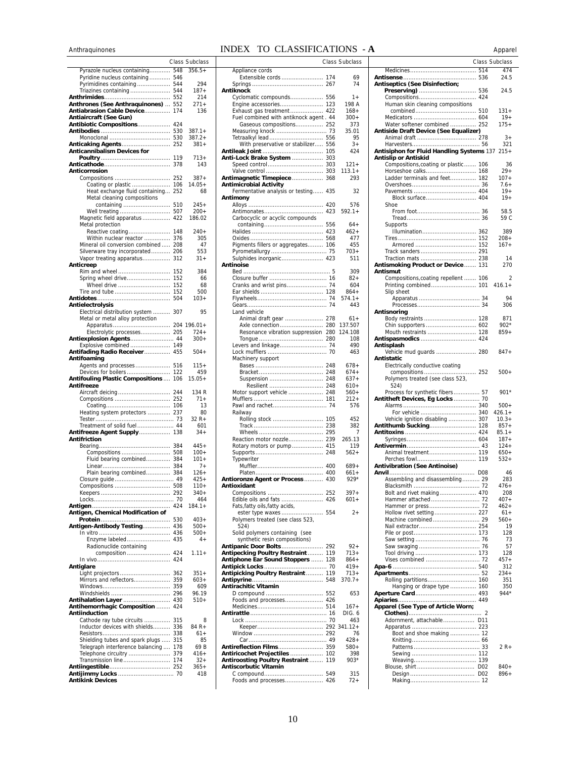# Anthraquinones **INDEX TO CLASSIFICATIONS** - **A** Apparel

|                                                                          |            | <b>Class Subclass</b> |
|--------------------------------------------------------------------------|------------|-----------------------|
| Pyrazole nucleus containing                                              | 548        | $356.5+$              |
| Pyridine nucleus containing                                              | 546        |                       |
| Pyrimidines containing                                                   | 544        | 294                   |
| Triazines containing                                                     | 544        | 187+                  |
|                                                                          | 552        | 214                   |
| <b>Anthrones (See Anthraquinones)</b><br>Antiabrasion Cable Device       | 552        | $271+$                |
| Antiaircraft (See Gun)                                                   | 174        | 136                   |
| Antibiotic Compositions                                                  | 424        |                       |
|                                                                          | 530        | $387.1 +$             |
|                                                                          | 530        | $387.2 +$             |
| Anticaking Agents                                                        | 252        | $381+$                |
| Anticannibalism Devices for                                              | 119        | $713+$                |
|                                                                          | 378        | 143                   |
| Anticorrosion                                                            |            |                       |
| Compositions                                                             | 252        | $387+$                |
| Coating or plastic                                                       | 106        | $14.05+$              |
| Heat exchange fluid containing                                           | 252        | 68                    |
| Metal cleaning compositions                                              |            | $245+$                |
| containing<br>Well treating                                              | 510<br>507 | 200+                  |
| Magnetic field apparatus                                                 | 422        | 186.02                |
| Metal protection                                                         |            |                       |
| Reactive coating                                                         | 148        | $240+$                |
| Within nuclear reactor                                                   | 376        | 305                   |
| Mineral oil conversion combined                                          | 208        | 47                    |
| Silverware tray incorporated<br>Vapor treating apparatus                 | 206<br>312 | 553<br>31+            |
| Anticreep                                                                |            |                       |
| Rim and wheel                                                            | 152        | 384                   |
| Spring wheel drive                                                       | 152        | 66                    |
| Wheel drive                                                              | 152        | 68                    |
| Tire and tube                                                            | 152        | 500                   |
| Antielectrolysis                                                         | 504        | $103+$                |
| Electrical distribution system                                           | 307        | 95                    |
| Metal or metal alloy protection                                          |            |                       |
| Apparatus                                                                | 204        | 196.01+               |
| Electrolytic processes                                                   | 205        | $724+$                |
| Antiexplosion Agents 44                                                  |            | $300+$                |
| Explosive combined                                                       | 149        | $504+$                |
| Antifading Radio Receiver 455<br>Antifoaming                             |            |                       |
| Agents and processes                                                     | 516        | $115+$                |
| Devices for boilers                                                      | 122        | 459                   |
| Antifouling Plastic Compositions                                         | 106        | $15.05+$              |
| Antifreeze<br>Aircraft deicing                                           | 244        | 134 R                 |
|                                                                          |            | $71+$                 |
|                                                                          |            | 13                    |
| Heating system protectors                                                | 237        | 80                    |
|                                                                          |            | 32 R+                 |
| Treatment of solid fuel 44                                               |            | 601<br>$34+$          |
| Antifreeze Agent Supply<br><b>Antifriction</b>                           | 138        |                       |
|                                                                          | 384        | $445+$                |
| Compositions                                                             | 508        | $100+$                |
| Fluid bearing combined 384                                               |            | $101 +$               |
|                                                                          |            | $7+$                  |
| Plain bearing combined 384                                               |            | $126+$<br>$425+$      |
|                                                                          |            | $110+$                |
|                                                                          |            | $340+$                |
|                                                                          |            | 464                   |
|                                                                          |            | $184.1 +$             |
| Antigen, Chemical Modification of                                        | 530        | $403+$                |
| Antigen-Antibody Testing                                                 | 436        | $500+$                |
|                                                                          | 436        | $500+$                |
| Enzyme labeled                                                           | 435        | $4+$                  |
| Radionuclide containing                                                  |            |                       |
| composition                                                              | 424<br>424 | $1.11 +$              |
| Antiglare                                                                |            |                       |
| Light projectors                                                         | 362        | $351+$                |
| Mirrors and reflectors                                                   | 359        | $603+$                |
|                                                                          | 359        | 609                   |
| Windshields<br>Antihalation Layer  430                                   | 296        | 96.19<br>$510+$       |
| Antihemorrhagic Composition                                              | 424        |                       |
| <b>Antiinduction</b>                                                     |            |                       |
| Cathode ray tube circuits                                                | 315        | 8                     |
| Inductor devices with shields                                            | 336        | $84 R +$              |
|                                                                          |            | 61+<br>85             |
| Shielding tubes and spark plugs  315<br>Telegraph interference balancing | 178        | 69 B                  |
| Telephone circuitry                                                      | 379        | $416+$                |
| Transmission line 174                                                    |            | $32+$                 |
|                                                                          |            | $365+$                |
| <b>Antikink Devices</b>                                                  |            | 418                   |

|                                                                         |            | Class Subclass     |
|-------------------------------------------------------------------------|------------|--------------------|
| Appliance cords                                                         |            |                    |
| Extensible cords  174                                                   |            | 69                 |
|                                                                         | 267        | 74                 |
| Antiknock                                                               |            |                    |
| Cyclomatic compounds 556                                                |            | 1+                 |
| Engine accessories 123<br>Exhaust gas treatment 422                     |            | 198 A<br>$168 +$   |
| Fuel combined with antiknock agent . 44                                 |            | $300+$             |
| Gaseous compositions 252                                                |            | 373                |
|                                                                         |            | 35.01              |
| Tetraalkyl lead                                                         | 556        | 95                 |
| With preservative or stabilizer 556                                     |            | $3+$               |
|                                                                         | 105        | 424                |
| Anti-Lock Brake System                                                  | 303        |                    |
|                                                                         |            | $121 +$            |
| Valve control                                                           | 303        | $113.1+$           |
| Antimagnetic Timepiece                                                  | 368        | 293                |
| <b>Antimicrobial Activity</b><br>Fermentative analysis or testing 435   |            | 32                 |
| Antimony                                                                |            |                    |
|                                                                         | 420        | 576                |
| Antimonates                                                             | 423        | $592.1+$           |
| Carbocyclic or acyclic compounds                                        |            |                    |
|                                                                         | 556        | 64+                |
|                                                                         | 423        | $462+$             |
|                                                                         | 568        | 477                |
| Pigments fillers or aggregates 106                                      |            | 455                |
|                                                                         |            | $703+$             |
| Sulphides inorganic 423                                                 |            | 511                |
| Antinoise                                                               |            |                    |
|                                                                         |            | 309<br>82+         |
|                                                                         |            | 604                |
|                                                                         |            | $864+$             |
|                                                                         |            | $574.1+$           |
|                                                                         | 74         | 443                |
| Land vehicle                                                            |            |                    |
| Animal draft gear  278                                                  |            | $61+$              |
| Axle connection 280                                                     |            | 137.507            |
| Resonance vibration suppression 280                                     |            | 124.108<br>108     |
|                                                                         |            | 490                |
|                                                                         |            | 463                |
| Machinery support                                                       |            |                    |
|                                                                         |            | $678+$             |
|                                                                         | 248        | $674+$             |
| Suspension                                                              | 248        | $637+$             |
|                                                                         |            | 610+               |
| Motor support vehicle  248                                              |            | $560+$             |
|                                                                         |            | $212 +$<br>576     |
| Railway                                                                 |            |                    |
| Rolling stock                                                           | 105        | 452                |
|                                                                         | 238        | 382                |
|                                                                         |            | 7                  |
| Reaction motor nozzle 239                                               |            | 265.13             |
| Rotary motors or pump                                                   | 415        | 119                |
|                                                                         | 248        | $562+$             |
| Typewriter                                                              |            |                    |
|                                                                         | 400<br>400 | $689+$<br>$661+$   |
| Antioronze Agent or Process 430                                         |            | 929*               |
| Antioxidant                                                             |            |                    |
|                                                                         |            | $397 +$            |
| Edible oils and fats  426                                               |            | $601 +$            |
| Fats, fatty oils, fatty acids,                                          |            |                    |
| ester type waxes 554                                                    |            | $^{2+}$            |
| Polymers treated (see class 523,<br>524)                                |            |                    |
| Solid polymers containing (see                                          |            |                    |
| synthetic resin compositions)                                           |            |                    |
|                                                                         |            | $92 +$             |
| Antipecking Poultry Restraint  119<br>Antiphone Ear Sound Stoppers  128 |            | $713+$             |
|                                                                         |            | $864+$             |
|                                                                         |            | $419+$             |
|                                                                         |            | $713+$<br>$370.7+$ |
| Antirachitic Vitamin                                                    |            |                    |
|                                                                         |            | 653                |
| Foods and processes 426                                                 |            |                    |
|                                                                         |            | 167+               |
|                                                                         |            | DIG. 6             |
|                                                                         |            | 463                |
|                                                                         |            | 76                 |
|                                                                         |            | $428 +$            |
|                                                                         |            | 580+               |
| Antiricochet Projectiles  102                                           |            | 398                |
| Antiroosting Poultry Restraint  119                                     |            | 903*               |
| Antiscorbutic Vitamin                                                   |            |                    |
|                                                                         |            | 315                |
| Foods and processes 426                                                 |            | 72+                |

|             |                 | емпян телліген                              |                 |                                                | <b>Apparer</b>        |
|-------------|-----------------|---------------------------------------------|-----------------|------------------------------------------------|-----------------------|
|             | Class Subclass  |                                             | Class Subclass  |                                                | <b>Class Subclass</b> |
| 548         | $356.5+$        | Appliance cords                             |                 |                                                | 474                   |
| 546         |                 |                                             | 69              |                                                | 24.5                  |
| 544         | 294             |                                             | 74              | <b>Antiseptics (See Disinfection;</b>          |                       |
| 544         | $187+$          | Antiknock                                   |                 |                                                | 24.5                  |
| 552         | 214             | Cyclomatic compounds 556                    | $1+$            |                                                |                       |
| 552         | $271+$          | Engine accessories 123                      | 198 A           | Human skin cleaning compositions               |                       |
| 174         | 136             | Exhaust gas treatment 422                   | $168+$          |                                                | $131+$                |
|             |                 | Fuel combined with antiknock agent. 44      | $300+$          |                                                | $19+$                 |
| 424         |                 | Gaseous compositions 252                    | 373             | Water softener combined  252                   | $175+$                |
| 530         | $387.1+$        |                                             | 35.01           | Antiside Draft Device (See Equalizer)          |                       |
| 530         | $387.2+$        |                                             | 95              |                                                | $3+$                  |
| 252         | $381+$          | With preservative or stabilizer 556         | $3+$            |                                                | 321                   |
|             |                 |                                             | 424             | Antisiphon for Fluid Handling Systems 137 215+ |                       |
| . 119       | $713+$          | Anti-Lock Brake System  303                 |                 | Antislip or Antiskid                           |                       |
| 378         | 143             |                                             | $121 +$         | Compositions, coating or plastic  106          | 36                    |
|             |                 |                                             | $113.1+$        | Horseshoe calks 168                            | $29+$                 |
| 252         | $387+$          | Antimagnetic Timepiece  368                 | 293             | Ladder terminals and feet 182                  | $107 +$               |
| 106         | $14.05+$        | <b>Antimicrobial Activity</b>               |                 |                                                | $7.6+$                |
| 252         | 68              | Fermentative analysis or testing 435        | 32              |                                                | $19+$                 |
|             |                 | Antimony                                    |                 | Block surface 404                              | $19+$                 |
| 510         | $245+$          |                                             | 576             | Shoe                                           |                       |
| 507         | $200+$          |                                             | $592.1+$        |                                                | 58.5                  |
| 422         | 186.02          | Carbocyclic or acyclic compounds            |                 |                                                | 59 C                  |
|             | $240+$          |                                             | $64+$<br>$462+$ | Supports<br>Illumination 362                   | 389                   |
| 148<br>376  | 305             |                                             | 477             |                                                | $208+$                |
| 208         | 47              | Pigments fillers or aggregates 106          | 455             |                                                | $167+$                |
| 206         | 553             |                                             | $703+$          |                                                |                       |
| 312         | $31 +$          |                                             | 511             |                                                | 14                    |
|             |                 | Sulphides inorganic 423<br>Antinoise        |                 | Antismoking Product or Device 131              | 270                   |
| 152         | 384             |                                             | 309             | Antismut                                       |                       |
| . 152       | 66              |                                             | $82+$           | Compositions, coating repellent  106           | $\overline{2}$        |
| 152         | 68              |                                             | 604             |                                                | $416.1+$              |
| 152         | 500             |                                             | $864+$          | Slip sheet                                     |                       |
| 504         | $103+$          |                                             | $574.1+$        |                                                | 94                    |
|             |                 |                                             | 443             |                                                | 306                   |
| 307         | 95              | Land vehicle                                |                 | Antisnoring                                    |                       |
|             |                 | Animal draft gear  278                      | $61+$           |                                                | 871                   |
|             | $204$ 196.01+   | Axle connection 280 137.507                 |                 |                                                | $902*$                |
| 205         | $724+$          | Resonance vibration suppression 280 124.108 |                 | Mouth restraints  128                          | $859+$                |
| . . 44      | $300+$          |                                             | 108             |                                                |                       |
| . 149       |                 | Levers and linkage 74                       | 490             | Antisplash                                     |                       |
| . 455       | $504+$          |                                             | 463             | Vehicle mud guards  280                        | $847+$                |
|             |                 | Machinery support                           |                 | Antistatic                                     |                       |
| 516         | $115+$          |                                             | $678+$          | Electrically conductive coating                |                       |
| 122         | 459             |                                             | $674+$          |                                                | $500+$                |
| 106         | $15.05+$        |                                             | $637+$          | Polymers treated (see class 523,               |                       |
|             |                 |                                             | $610+$          | 524)                                           |                       |
| 244         | 134 R           | Motor support vehicle  248                  | $560+$          | Process for synthetic fibers 57                | 901*                  |
| 252         | $71+$           |                                             | 212+            | Antitheft Devices, Eg Locks 70                 |                       |
| . 106       | 13              |                                             | 576             |                                                | $500+$                |
| . 237       | 80              | Railway                                     |                 |                                                | $426.1+$              |
| 73          | $32 R +$<br>601 |                                             | 452             | Vehicle ignition disabling  307                | $10.3+$<br>$857+$     |
| 44<br>. 138 | $34+$           |                                             | 382<br>7        |                                                | $85.1+$               |
|             |                 | Reaction motor nozzle 239                   | 265.13          |                                                | $187+$                |
| 384         | $445+$          | Rotary motors or pump 415                   | 119             |                                                | $124+$                |
| 508         | $100+$          |                                             | $562+$          |                                                | $650+$                |
| 384         | $101 +$         | Typewriter                                  |                 |                                                | $532+$                |
| 384         | $7+$            |                                             | $689+$          | <b>Antivibration (See Antinoise)</b>           |                       |
| 384         | $126+$          |                                             | $661+$          |                                                | 46                    |
| . 49        | $425+$          | Antioronze Agent or Process 430             | $929*$          | Assembling and disassembling 29                | 283                   |
| 508         | $110+$          | Antioxidant                                 |                 |                                                | $476+$                |
| 292         | $340+$          |                                             | $397+$          |                                                | 208                   |
| 70          | 464             |                                             | $601 +$         |                                                | 407+                  |
| 424         | $184.1+$        | Fats, fatty oils, fatty acids,              |                 | Hammer or press 72                             | $462+$                |
|             |                 |                                             | $2+$            |                                                | $61+$                 |
| 530         | $403+$          | Polymers treated (see class 523,            |                 |                                                | $560+$                |
| 436         | $500+$          | 524)                                        |                 |                                                | 19                    |
| 436         | $500+$          | Solid polymers containing (see              |                 |                                                | 128                   |
| 435         | 4+              | synthetic resin compositions)               |                 |                                                | 73                    |
|             |                 |                                             | $92 +$          |                                                | 57                    |
| .424        | $1.11 +$        | Antipecking Poultry Restraint 119           | $713+$          |                                                | 128                   |
| . 424       |                 | Antiphone Ear Sound Stoppers  128           | $864+$          |                                                | $457+$                |
|             |                 |                                             | $419+$          |                                                | 312                   |
| 362         | $351+$          | Antipicking Poultry Restraint 119           | $713+$          |                                                | $234+$                |
| 359         | $603+$          |                                             | $370.7+$        |                                                | 351                   |
| 359         | 609             | Antirachitic Vitamin                        |                 | Hanging or drape type  160                     | 350                   |
| 296         | 96.19           |                                             | 653             |                                                | $944*$                |
| 430         | $510+$          | Foods and processes 426                     |                 |                                                |                       |
| 424         |                 |                                             | $167+$          | Apparel (See Type of Article Worn;             |                       |
|             | 8               |                                             | DIG. 6          |                                                |                       |
| 315         |                 |                                             | 463             | Adornment, attachable D11                      |                       |
| 336<br>338  | 84 R+<br>$61+$  |                                             | 76              | Boot and shoe making 12                        |                       |
| 315         | 85              |                                             | $428 +$         |                                                |                       |
| 178         | 69 B            | <b>Antireflection Films 359</b>             | $580+$          |                                                | $2R+$                 |
| 379         | $416+$          | Antiricochet Projectiles  102               | 398             |                                                |                       |
| 174         | $32+$           | Antiroosting Poultry Restraint  119         | $903*$          |                                                |                       |
| 252         | $365+$          | Antiscorbutic Vitamin                       |                 |                                                | $840+$                |
| 70          | 418             |                                             | 315             |                                                | $896+$                |
|             |                 | Foods and processes 426                     | $72+$           |                                                |                       |
|             |                 |                                             |                 |                                                |                       |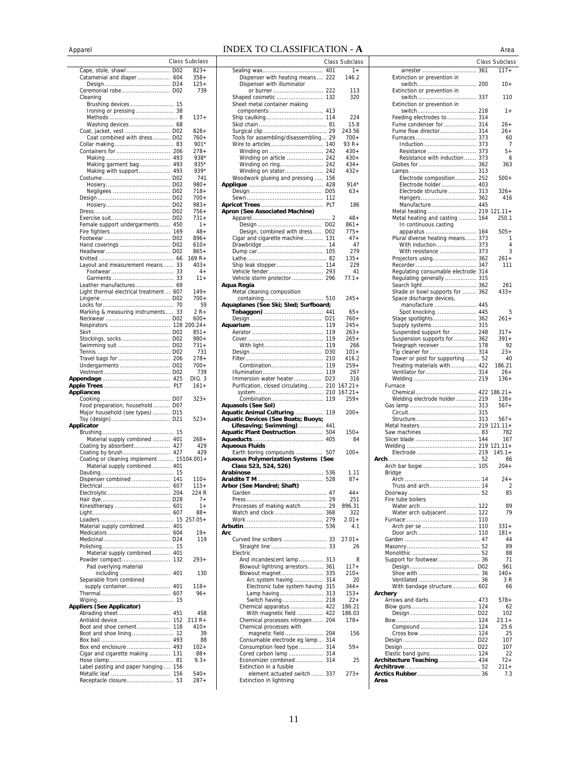## ApparelINDEX TO CLASSIFICATION - **A** Area

|                                                                            |     | <b>Class Subclass</b> |
|----------------------------------------------------------------------------|-----|-----------------------|
| Cape, stole, shawl  D02                                                    |     | $823+$                |
|                                                                            |     | 358+                  |
| Ceremonial robe D02                                                        |     | $125+$<br>739         |
| Cleaning                                                                   |     |                       |
|                                                                            |     |                       |
|                                                                            |     |                       |
| Washing devices  68                                                        |     | $137 +$               |
| Coat, jacket, vest  D02                                                    |     | $828 +$               |
| Coat combined with dress D02                                               |     | 760+                  |
|                                                                            |     | $901*$                |
|                                                                            |     | 278+<br>$938*$        |
| Making garment bag 493                                                     |     | 935*                  |
| Making with support 493                                                    |     | 939*                  |
|                                                                            |     | 741                   |
|                                                                            |     | $980 +$<br>$718+$     |
|                                                                            |     | 700+                  |
|                                                                            |     | 983+                  |
|                                                                            |     | $756+$                |
|                                                                            |     | 731+                  |
| Female support undergarments  450                                          |     | $1+$<br>$48+$         |
|                                                                            |     | 896+                  |
|                                                                            |     | $610+$                |
|                                                                            |     | $865+$                |
| Layout and measurement means 33                                            |     | 169 R+<br>$403+$      |
|                                                                            |     | $4+$                  |
|                                                                            |     | $11 +$                |
| Leather manufactures 69                                                    |     |                       |
| Light thermal electrical treatment  607                                    |     | $149+$<br>700+        |
|                                                                            | 70  | 59                    |
| Marking & measuring instruments                                            | 33  | $2R+$                 |
|                                                                            |     | $600+$                |
|                                                                            |     | $851+$                |
|                                                                            |     | $980+$                |
|                                                                            |     | $731 +$               |
|                                                                            |     | 731                   |
| Undergarments  D02                                                         |     | 278+<br>700+          |
|                                                                            |     | 739                   |
|                                                                            |     | DIG. 3                |
|                                                                            |     | $161 +$               |
| <b>Appliances</b>                                                          |     | 323+                  |
| Food preparation, household  D07                                           |     |                       |
| Major household (see types)  D15                                           |     |                       |
|                                                                            |     | 523+                  |
| Applicator                                                                 |     |                       |
| Material supply combined  401                                              |     | 268+                  |
| Coating by absorbent 427                                                   |     | 429                   |
| Coating by brush  427                                                      |     | 429                   |
| Coating or cleaning implement  15104.001+<br>Material supply combined  401 |     |                       |
|                                                                            |     |                       |
| Dispenser combined  141                                                    |     | $110+$                |
| Electrical                                                                 | 607 | $115 -$               |
|                                                                            |     | 224 R<br>$7+$         |
|                                                                            |     | $1 +$                 |
|                                                                            |     | $88+$                 |
| Material supply combined 401                                               |     | $257.05+$             |
|                                                                            |     | $19+$                 |
|                                                                            |     | 119                   |
|                                                                            |     |                       |
| Material supply combined  401                                              |     | 293+                  |
| Pad overlying material                                                     |     |                       |
|                                                                            |     | 130                   |
| Separable from combined                                                    |     |                       |
| supply container 401                                                       |     | $118 +$<br>$96+$      |
|                                                                            |     |                       |
| <b>Appliers (See Applicator)</b>                                           |     |                       |
|                                                                            |     | 458                   |
| Antiskid device  152<br>Boot and shoe cement 118                           |     | 213 R+<br>$410+$      |
|                                                                            |     | 39                    |
|                                                                            |     | 88                    |
| Box end enclosure 493                                                      |     | $102 +$               |
| Cigar and cigarette making  131                                            |     | 88+<br>$9.3+$         |
| Label pasting and paper hanging 156                                        |     |                       |
|                                                                            |     | $540+$                |
|                                                                            |     | 287+                  |

|                                                        |                 | 1+         |
|--------------------------------------------------------|-----------------|------------|
| Dispenser with heating means 222                       |                 | 146.2      |
|                                                        |                 |            |
| Dispenser with illuminator                             |                 |            |
| or burner 222                                          |                 | 113        |
| Shaped cosmetic  132                                   |                 | 320        |
| Sheet metal container making                           |                 |            |
|                                                        |                 |            |
|                                                        |                 |            |
|                                                        |                 | 224        |
|                                                        |                 | 15.8       |
|                                                        |                 | 243.56     |
| Tools for assembling/disassembling 29                  |                 | $700+$     |
|                                                        |                 |            |
|                                                        |                 | 93 R+      |
|                                                        |                 | $430+$     |
| Winding on article  242                                |                 | $430+$     |
|                                                        |                 | $434 +$    |
|                                                        |                 |            |
| Winding on stator 242                                  |                 | $432+$     |
| Woodwork glueing and pressing  156                     |                 |            |
|                                                        |                 | $914*$     |
|                                                        | D <sub>05</sub> | $63+$      |
|                                                        |                 |            |
|                                                        |                 |            |
|                                                        |                 | 186        |
| Apron (See Associated Machine)                         |                 |            |
|                                                        |                 | $48 +$     |
|                                                        |                 | $861+$     |
|                                                        |                 |            |
| Design, combined with dress D02                        |                 | 775+       |
| Cigar and cigarette machine  131                       |                 | $47+$      |
|                                                        |                 | 47         |
|                                                        |                 | 279        |
|                                                        |                 |            |
|                                                        |                 | $135 +$    |
| Ship leak stopper 114                                  |                 | 229        |
| Vehicle fender  293                                    |                 | 41         |
| Vehicle storm protector  296                           |                 | $77.1+$    |
|                                                        |                 |            |
| Aqua Regia                                             |                 |            |
| Metal cleaning composition                             |                 |            |
|                                                        |                 | $245+$     |
| Aquaplanes (See Ski; Sled; Surfboard;                  |                 |            |
|                                                        |                 | $65+$      |
|                                                        |                 | 760+       |
|                                                        |                 | $245+$     |
|                                                        |                 |            |
|                                                        |                 | $263+$     |
|                                                        |                 | $265+$     |
|                                                        |                 | 266        |
|                                                        | D <sub>30</sub> | $101 +$    |
|                                                        |                 | 416.2      |
|                                                        |                 |            |
|                                                        |                 | $259+$     |
|                                                        |                 | 267        |
| Immersion water heater D23                             |                 | 316        |
| Purification, closed circulating 210                   |                 |            |
|                                                        |                 |            |
|                                                        |                 | $167.21+$  |
|                                                        | 210             | $167.21 +$ |
|                                                        |                 | $259+$     |
| Aquasols (See Sol)                                     |                 |            |
| Aquatic Animal Culturing                               | 119             | $200+$     |
|                                                        |                 |            |
| <b>Aquatic Devices (See Boats; Buoys;</b>              |                 |            |
| Lifesaving; Swimming)  441                             |                 |            |
| Aquatic Plant Destruction                              | 504             | 150+       |
|                                                        |                 | 84         |
| <b>Aqueous Fluids</b>                                  |                 |            |
| Earth boring compounds                                 | 507             | 100+       |
|                                                        |                 |            |
| <b>Aqueous Polymerization Systems (See</b>             |                 |            |
| Class 523, 524, 526)                                   |                 |            |
|                                                        |                 | 1.11       |
|                                                        |                 | $87+$      |
| Arbor (See Mandrel; Shaft)                             |                 |            |
| Garden                                                 |                 | $44 +$     |
|                                                        |                 | 251        |
|                                                        |                 |            |
| Processes of making watch 29                           |                 | 896.31     |
| Watch and clock  368                                   |                 | 322        |
|                                                        |                 | $2.01 +$   |
|                                                        |                 | 4.1        |
| Arc                                                    |                 |            |
| Curved line scribers  33                               |                 |            |
|                                                        |                 | $27.01 +$  |
| Straight line  33                                      |                 | 26         |
| Electric                                               |                 |            |
| And incandescent lamp  313                             |                 | 8          |
|                                                        |                 | $117+$     |
| Blowout lightning arrestors 361<br>Blowout magnet 335  |                 | $210+$     |
| Arc system having  314                                 |                 | 20         |
|                                                        |                 | $344+$     |
| Electronic tube system having 315                      |                 |            |
| Lamp having  313                                       |                 | $153+$     |
| Switch having  218                                     |                 | $22 +$     |
| Chemical apparatus  422                                |                 | 186.21     |
| With magnetic field  422                               |                 | 186.03     |
| Chemical processes nitrogen  204                       |                 | 178+       |
| Chemical processes with                                |                 |            |
|                                                        |                 |            |
| magnetic field  204                                    |                 | 156        |
| Consumable electrode eg lamp 314                       |                 |            |
| Consumption feed type  314                             |                 | $59+$      |
| Cored carbon lamp  314                                 |                 |            |
| Economizer combined 314                                |                 | 25         |
| Extinction in a fusible                                |                 |            |
|                                                        |                 |            |
| element actuated switch 337<br>Extinction in lightning |                 | $273+$     |

|                                    | <b>Class Subclass</b>      |                                                                 | <b>Class Subclass</b> |
|------------------------------------|----------------------------|-----------------------------------------------------------------|-----------------------|
| 401                                | $1+$                       | arrester  361                                                   | $117+$                |
| .222                               | 146.2                      | Extinction or prevention in                                     | $10+$                 |
| .222                               | 113                        | Extinction or prevention in                                     |                       |
| . 132                              | 320                        | Extinction or prevention in                                     | 110                   |
| . 413                              |                            |                                                                 | 1+                    |
| . 114                              | 224                        | Feeding electrodes to 314                                       |                       |
| 81<br>29                           | 15.8<br>243.56             | Fume flow director 314                                          | $26+$<br>$26+$        |
| 29                                 | $700+$                     |                                                                 | 60                    |
| . 140                              | 93 R+                      |                                                                 | 7                     |
| . 242<br>.242                      | $430+$<br>$430+$           | Resistance with induction 373                                   | 5+<br>6               |
| . 242                              | $434+$                     |                                                                 | 363                   |
| . 242<br>. 156                     | $432+$                     | Electrode composition 252                                       | $500+$                |
| . 428                              | $914*$                     | Electrode holder 403                                            |                       |
| <b>D05</b>                         | $63+$                      | Electrode structure  313                                        | $326+$                |
| . 112<br>. PLT                     | 186                        | Manufacture 445                                                 | 416                   |
|                                    |                            | Metal heating 219 121.11+                                       |                       |
| . 2                                | $48+$                      | Metal heating and casting  164                                  | 250.1                 |
| D <sub>02</sub><br>D <sub>02</sub> | $861+$<br>$775+$           | In continuous casting<br>apparatus  164                         | $505+$                |
| . 131                              | $47+$                      | Plural diverse heating means  373                               | 1                     |
| 14                                 | 47                         | With induction 373                                              | 4                     |
| . 105<br>82                        | 279<br>$135+$              | With resistance  373                                            | 3<br>261+             |
| . 114                              | 229                        |                                                                 | 111                   |
| . 293                              | 41                         | Regulating consumable electrode 314                             |                       |
| .296                               | $77.1+$                    | Regulating generally  315                                       | 261                   |
|                                    |                            | Shade or bowl supports for  362                                 | 433+                  |
| . 510                              | $245+$                     | Space discharge devices,                                        |                       |
| ırd;<br>. 441                      | $65+$                      | manufacture  445<br>Spot knocking  445                          | 5                     |
| D <sub>21</sub>                    | $760+$                     | Stage spotlights 362                                            | $261+$                |
| . 119                              | $245+$                     | Supply systems  315                                             |                       |
| 119<br>119                         | $263+$<br>$265+$           | Suspended support for 248<br>Suspension supports for  362       | 317+<br>391+          |
| . 119                              | 266                        | Telegraph receiver  178                                         | 92                    |
| D <sub>30</sub>                    | $101 +$                    |                                                                 | $23+$                 |
| . 210<br>. 119                     | 416.2<br>259+              | Tower or post for supporting  52<br>Treating materials with 422 | 40<br>186.21          |
| . 119                              | 267                        |                                                                 | 26+                   |
| D <sub>23</sub>                    | 316                        |                                                                 | $136+$                |
| .210                               | . 210 167.21+<br>$167.21+$ | Furnace                                                         |                       |
| . 119                              | $259+$                     | Welding electrode holder 219                                    | $138+$                |
|                                    |                            |                                                                 | $567+$                |
| . 119                              | 200+                       |                                                                 | $567+$                |
| . 441                              |                            |                                                                 |                       |
| 504<br>.405                        | $150+$<br>84               |                                                                 | 782<br>167            |
|                                    |                            |                                                                 |                       |
| . 507                              | 100+                       |                                                                 | $145.1+$              |
| (See                               |                            |                                                                 | 86<br>$204+$          |
| . 536                              | 1.11                       | Bridge                                                          |                       |
| . 528                              | $87+$                      |                                                                 | $24+$                 |
| 47                                 | $44 +$                     | Truss and arch 14                                               | 2<br>85               |
| 29                                 | 251                        | Fire tube boilers                                               |                       |
| . . 29<br>. 368                    | 896.31<br>322              | Water arch  122<br>Water arch subjacent 122                     | 89<br>79              |
| . 279                              | $2.01 +$                   |                                                                 |                       |
| . 536                              | 4.1                        | Arch per se  110                                                | $331+$                |
| 33                                 | $27.01 +$                  | Door arch 110                                                   | $181 +$<br>44         |
| 33                                 | 26                         |                                                                 | 89                    |
|                                    |                            |                                                                 | 88                    |
| . 313<br>. 361                     | 8<br>$117+$                | Support for footwear 36                                         | 71<br>961             |
| . 335                              | 210+                       |                                                                 | 140+                  |
| . 314                              | 20                         |                                                                 | 3 R                   |
| -315<br>313                        | $344+$<br>153+             | With bandage structure 602<br>Archery                           | 66                    |
| .218                               | $22+$                      | Arrows and darts  473                                           | $578+$                |
| . 422                              | 186.21                     |                                                                 | 62                    |
| . 422<br>. 204                     | 186.03<br>$178+$           |                                                                 | 102<br>$23.1+$        |
|                                    |                            |                                                                 | 25.6                  |
| . 204<br>. 314                     | 156                        |                                                                 | 25<br>107             |
| . 314                              | $59+$                      |                                                                 | 107                   |
| . 314                              |                            | Elastic band guns 124                                           | 22                    |
| . 314                              | 25                         | Architecture Teaching 434                                       | $72+$<br>$211+$       |
| . 337                              | 273+                       |                                                                 | 7.3                   |
|                                    |                            | Area                                                            |                       |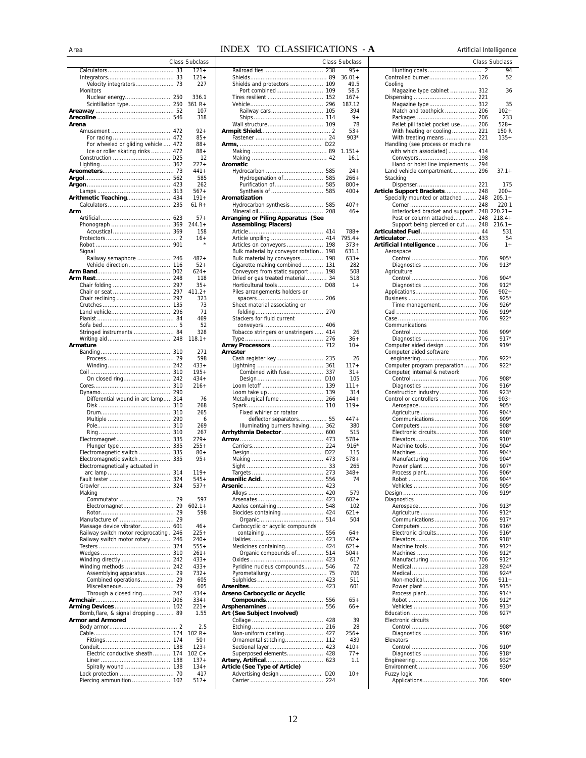### Area **INDEX TO CLASSIFICATIONS** - **A** Artificial Intelligence

|                                         |     | Class Subclass |
|-----------------------------------------|-----|----------------|
|                                         | 33  | $121 +$        |
|                                         |     | $121 +$        |
|                                         |     | 227            |
| Monitors                                |     |                |
|                                         |     | 336.1          |
| Nuclear energy 250                      |     |                |
|                                         |     | 361 R+         |
|                                         |     | 107            |
|                                         |     | 318            |
| Arena                                   |     |                |
|                                         |     | 92+            |
| For racing                              | 472 | $85+$          |
| For wheeled or gliding vehicle          | 472 | $88+$          |
| Ice or roller skating rinks             | 472 | $88+$          |
|                                         |     | 12             |
|                                         |     | $227+$         |
|                                         |     | $441+$         |
|                                         | 562 | 585            |
|                                         |     |                |
|                                         | 423 | 262            |
|                                         | 313 | $567+$         |
| Arithmetic Teaching                     | 434 | $191 +$        |
|                                         | 235 | 61 R+          |
| Arm                                     |     |                |
|                                         |     | $57+$          |
|                                         |     | $244.1+$       |
| Acoustical                              | 369 | 158            |
|                                         |     | 16+            |
|                                         |     |                |
| Signal                                  |     |                |
|                                         |     |                |
| Railway semaphore  246                  |     | $482+$         |
| Vehicle direction                       | 116 | $52+$          |
|                                         |     | $624+$         |
|                                         |     | 118            |
|                                         |     | $35+$          |
|                                         |     | $411.2+$       |
|                                         |     | 323            |
|                                         |     | 73             |
|                                         |     | 71             |
|                                         |     | 469            |
|                                         |     | 52             |
| Stringed instruments  84                |     | 328            |
|                                         | 248 |                |
|                                         |     | 118.1+         |
| Armature                                |     |                |
|                                         | 310 | 271            |
|                                         | 29  | 598            |
|                                         |     | 433+           |
|                                         | 310 | $195+$         |
| On closed ring                          | 242 | $434+$         |
|                                         | 310 | $216+$         |
|                                         | 290 |                |
| Differential wound in arc lamp          | 314 | 76             |
|                                         | 310 | 268            |
|                                         | 310 |                |
|                                         |     | 265            |
|                                         | 290 | 6              |
|                                         | 310 | 269            |
|                                         | 310 | 267            |
|                                         |     | $279+$         |
|                                         |     | $255+$         |
| Electromagnetic switch                  | 335 | $80 +$         |
| Electromagnetic switch                  | 335 | $95+$          |
| Electromagnetically actuated in         |     |                |
|                                         |     | $119+$         |
|                                         |     | $545+$         |
|                                         | 324 | $537+$         |
| Making                                  |     |                |
|                                         |     | 597            |
|                                         |     | $602.1+$       |
|                                         |     |                |
|                                         | 29  | 598            |
| Manufacture of                          |     |                |
| Massage device vibrator 601             |     | $46+$          |
| Railway switch motor reciprocating. 246 |     | $225+$         |
| Railway switch motor rotary  246        |     | 240+           |
|                                         |     | $555+$         |
|                                         |     | $261+$         |
|                                         |     | $433+$         |
|                                         |     | $433+$         |
| Assemblying apparatus 29                |     | $732+$         |
| Combined operations 29                  |     | 605            |
|                                         |     | 605            |
| Through a closed ring 242               |     | $434+$         |
|                                         |     | $334+$         |
|                                         |     | $221 +$        |
|                                         |     |                |
| Bomb, flare, & signal dropping  89      |     | 1.55           |
| <b>Armor and Armored</b>                |     |                |
|                                         |     | 2.5            |
|                                         |     | $102 R +$      |
|                                         | 174 | $50+$          |
|                                         | 138 | $123+$         |
| Electric conductive sheath              | 174 | $102C +$       |
|                                         | 138 | $137 +$        |
|                                         |     | $134+$         |
|                                         |     | 417            |
| Piercing ammunition  102                |     | $517+$         |

|                 | Class Subclass    |                                                | Class Subclass  |                                                                    | Class Subclass   |
|-----------------|-------------------|------------------------------------------------|-----------------|--------------------------------------------------------------------|------------------|
| 33              | $121 +$           |                                                | $95+$           |                                                                    | 94               |
| . . 33          | $121 +$           |                                                | $36.01 +$       |                                                                    | 52               |
| 73              | 227               |                                                | 49.5            | Cooling                                                            |                  |
| . 250           | 336.1             |                                                | 58.5<br>167+    | Magazine type cabinet  312                                         | 36               |
| . 250           | $361 R +$         |                                                | 187.12          | Magazine type 312                                                  | 35               |
| . . 52          | 107               |                                                | 394             | Match and toothpick  206                                           | $102 +$          |
| . 546           | 318               |                                                | $9+$            |                                                                    | 233              |
|                 |                   |                                                | 78              | Pellet pill tablet pocket use 206                                  | $528+$           |
| . 472           | $92+$             |                                                | $53+$           | With heating or cooling 221                                        | 150 R            |
| 472             | $85+$             |                                                | $903*$          | With treating means  221                                           | $135+$           |
| 472             | $88+$             |                                                |                 | Handling (see process or machine                                   |                  |
| 472             | $88+$             |                                                | $1.151+$        | with which associated) 414                                         |                  |
| D <sub>25</sub> | 12                |                                                | 16.1            |                                                                    |                  |
| 362<br>. . 73   | $227 +$<br>$441+$ | Aromatic                                       | $24+$           | Hand or hoist line implements  294<br>Land vehicle compartment 296 | $37.1+$          |
| 562             | 585               |                                                | $266+$          | Stacking                                                           |                  |
| 423             | 262               |                                                | $800+$          |                                                                    | 175              |
| 313             | $567+$            |                                                | $400+$          | Article Support Brackets 248                                       | $200+$           |
| 434             | $191+$            | Aromatization                                  |                 | Specially mounted or attached 248                                  | $205.1+$         |
| 235             | $61 R +$          | Hydrocarbon synthesis 585                      | $407+$          |                                                                    | 220.1            |
|                 |                   |                                                | $46+$           | Interlocked bracket and support . 248 220.21+                      |                  |
| 623             | $57+$             | Arranging or Piling Apparatus (See             |                 | Post or column attached 248                                        | $218.4+$         |
| 369             | $244.1+$          | Assembling; Placers)                           |                 | Support being pierced or cut  248                                  | $216.1+$         |
| 369             | 158               |                                                | $788+$          |                                                                    | 531              |
| . 2             | $16+$             |                                                | $795.4+$        |                                                                    | 54               |
| . 901           |                   | Bulk material by conveyor rotation 198         | $373+$<br>631.1 | Artificial Intelligence  706<br>Aerospace                          | $1+$             |
| . 246           | $482+$            | Bulk material by conveyors 198                 | $633+$          |                                                                    | 905*             |
| 116             | $52+$             | Cigarette making combined 131                  | 282             |                                                                    | $913*$           |
| D <sub>02</sub> | $624+$            | Conveyors from static support  198             | 508             | Agriculture                                                        |                  |
| . 248           | 118               | Dried or gas treated material 34               | 518             |                                                                    | $904*$           |
| 297             | $35+$             |                                                | $1+$            |                                                                    | $912*$           |
| 297             | $411.2+$          | Piles arrangements holders or                  |                 |                                                                    | $902 +$          |
| 297             | 323               |                                                |                 |                                                                    | $925*$           |
| 135             | 73                | Sheet material associating or                  |                 | Time management 706                                                | $926*$           |
| . 296           | 71                |                                                |                 |                                                                    | $919*$           |
| . . 84          | 469               | Stackers for fluid current                     |                 | Communications                                                     | 922*             |
| . 5<br>84       | 52<br>328         | Tobacco stringers or unstringers  414          | 26              |                                                                    | 909*             |
| . 248           | $118.1+$          |                                                | $36+$           |                                                                    | $917*$           |
|                 |                   |                                                | 10+             | Computer aided design  706                                         | 919*             |
| . 310           | 271               | Arrester                                       |                 | Computer aided software                                            |                  |
| . . 29          | 598               |                                                | 26              |                                                                    | $922*$           |
| 242             | $433+$            |                                                | $117+$          | Computer program preparation 706                                   | 922*             |
| 310             | $195+$            | Combined with fuse 337                         | $31+$           | Computer, internal & network                                       |                  |
| . 242           | $434+$            |                                                | 105             |                                                                    | 908*             |
| 310             | $216+$            |                                                | $111 +$         |                                                                    | $916*$           |
| 290             |                   |                                                | 314             |                                                                    | $923*$           |
| 314             | 76                | Metallurgical fume  266                        | $144+$          |                                                                    | $903+$           |
| 310<br>310      | 268<br>265        | Fixed whirler or rotator                       | $119+$          |                                                                    | 905*<br>$904*$   |
| 290             | 6                 |                                                | $447+$          |                                                                    | 909*             |
| 310             | 269               | Illuminating burners having 362                | 380             |                                                                    | 908*             |
| 310             | 267               |                                                | 515             |                                                                    | 908*             |
| 335             | $279+$            |                                                | $578+$          |                                                                    | 910*             |
| 335             | $255+$            |                                                | $916*$          |                                                                    | 904*             |
| 335             | $80+$             |                                                | 115             |                                                                    | $904*$           |
| 335             | $95+$             |                                                | $578+$          |                                                                    | $904*$           |
|                 |                   |                                                | 265             |                                                                    | 907*             |
| 314             | $119+$            |                                                | $348+$          |                                                                    | $906*$           |
| 324             | $545+$            |                                                | 74              |                                                                    | 904*             |
| 324             | $537+$            |                                                | 579             |                                                                    | 905*<br>919*     |
| 29              | 597               |                                                | $602+$          | Diagnostics                                                        |                  |
| 29              | $602.1+$          |                                                | 102             |                                                                    | $913*$           |
| 29              | 598               | Biocides containing 424                        | $621+$          |                                                                    | $912*$           |
| . . 29          |                   |                                                | 504             |                                                                    | $917*$           |
| 601             | $46+$             | Carbocyclic or acyclic compounds               |                 |                                                                    | $916*$           |
| 246             | $225+$            |                                                | $64+$           |                                                                    | $916*$           |
| 246             | 240+              |                                                | $462+$          |                                                                    | $918*$           |
| 324             | $555+$            | Medicines containing 424                       | $621+$          | Machine tools 706                                                  | $912*$           |
| 310             | $261+$            | Organic compounds of  514                      | $504+$          |                                                                    | $912*$           |
| . 242           | $433+$            |                                                | 617             |                                                                    | $912*$           |
| . 242<br>29     | $433+$<br>$732+$  | Pyridine nucleus compounds 546                 | 72<br>706       |                                                                    | $924*$<br>$924*$ |
| 29              | 605               |                                                | 511             |                                                                    | 911+             |
| 29              | 605               |                                                | 601             |                                                                    | 915*             |
| . 242           | $434+$            | Arseno Carbocyclic or Acyclic                  |                 |                                                                    | $914*$           |
| .D06            | $334+$            |                                                | 65+             |                                                                    | $912*$           |
| . 102           | $221 +$           |                                                | $66+$           |                                                                    | $913*$           |
| 89              | 1.55              | Art (See Subject Involved)                     |                 |                                                                    | $927*$           |
|                 |                   |                                                | 39              | Electronic circuits                                                |                  |
| . 2             | 2.5               |                                                | 28              |                                                                    | 908*             |
| . 174           | $102 R +$         |                                                | $256+$          |                                                                    | $916*$           |
| . 174<br>. 138  | $50+$<br>$123+$   |                                                | 439<br>$410+$   | Elevators                                                          | 910*             |
| . 174           | $102C +$          | Sectional layer 423<br>Superposed elements 428 | $77+$           |                                                                    | 918*             |
| . 138           | $137+$            |                                                | 1.1             |                                                                    | 932*             |
| . 138           | $134+$            | Article (See Type of Article)                  |                 |                                                                    | 930*             |
| 70              | 417               |                                                | $10+$           | Fuzzy logic                                                        |                  |
| . 102           | $517+$            |                                                |                 |                                                                    | $900*$           |

|                                                                  |     | <b>Class Subclass</b> |
|------------------------------------------------------------------|-----|-----------------------|
| Hunting coats                                                    | 2   | 94                    |
| Controlled burner 126                                            |     | 52                    |
| Cooling                                                          |     |                       |
| Magazine type cabinet  312                                       |     | 36                    |
| Magazine type  312                                               |     | 35                    |
|                                                                  |     | $102 +$               |
|                                                                  |     | 233                   |
| Pellet pill tablet pocket use  206                               |     | $528+$                |
| With heating or cooling 221<br>With treating means  221          |     | 150 R<br>$135+$       |
| Handling (see process or machine                                 |     |                       |
| with which associated)  414                                      |     |                       |
|                                                                  |     |                       |
| Hand or hoist line implements  294                               |     |                       |
| Land vehicle compartment 296<br>Stacking                         |     | $37.1+$               |
|                                                                  |     | 175                   |
| Article Support Brackets 248                                     |     | $200+$                |
| Specially mounted or attached 248                                |     | $205.1 +$             |
|                                                                  |     | 220.1                 |
| Interlocked bracket and support . 248                            |     | $220.21+$<br>218.4+   |
| Post or column attached 248<br>Support being pierced or cut  248 |     | 216.1+                |
|                                                                  |     | 531                   |
|                                                                  |     | 54                    |
| Artificial Intelligence  706                                     |     | 1+                    |
| Aerospace                                                        | 706 | $905*$                |
| Diagnostics                                                      | 706 | 913*                  |
| Agriculture                                                      |     |                       |
|                                                                  | 706 | $904*$                |
| Diagnostics                                                      | 706 | 912*                  |
|                                                                  | 706 | 902+<br>$925*$        |
| Time management 706                                              | 706 | $926*$                |
|                                                                  | 706 | $919*$                |
|                                                                  | 706 | 922*                  |
| Communications                                                   |     |                       |
|                                                                  | 706 | $909*$                |
| Diagnostics<br>Computer aided design  706                        | 706 | $917*$<br>$919*$      |
| Computer aided software                                          |     |                       |
|                                                                  |     | $922*$                |
| Computer program preparation                                     | 706 | $922*$                |
| Computer, internal & network                                     |     |                       |
|                                                                  | 706 | 908*<br>$916*$        |
| Construction industry                                            | 706 | 923*                  |
| Control or controllers                                           | 706 | 903+                  |
|                                                                  |     | $905*$                |
| Agriculture                                                      | 706 | $904*$                |
| Communications                                                   | 706 | 909*<br>$908*$        |
| Electronic circuits                                              | 706 | $908*$                |
|                                                                  | 706 | 910*                  |
| Machine tools                                                    | 706 | $904*$                |
| Machines                                                         | 706 | $904*$                |
| Manufacturing                                                    | 706 | 904*                  |
| Process plant 706                                                |     | 907*<br>906*          |
|                                                                  |     | $904*$                |
|                                                                  | 706 | $905*$                |
|                                                                  | 706 | $919*$                |
| Diagnostics                                                      |     | $913*$                |
| Agriculture                                                      | 706 | $912*$                |
|                                                                  |     | $917*$                |
|                                                                  |     | $916*$                |
| Electronic circuits                                              | 706 | $916*$                |
|                                                                  |     | $918*$                |
|                                                                  |     | $912*$<br>912*        |
|                                                                  |     | $912*$                |
|                                                                  |     | $924*$                |
|                                                                  | 706 | $924*$                |
|                                                                  |     | $911 +$               |
|                                                                  |     | $915*$<br>$914*$      |
| Process plant 706                                                |     | $912*$                |
|                                                                  |     | $913*$                |
|                                                                  | 706 | $927*$                |
| Electronic circuits                                              |     |                       |
|                                                                  |     | $908*$                |
| Diagnostics<br>Elevators                                         | 706 | $916*$                |
|                                                                  |     | 910*                  |
| Diagnostics                                                      | 706 | $918*$                |
|                                                                  | 706 | $932*$                |
|                                                                  |     | 930*                  |
| Fuzzy logic                                                      |     | 900*                  |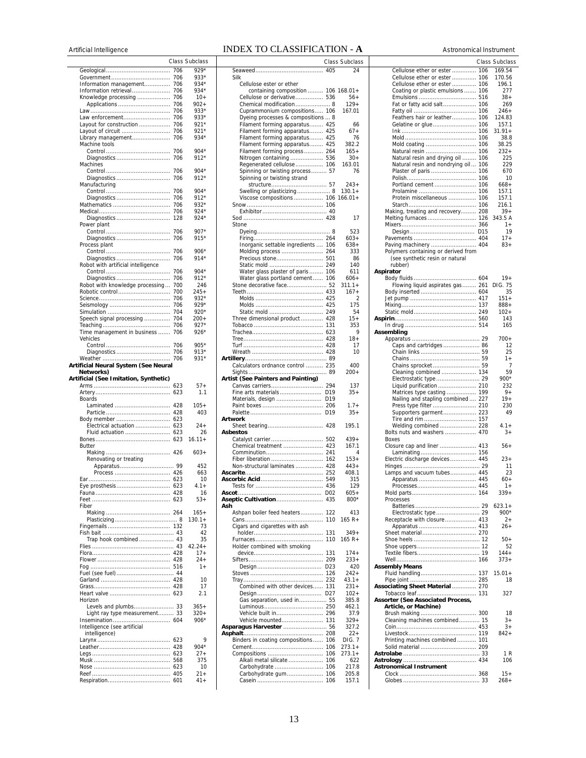### Artificial Intelligence **INDEX TO CLASSIFICATION - A Astronomical Instrument**

|                                                |            | <b>Class Subclass</b> |
|------------------------------------------------|------------|-----------------------|
|                                                | 706        | 929*                  |
|                                                | 706        | $933*$                |
| Information management                         | 706        | 934*                  |
| Information retrieval                          | 706        | 934*                  |
| Knowledge processing                           | 706<br>706 | 10+                   |
| Applications                                   | 706        | $902+$<br>$933*$      |
| Law enforcement                                | 706        | $933*$                |
| Layout for construction                        | 706        | $921*$                |
| Layout of circuit                              | 706        | $921*$                |
| Library management                             | 706        | $934*$                |
| Machine tools                                  |            |                       |
|                                                | 706        | $904*$                |
| Machines                                       | 706        | 912*                  |
|                                                | 706        | 904*                  |
| Diagnostics                                    | 706        | $912*$                |
| Manufacturing                                  |            |                       |
|                                                | 706        | $904*$                |
| Diagnostics                                    | 706        | 912*                  |
| Mathematics                                    | 706        | 932*                  |
|                                                | 706        | $924*$<br>$924*$      |
| Diagnostics<br>Power plant                     | 128        |                       |
|                                                | 706        | $907*$                |
| Diagnostics                                    | 706        | $915*$                |
| Process plant                                  |            |                       |
|                                                | 706        | $906*$                |
| Diagnostics                                    | 706        | $914*$                |
| Robot with artificial intelligence             |            |                       |
|                                                | 706        | $904*$                |
| Diagnostics<br>Robot with knowledge processing | 706<br>700 | 912*<br>246           |
| Robotic control                                | 700        | $245+$                |
|                                                | 706        | 932*                  |
|                                                | 706        | 929*                  |
|                                                | 704        | 920*                  |
| Speech signal processing                       | 704        | 200+                  |
|                                                | 706        | 927*                  |
| Time management in business                    | 706        | $926*$                |
| Vehicles                                       | 706        | $905*$                |
| Diagnostics                                    | 706        | 913*                  |
|                                                | 706        | 931*                  |
| Artificial Neural System (See Neural           |            |                       |
| Networks)                                      |            |                       |
| Artificial (See Imitation, Synthetic)          |            |                       |
|                                                | 623        | 57+                   |
| <b>Boards</b>                                  | 623        | 1.1                   |
| Laminated                                      | 428        | $105+$                |
|                                                | 428        | 403                   |
| Body member                                    | 623        |                       |
| Electrical actuation                           | 623        | 24+                   |
| Fluid actuation                                | 623        | 26                    |
|                                                | 623        | $16.11 +$             |
| Butter                                         | 426        | $603+$                |
| Renovating or treating                         |            |                       |
|                                                |            | 452                   |
| Process                                        | 426        | 663                   |
|                                                | 623        | 10                    |
| Eve prosthesis                                 | 623        | $.1 +$                |
|                                                |            | 16                    |
| Fiber                                          |            | $53+$                 |
|                                                |            | $165+$                |
|                                                |            | $130.1 +$             |
|                                                |            | 73                    |
|                                                |            | 42                    |
| Trap hook combined 43                          |            | 35                    |
|                                                |            | $42.24 +$<br>$17+$    |
|                                                |            | $24+$                 |
|                                                |            | $1+$                  |
|                                                |            |                       |
|                                                |            | 10                    |
|                                                |            | 17                    |
|                                                |            | 2.1                   |
| Horizon<br>Levels and plumbs 33                |            | $365+$                |
| Light ray type measurement 33                  |            | $320+$                |
|                                                |            | $906*$                |
| Intelligence (see artificial                   |            |                       |
| intelligence)                                  |            |                       |
|                                                | 623        | 9                     |
|                                                | 428        | $904*$                |
|                                                | 623        | $27+$<br>375          |
|                                                |            | 10                    |
|                                                | 405        | $21 +$                |
|                                                |            | $41 +$                |

|                                     |                 | Class Subclass      |
|-------------------------------------|-----------------|---------------------|
|                                     | 405             | 24                  |
| Silk                                |                 |                     |
| Cellulose ester or ether            |                 |                     |
| containing composition              |                 | $106$ $168.01+$     |
| Cellulose or derivative 536         |                 | $56+$               |
| Chemical modification 8             |                 | $129+$              |
| Cuprammonium compositions           | 106             | 167.01              |
| Dyeing processes & compositions  8  |                 |                     |
| Filament forming apparatus 425      |                 | 66                  |
| Filament forming apparatus 425      |                 | 67+                 |
| Filament forming apparatus 425      |                 | 76                  |
| Filament forming apparatus 425      |                 | 382.2               |
| Filament forming process  264       |                 | 165+                |
| Nitrogen containing  536            |                 | $30+$               |
| Regenerated cellulose 106           |                 | 163.01              |
| Spinning or twisting process        | 57              | 76                  |
| Spinning or twisting strand         |                 |                     |
|                                     |                 | $243+$              |
| Swelling or plasticizing 8          |                 | $130.1 +$           |
| Viscose compositions 106            |                 | $166.01+$           |
|                                     |                 |                     |
|                                     |                 |                     |
|                                     |                 | 17                  |
| Stone                               |                 |                     |
|                                     |                 | 523                 |
|                                     |                 | $603+$              |
| Inorganic settable ingredients      | 106             | $638+$              |
| Molding process                     | 264             | 333<br>86           |
| Precious stone 501                  |                 | 140                 |
|                                     |                 |                     |
| Water glass plaster of paris  106   |                 | 611<br>$606+$       |
| Water glass portland cement 106     |                 |                     |
| Stone decorative face 52            |                 | $311.1 +$           |
|                                     | 433             | $167+$<br>2         |
|                                     |                 | 175                 |
|                                     |                 | 54                  |
| Three dimensional product  428      |                 | 15+                 |
|                                     |                 | 353                 |
|                                     | 623             | 9                   |
|                                     |                 | $18+$               |
|                                     |                 | 17                  |
|                                     |                 | 10                  |
|                                     |                 |                     |
| Calculators ordnance control  235   |                 | 400                 |
|                                     |                 | $200+$              |
| Artist (See Painters and Painting)  |                 |                     |
| Canvas carriers 294                 |                 | 137                 |
| Fine arts materials                 | D19             | 35+                 |
| Materials, design  D19              |                 |                     |
|                                     |                 | $1.7+$              |
|                                     | D19             | $35+$               |
| Artwork                             |                 |                     |
|                                     |                 | 195.1               |
| Asbestos                            |                 |                     |
| Catalyst carrier  502               |                 | $439+$              |
| Chemical treatment  423             |                 | 167.1               |
| Comminution                         | 241             | 4                   |
| Fiber liberation                    | 162             | $153+$              |
| Non-structural laminates 428        |                 | $443+$              |
|                                     |                 | 408.1               |
|                                     |                 | 315                 |
|                                     |                 | 129                 |
|                                     | D <sub>02</sub> | $605+$              |
| Aseptic Cultivation                 | 435             | 800*                |
| Ash                                 |                 |                     |
| Ashpan boiler feed heaters          | 122             | 413                 |
|                                     |                 | 165 R+              |
| Cigars and cigarettes with ash      |                 |                     |
|                                     | 131             | $349+$<br>$165 R +$ |
|                                     | 110             |                     |
| Holder combined with smoking        | 131             | $174+$              |
|                                     |                 | $233+$              |
|                                     | D <sub>23</sub> | 420                 |
|                                     | 126             | 242+                |
|                                     | 232             | $43.1 +$            |
| Combined with other devices 131     |                 | $231+$              |
|                                     |                 | $102 +$             |
| Gas separation, used in 55          |                 | 385.8               |
|                                     |                 | 462.1               |
| Vehicle built in                    | 296             | 37.9                |
| Vehicle mounted                     | 131             | $329+$              |
| Asparagus Harvester  56             |                 | 327.2               |
|                                     |                 | 22+                 |
| Binders in coating compositions 106 |                 | <b>DIG. 7</b>       |
|                                     | 106             | $273.1+$            |
| Compositions                        | 106             | $273.1+$            |
| Alkali metal silicate               | 106             | 622                 |
| Carbohydrate                        | 106             | 217.8               |
| Carbohydrate gum                    | 106             | 205.8               |
|                                     |                 | 157.1               |
|                                     |                 |                     |

|                 | Class Subclass     |                                     | Class Subclass   |
|-----------------|--------------------|-------------------------------------|------------------|
| 405             | 24                 | Cellulose ether or ester 106        | 169.54           |
|                 |                    | Cellulose ether or ester 106        | 170.56           |
|                 |                    | Cellulose ether or ester  106       | 196.1            |
|                 | $106$ 168.01+      | Coating or plastic emulsions  106   | 277              |
| 536<br>. 8      | $56+$<br>$129+$    | Fat or fatty acid salt 106          | $38+$<br>269     |
| 106             | 167.01             |                                     | $246+$           |
| 8               |                    | Feathers hair or leather 106        | 124.83           |
| 425             | 66                 |                                     | 157.1            |
| 425             | $67+$              |                                     | $31.91+$         |
| 425             | 76                 |                                     | 38.8             |
| 425             | 382.2              |                                     | 38.25            |
| 264             | $165+$             |                                     | $232+$           |
| 536<br>106      | $30+$<br>163.01    | Natural resin and drying oil  106   | 225<br>229       |
| 57              | 76                 | Natural resin and nondrying oil 106 | 670              |
|                 |                    |                                     | 10               |
| .57             | $243+$             |                                     | 668+             |
| . 8             | $130.1 +$          |                                     | 157.1            |
|                 | $106$ $166.01+$    | Protein miscellaneous  106          | 157.1            |
| 106             |                    |                                     | 216.1            |
| 40<br>428       |                    | Making, treating and recovery 208   | $39+$            |
|                 | 17                 |                                     | 343.5 A<br>$1+$  |
| . 8             | 523                |                                     | 19               |
| 264             | $603+$             |                                     | $17 +$           |
| 106             | $638+$             | Paving machinery  404               | $83+$            |
| 264             | 333                | Polymers containing or derived from |                  |
| 501             | 86                 | (see synthetic resin or natural     |                  |
| 249             | 140                | rubber)                             |                  |
| 106             | 611                | Aspirator                           |                  |
| 106<br>52       | $606+$<br>$311.1+$ | Flowing liquid aspirates gas  261   | $19+$<br>DIG. 75 |
| 433             | $167+$             |                                     | 35               |
| 425             | 2                  |                                     | $151+$           |
| 425             | 175                |                                     | $888 +$          |
| 249             | 54                 |                                     | $102 +$          |
| 428             | $15+$              |                                     | 143              |
| 131             | 353                |                                     | 165              |
| 623<br>428      | 9                  | Assembling                          |                  |
| 428             | $18+$<br>17        | Caps and cartridges 86              | 700+<br>12       |
| 428             | 10                 |                                     | 25               |
| . 89            |                    |                                     | 1+               |
| 235             | 400                |                                     | 7                |
| 89              | $200+$             |                                     | 59               |
|                 |                    | Electrostatic type  29              | 900*             |
| 294             | 137                | Liquid purification  210            | 232              |
| D19<br>D19      | $35+$              | Matrices type casting  199          | 9+<br>$19+$      |
| 206             | $1.7+$             | Nailing and stapling combined  227  | 230              |
| D19             | $35+$              | Supporters garment 223              | 49               |
|                 |                    | Tire and rim  157                   |                  |
| 428             | 195.1              | Welding combined  228               | $4.1 +$          |
|                 |                    | Bolts nuts and washers  470         | $3+$             |
| 502             | $439+$             | Boxes                               |                  |
| 423<br>241      | 167.1<br>4         | Closure cap and liner  413          | $56+$            |
| 162             | $153+$             | Electric discharge devices  445     | $23+$            |
| 428             | $443+$             |                                     | 11               |
| 252             | 408.1              | Lamps and vacuum tubes 445          | 23               |
| 549             | 315                |                                     | $60+$            |
| 436             | 129                |                                     | $+$              |
| D <sub>02</sub> | $605+$             |                                     | 339+             |
| 435             | 800*               | Processes                           | $623.1+$         |
| 122             | 413                |                                     | 900*             |
| 110             | $165 R +$          | Receptacle with closure 413         | $^{2+}$          |
|                 |                    |                                     | $26+$            |
| 131             | $349+$             |                                     |                  |
| 110             | $165 R +$          |                                     | $50+$            |
|                 |                    |                                     | 52               |
| 131             | $174+$             |                                     | $144+$<br>373+   |
| 209<br>D23      | $233+$<br>420      | <b>Assembly Means</b>               |                  |
| 126             | 242+               | Fluid handling 137                  | $15.01 +$        |
| 232             | $43.1 +$           |                                     | 18               |
| 131             | 231+               | Associating Sheet Material  270     |                  |
| D <sub>27</sub> | $102 +$            |                                     | 327              |
| . 55            | 385.8              | Assorter (See Associated Process,   |                  |
| 250             | 462.1              | Article, or Machine)                |                  |
| 296<br>131      | 37.9<br>$329+$     | Cleaning machines combined 15       | 18<br>$3+$       |
| 56              | 327.2              |                                     | $3+$             |
| 208             | $22+$              |                                     | $842+$           |
| 106             | DIG. 7             | Printing machines combined 101      |                  |
| 106             | $273.1+$           |                                     |                  |
| 106             | $273.1+$           |                                     | 1 R              |
| 106             | 622                |                                     | 106              |
| 106<br>106      | 217.8<br>205.8     | <b>Astronomical Instrument</b>      | $15+$            |
| 106             | 157.1              |                                     | $268+$           |
|                 |                    |                                     |                  |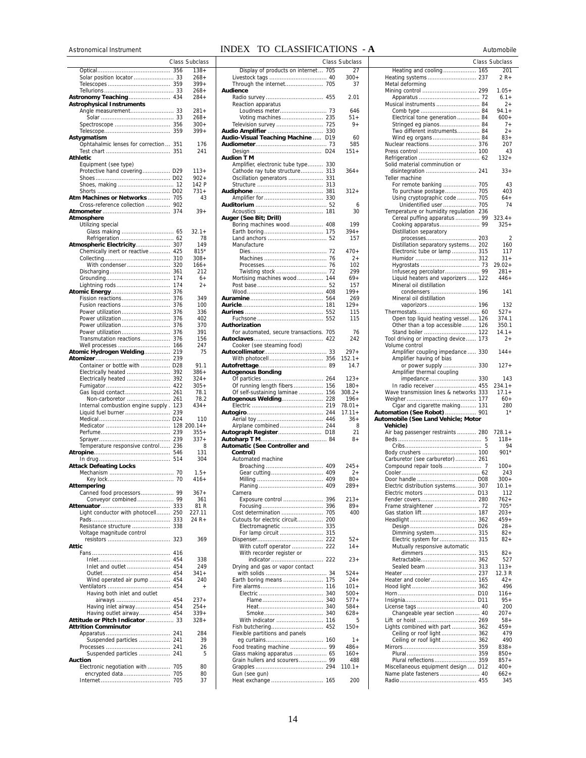### Astronomical Instrument **INDEX TO CLASSIFICATIONS** - **A** Automobile

|                                                      |            | Class Subclass      |
|------------------------------------------------------|------------|---------------------|
|                                                      | 356        | $138 +$             |
|                                                      |            | $268+$<br>399+      |
|                                                      |            | 268+                |
|                                                      |            | $284+$              |
| Astrophysical Instruments<br>Angle measurement       | 33         | $281 +$             |
|                                                      | 33         | $268+$              |
|                                                      |            | 300+                |
| Astygmatism                                          | 359        | $399+$              |
| Ophtahalmic lenses for correction                    | 351        | 176                 |
|                                                      | 351        | 241                 |
| Athletic<br>Equipment (see type)                     |            |                     |
| Protective hand covering D29                         |            | 113+                |
|                                                      |            | $902 +$             |
|                                                      |            | 142 P<br>$731+$     |
| Atm Machines or Networks  705                        |            | 43                  |
| Cross-reference collection  902                      |            |                     |
| Atmosphere                                           |            | $39+$               |
| Utilizing special                                    |            |                     |
|                                                      |            | $32.1 +$            |
| Refrigeration<br>Atmospheric Electricity 307         | 62         | 78<br>149           |
| Chemically inert or reactive  425                    |            | $815*$              |
|                                                      | 310        | $308 +$             |
| With condenser                                       | 320<br>361 | $166+$<br>212       |
|                                                      | 174        | $6+$                |
| Lightning rods                                       | 174        | 2+                  |
| <b>Atomic Energy</b><br>Fission reactions            | 376<br>376 | 349                 |
| Fusion reactions                                     | 376        | 100                 |
| Power utilization                                    | 376        | 336                 |
| Power utilization<br>Power utilization               | 376<br>376 | 402<br>370          |
| Power utilization                                    | 376        | 391                 |
| Transmutation reactions                              | 376        | 156                 |
| Well processes<br>Atomic Hydrogen Welding            | 166<br>219 | 247<br>75           |
|                                                      | 239        |                     |
| Container or bottle with  D28                        |            | 91.1                |
| Electrically heated<br>Electrically heated           | 392<br>392 | $386+$<br>$324+$    |
|                                                      | 422        | 305+                |
| Gas liquid contact                                   | 261        | 78.1                |
| Non-carboretor<br>Internal combustion engine supply. | 261<br>123 | 78.2<br>$434+$      |
| Liquid fuel burner                                   | 239        |                     |
|                                                      | D24        | 110<br>$128200.14+$ |
|                                                      | 239        | $355+$              |
|                                                      | 239        | $337+$              |
| Temperature responsive control 236                   |            | 8<br>131            |
|                                                      |            | 304                 |
| <b>Attack Defeating Locks</b>                        |            |                     |
|                                                      |            | $1.5+$<br>416+      |
| Attemperiny                                          |            |                     |
| Canned food processors 99                            |            | $367+$              |
|                                                      |            | 361<br>81 R         |
| Light conductor with photocell 250                   |            | 227.11              |
|                                                      |            | 24 R+               |
| Resistance structure<br>Voltage magnitude control    | 338        |                     |
|                                                      | 323        | 369                 |
| Attic                                                | 416        |                     |
|                                                      | 454        | 338                 |
| Inlet and outlet  454                                |            | 249                 |
| Wind operated air pump  454                          |            | $341+$<br>240       |
|                                                      |            | $\qquad \qquad +$   |
| Having both inlet and outlet                         |            |                     |
| airways  454<br>Having inlet airway 454              |            | $237+$<br>$254+$    |
| Having outlet airway 454                             |            | $339+$              |
| Attitude or Pitch Indicator  33                      |            | $328+$              |
| <b>Attrition Comminutor</b>                          |            | 284                 |
| Suspended particles  241                             |            | 39                  |
|                                                      |            | 26                  |
| Suspended particles  241<br>Auction                  |            | 5                   |
| Electronic negotiation with                          | 705        | 80                  |
|                                                      |            | 80<br>37            |
|                                                      |            |                     |

|                 | <b>Class Subclass</b>  |                                                 | Class Subclass |                                                                     | Class Subclass     |
|-----------------|------------------------|-------------------------------------------------|----------------|---------------------------------------------------------------------|--------------------|
| 356             | $138 +$                | Display of products on internet 705             | 27             | Heating and cooling 165                                             | 201                |
| 33              | $268+$<br>$399+$       |                                                 | $300+$         | Metal deforming                                                     | 2 R+               |
| . 359<br>33     | $268+$                 | Audience                                        | 37             |                                                                     | $1.05+$            |
| . 434           | $284+$                 |                                                 | 2.01           |                                                                     | $6.1 +$            |
|                 |                        | Reaction apparatus                              |                | Musical instruments  84                                             | $2+$               |
| 33              | $281 +$                |                                                 | 646            |                                                                     | $94.1+$            |
| 33              | $268+$                 |                                                 | 51+            | Electrical tone generation 84                                       | $600+$             |
| . 356<br>. 359  | $300+$<br>$399+$       | Television survey  725                          | 9+             | Stringed eg pianos 84<br>Two different instruments 84               | $7+$<br>$2+$       |
|                 |                        | <b>Audio-Visual Teaching Machine  D19</b>       | 60             | Wind eg organs 84                                                   | $83+$              |
| 351             | 176                    |                                                 | 585            |                                                                     | 207                |
| 351             | 241                    |                                                 | $151+$         |                                                                     | 43                 |
|                 |                        | Audion T M                                      |                |                                                                     | $132+$             |
|                 |                        | Amplifier, electronic tube type 330             |                | Solid material comminution or                                       |                    |
| . D29           | $113+$                 | Cathode ray tube structure 313                  | $364+$         |                                                                     | $33+$              |
| D02             | $902+$                 |                                                 |                | Teller machine                                                      |                    |
| 12<br>D02       | 142 P<br>$731+$        |                                                 | $312+$         | For remote banking  705<br>To purchase postage 705                  | 43<br>403          |
| 705             | 43                     |                                                 |                | Using cryptographic code  705                                       | $64+$              |
| . 902           |                        |                                                 | 6              | Unidentified user  705                                              | 74                 |
| . 374           | $39+$                  |                                                 | 30             | Temperature or humidity regulation 236                              |                    |
|                 |                        | Auger (See Bit; Drill)                          |                | Cereal puffing apparatus  99                                        | $323.4+$           |
|                 |                        |                                                 | 199            |                                                                     | $325+$             |
| 65              | $32.1+$                |                                                 | $394+$         | Distillation separatory                                             |                    |
| 62              | 78                     |                                                 | 157            |                                                                     | $\overline{2}$     |
| . 307<br>425    | 149<br>$815*$          | Manufacture                                     | $470+$         | Distillation separatory systems 202<br>Electronic tube or lamp  315 | 160<br>117         |
| 310             | 308+                   |                                                 | $2+$           |                                                                     | $31 +$             |
| 320             | 166+                   |                                                 | 102            |                                                                     | $29.02+$           |
| 361             | 212                    |                                                 | 299            |                                                                     | $281+$             |
| 174             | 6+                     | Mortising machines wood 144                     | 69+            | Liquid heaters and vaporizers  122                                  | $446+$             |
| 174             | $^{2+}$                |                                                 | 157            | Mineral oil distillation                                            |                    |
| 376             |                        |                                                 | $199+$         |                                                                     | 141                |
| 376             | 349                    |                                                 | 269            | Mineral oil distillation                                            |                    |
| 376<br>376      | 100<br>336             |                                                 | $129+$<br>115  |                                                                     | 132<br>$527+$      |
| 376             | 402                    |                                                 | 115            | Open top liquid heating vessel 126                                  | 374.1              |
| 376             | 370                    | Authorization                                   |                | Other than a top accessible 126                                     | 350.1              |
| 376             | 391                    | For automated, secure transactions. 705         | 76             |                                                                     | $14.1+$            |
| 376             | 156                    |                                                 | 242            | Tool driving or impacting device 173                                | $2+$               |
| 166             | 247                    | Cooker (see steaming food)                      |                | Volume control                                                      |                    |
| 219             | 75                     |                                                 | $297+$         | Amplifier coupling impedance  330                                   | $144 +$            |
| 239             |                        |                                                 | $152.1+$       | Amplifier having of bias                                            |                    |
| D28             | 91.1                   |                                                 | 14.7           | or power supply  330                                                | $127+$             |
| 392<br>392      | $386+$<br>324+         | <b>Autogenous Bonding</b>                       | $123+$         | Amplifier thermal coupling                                          | 143                |
| 422             | $305+$                 | Of running length fibers 156                    | $180+$         | In radio receiver  455                                              | $234.1+$           |
| 261             | 78.1                   | Of self-sustaining laminae  156                 | $308.2 +$      | Wave transmission lines & networks 333                              | $17.1+$            |
| 261             | 78.2                   | <b>Autogenous Welding 228</b>                   | $196+$         |                                                                     | $60+$              |
| 123             | $434+$                 |                                                 | $78.01 +$      | Cigar and cigarette making 131                                      | 280                |
| 239             |                        |                                                 | $17.11+$       | Automation (See Robot)  901                                         | $1^*$              |
| D <sub>24</sub> | 110                    |                                                 | $36+$          | Automobile (See Land Vehicle; Motor                                 |                    |
| 239             | $128200.14+$<br>$355+$ | Airplane combined 244<br>Autograph Register D18 | 8<br>21        | <b>Vehicle)</b><br>Air bag passenger restraints  280                | $728.1+$           |
| 239             | $337+$                 |                                                 | 8+             |                                                                     | $118 +$            |
| 236             | 8                      | <b>Automatic (See Controller and</b>            |                |                                                                     | 94                 |
| 546             | 131                    | Control)                                        |                |                                                                     | 901*               |
| . 514           | 304                    | Automated machine                               |                | Carburetor (see carburetor) 261                                     |                    |
|                 |                        |                                                 | $245+$         |                                                                     | $100+$             |
| 70              | $1.5+$                 |                                                 | $2+$           |                                                                     | 243                |
| 70              | 416+                   |                                                 | $80+$          | Electric distribution systems 307                                   | $300+$<br>$10.1 +$ |
| 99              | $367+$                 | Camera                                          | 289+           |                                                                     | 112                |
| . . 99          | 361                    | Exposure control  396                           | $213+$         |                                                                     | 762+               |
| 333             | 81 R                   |                                                 | 89+            |                                                                     | 705*               |
| 250             | 227.11                 |                                                 | 400            |                                                                     | $203+$             |
| 333             | 24 R+                  | Cutouts for electric circuit 200                |                |                                                                     | 459+               |
| . 338           |                        | Electromagnetic  335                            |                |                                                                     | $28+$              |
|                 |                        |                                                 |                | Dimming system 315                                                  | $82+$              |
| . 323           | 369                    |                                                 | $52+$          | Electric system for  315                                            | $82+$              |
|                 |                        |                                                 | $14+$          | Mutually responsive automatic                                       |                    |
| . 416<br>. 454  | 338                    | With recorder register or                       | $23+$          |                                                                     | $82 +$<br>527      |
| 454             | 249                    | Drying and gas or vapor contact                 |                | Sealed beam  313                                                    | $113+$             |
| 454             | $341+$                 |                                                 | $524+$         |                                                                     | 12.3R              |
| 454             | 240                    | Earth boring means  175                         | $24+$          |                                                                     | $42+$              |
| 454             | $\ddot{}$              |                                                 | $101 +$        |                                                                     | 496                |
|                 |                        |                                                 | $500+$         |                                                                     | $116+$             |
| . 454           | 237+                   |                                                 | $577+$         |                                                                     | $95+$              |
| .454            | $254+$                 |                                                 | $584+$         |                                                                     | 200                |
| .454            | $339+$                 |                                                 | $628+$         | Changeable year section  40                                         | $207 +$            |
| 33              | $328+$                 |                                                 | 5<br>$150+$    | Lights combined with part  362                                      | $58+$<br>$459+$    |
| . 241           | 284                    | Flexible partitions and panels                  |                | Ceiling or roof light 362                                           | 479                |
| . 241           | 39                     |                                                 | $1+$           | Ceiling or roof light 362                                           | 490                |
| . 241           | 26                     |                                                 | $486+$         |                                                                     | $838+$             |
| . 241           | 5                      |                                                 | $160+$         |                                                                     | $850+$             |
|                 |                        | Grain hullers and scourers 99                   | 488            |                                                                     | $857+$             |
| 705             | 80                     |                                                 | $110.1 +$      | Miscellaneous equipment design D12                                  | $400+$             |
| 705             | 80<br>37               | Gun (see gun)<br>Heat exchange  165             | 200            |                                                                     | $662+$<br>345      |
| 705             |                        |                                                 |                |                                                                     |                    |

|                                                               | <b>Class Subclass</b> |
|---------------------------------------------------------------|-----------------------|
| Heating and cooling 165                                       | 201                   |
| Heating systems  237                                          | 2 R+                  |
| Metal deforming                                               |                       |
|                                                               | $1.05+$               |
| Musical instruments  84                                       | $6.1 +$<br>$2+$       |
|                                                               | $94.1 +$              |
| Electrical tone generation 84                                 | $600+$                |
| Stringed eg pianos 84                                         | $7+$                  |
| Two different instruments 84<br>Wind eg organs 84             | 2+<br>$83+$           |
| Nuclear reactions 376                                         | 207                   |
|                                                               | 43                    |
|                                                               | $132+$                |
| Solid material comminution or<br>disintegration  241          | $33+$                 |
| Teller machine                                                |                       |
| For remote banking  705                                       | 43                    |
| To purchase postage 705                                       | 403                   |
| Using cryptographic code  705<br>Unidentified user  705       | 64+<br>74             |
| Temperature or humidity regulation 236                        |                       |
| Cereal puffing apparatus  99                                  | $323.4+$              |
| Cooking apparatus 99                                          | $325+$                |
| Distillation separatory                                       |                       |
| Distillation separatory systems 202                           | 2<br>160              |
| Electronic tube or lamp  315                                  | 117                   |
|                                                               | $31 +$                |
|                                                               | $29.02 +$             |
| Liquid heaters and vaporizers  122                            | $281+$<br>$446+$      |
| Mineral oil distillation                                      |                       |
|                                                               | 141                   |
| Mineral oil distillation                                      |                       |
| vaporizors  196                                               | 132                   |
| Open top liquid heating vessel 126                            | $527+$<br>374.1       |
| Other than a top accessible  126                              | 350.1                 |
| Stand boiler  122                                             | $14.1 +$              |
| Tool driving or impacting device 173                          | $^{2+}$               |
| Volume control<br>Amplifier coupling impedance 330            | 144+                  |
| Amplifier having of bias                                      |                       |
| or power supply  330                                          | $127+$                |
| Amplifier thermal coupling                                    |                       |
| In radio receiver  455                                        | 143<br>234.1+         |
| Wave transmission lines & networks 333                        | $17.1+$               |
|                                                               | $60+$                 |
| Cigar and cigarette making 131                                | 280                   |
| Automation (See Robot)  901                                   | $1*$                  |
| Automobile (See Land Vehicle; Motor<br>Vehicle)               |                       |
| Air bag passenger restraints  280                             | $728.1+$              |
| 5                                                             | 118+                  |
| 5                                                             | 94                    |
| Body crushers  100<br>Carburetor (see carburetor) 261         | $901*$                |
|                                                               | $100+$                |
|                                                               | 243                   |
|                                                               | $300+$                |
| Electric distribution systems 307<br>Electric motors  D13     | $10.1 +$<br>112       |
|                                                               | $762+$                |
| Frame straightener  72                                        | 705*                  |
| Gas station lift  187                                         | $203+$                |
| D <sub>26</sub>                                               | $459+$<br>$28 +$      |
| Dimming system 315                                            | $82 +$                |
| Electric system for  315                                      | $82+$                 |
| Mutually responsive automatic                                 |                       |
|                                                               | $82 +$<br>527         |
| Sealed beam  313                                              | $113+$                |
|                                                               | 12.3R                 |
|                                                               | $42+$                 |
|                                                               | 496                   |
|                                                               | $116+$<br>$95+$       |
|                                                               | 200                   |
| Changeable year section  40                                   | $207 +$               |
|                                                               | $58+$                 |
| Lights combined with part  362<br>Ceiling or roof light  362  | 459+<br>479           |
| Ceiling or roof light  362                                    | 490                   |
|                                                               | 838+                  |
|                                                               | $850+$                |
| Plural reflections 359<br>Miscellaneous equipment design  D12 | $857+$<br>400+        |
| Name plate fasteners  40                                      | $662+$                |
|                                                               | 345                   |